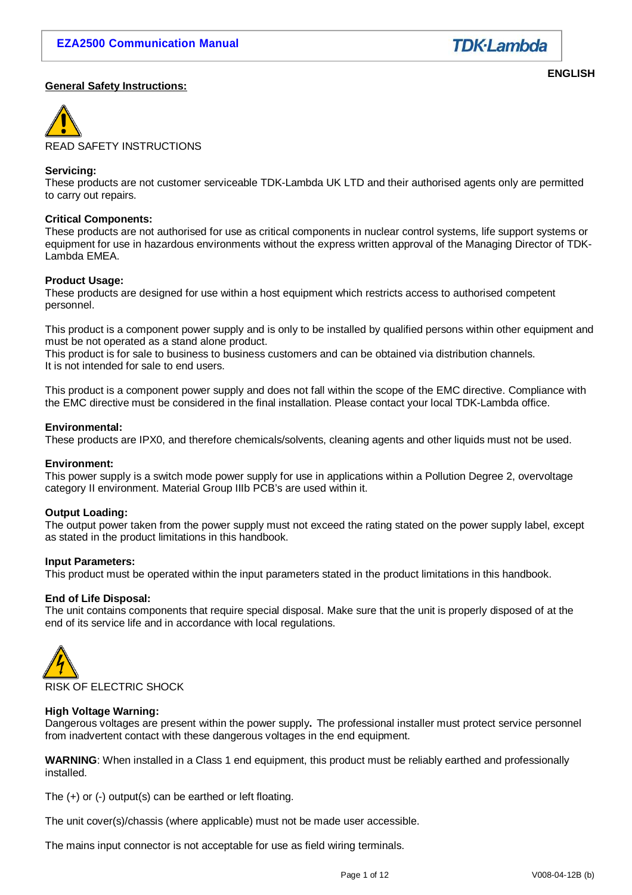

#### **General Safety Instructions:**

**ENGLISH**



READ SAFETY INSTRUCTIONS

#### **Servicing:**

These products are not customer serviceable TDK-Lambda UK LTD and their authorised agents only are permitted to carry out repairs.

#### **Critical Components:**

These products are not authorised for use as critical components in nuclear control systems, life support systems or equipment for use in hazardous environments without the express written approval of the Managing Director of TDK-Lambda EMEA.

#### **Product Usage:**

These products are designed for use within a host equipment which restricts access to authorised competent personnel.

This product is a component power supply and is only to be installed by qualified persons within other equipment and must be not operated as a stand alone product.

This product is for sale to business to business customers and can be obtained via distribution channels. It is not intended for sale to end users.

This product is a component power supply and does not fall within the scope of the EMC directive. Compliance with the EMC directive must be considered in the final installation. Please contact your local TDK-Lambda office.

#### **Environmental:**

These products are IPX0, and therefore chemicals/solvents, cleaning agents and other liquids must not be used.

#### **Environment:**

This power supply is a switch mode power supply for use in applications within a Pollution Degree 2, overvoltage category II environment. Material Group IIIb PCB's are used within it.

#### **Output Loading:**

The output power taken from the power supply must not exceed the rating stated on the power supply label, except as stated in the product limitations in this handbook.

#### **Input Parameters:**

This product must be operated within the input parameters stated in the product limitations in this handbook.

#### **End of Life Disposal:**

The unit contains components that require special disposal. Make sure that the unit is properly disposed of at the end of its service life and in accordance with local regulations.



#### **High Voltage Warning:**

Dangerous voltages are present within the power supply**.** The professional installer must protect service personnel from inadvertent contact with these dangerous voltages in the end equipment.

**WARNING**: When installed in a Class 1 end equipment, this product must be reliably earthed and professionally installed.

The (+) or (-) output(s) can be earthed or left floating.

The unit cover(s)/chassis (where applicable) must not be made user accessible.

The mains input connector is not acceptable for use as field wiring terminals.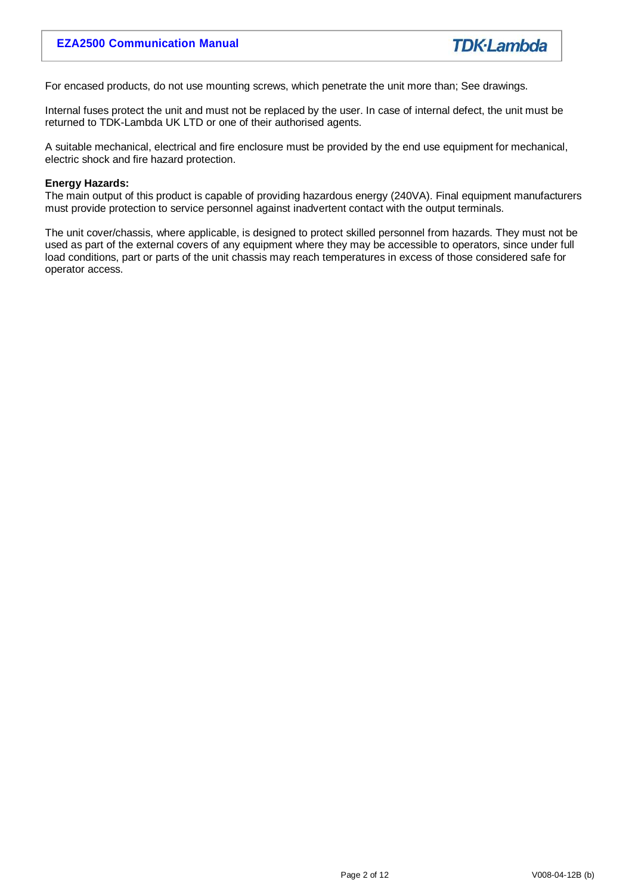For encased products, do not use mounting screws, which penetrate the unit more than; See drawings.

Internal fuses protect the unit and must not be replaced by the user. In case of internal defect, the unit must be returned to TDK-Lambda UK LTD or one of their authorised agents.

A suitable mechanical, electrical and fire enclosure must be provided by the end use equipment for mechanical, electric shock and fire hazard protection.

#### **Energy Hazards:**

The main output of this product is capable of providing hazardous energy (240VA). Final equipment manufacturers must provide protection to service personnel against inadvertent contact with the output terminals.

The unit cover/chassis, where applicable, is designed to protect skilled personnel from hazards. They must not be used as part of the external covers of any equipment where they may be accessible to operators, since under full load conditions, part or parts of the unit chassis may reach temperatures in excess of those considered safe for operator access.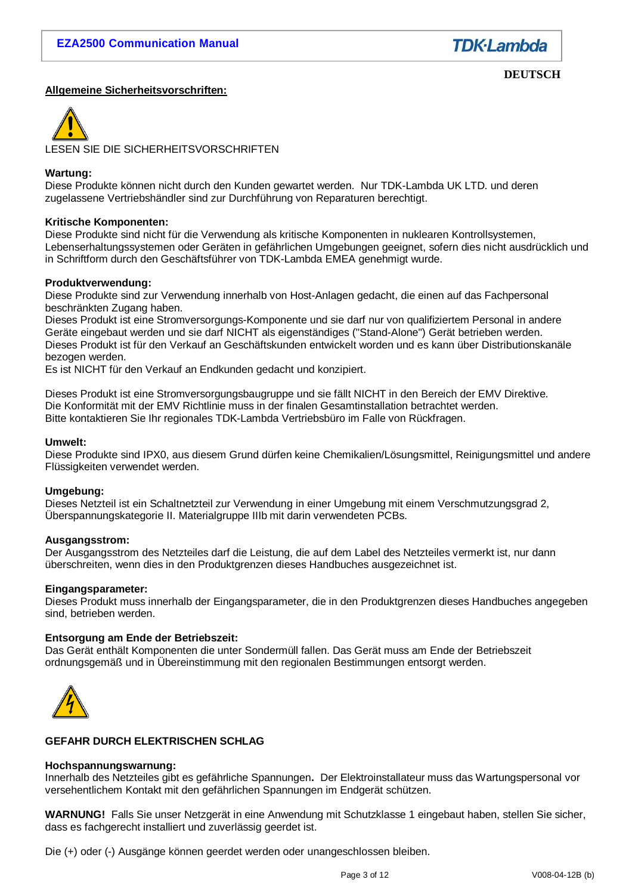

#### **DEUTSCH**

#### **Allgemeine Sicherheitsvorschriften:**



LESEN SIE DIE SICHERHEITSVORSCHRIFTEN

#### **Wartung:**

Diese Produkte können nicht durch den Kunden gewartet werden. Nur TDK-Lambda UK LTD. und deren zugelassene Vertriebshändler sind zur Durchführung von Reparaturen berechtigt.

#### **Kritische Komponenten:**

Diese Produkte sind nicht für die Verwendung als kritische Komponenten in nuklearen Kontrollsystemen, Lebenserhaltungssystemen oder Geräten in gefährlichen Umgebungen geeignet, sofern dies nicht ausdrücklich und in Schriftform durch den Geschäftsführer von TDK-Lambda EMEA genehmigt wurde.

#### **Produktverwendung:**

Diese Produkte sind zur Verwendung innerhalb von Host-Anlagen gedacht, die einen auf das Fachpersonal beschränkten Zugang haben.

Dieses Produkt ist eine Stromversorgungs-Komponente und sie darf nur von qualifiziertem Personal in andere Geräte eingebaut werden und sie darf NICHT als eigenständiges ("Stand-Alone") Gerät betrieben werden. Dieses Produkt ist für den Verkauf an Geschäftskunden entwickelt worden und es kann über Distributionskanäle bezogen werden.

Es ist NICHT für den Verkauf an Endkunden gedacht und konzipiert.

Dieses Produkt ist eine Stromversorgungsbaugruppe und sie fällt NICHT in den Bereich der EMV Direktive. Die Konformität mit der EMV Richtlinie muss in der finalen Gesamtinstallation betrachtet werden. Bitte kontaktieren Sie Ihr regionales TDK-Lambda Vertriebsbüro im Falle von Rückfragen.

#### **Umwelt:**

Diese Produkte sind IPX0, aus diesem Grund dürfen keine Chemikalien/Lösungsmittel, Reinigungsmittel und andere Flüssigkeiten verwendet werden.

#### **Umgebung:**

Dieses Netzteil ist ein Schaltnetzteil zur Verwendung in einer Umgebung mit einem Verschmutzungsgrad 2, Überspannungskategorie II. Materialgruppe IIIb mit darin verwendeten PCBs.

#### **Ausgangsstrom:**

Der Ausgangsstrom des Netzteiles darf die Leistung, die auf dem Label des Netzteiles vermerkt ist, nur dann überschreiten, wenn dies in den Produktgrenzen dieses Handbuches ausgezeichnet ist.

#### **Eingangsparameter:**

Dieses Produkt muss innerhalb der Eingangsparameter, die in den Produktgrenzen dieses Handbuches angegeben sind, betrieben werden.

#### **Entsorgung am Ende der Betriebszeit:**

Das Gerät enthält Komponenten die unter Sondermüll fallen. Das Gerät muss am Ende der Betriebszeit ordnungsgemäß und in Übereinstimmung mit den regionalen Bestimmungen entsorgt werden.



#### **GEFAHR DURCH ELEKTRISCHEN SCHLAG**

#### **Hochspannungswarnung:**

Innerhalb des Netzteiles gibt es gefährliche Spannungen**.** Der Elektroinstallateur muss das Wartungspersonal vor versehentlichem Kontakt mit den gefährlichen Spannungen im Endgerät schützen.

**WARNUNG!** Falls Sie unser Netzgerät in eine Anwendung mit Schutzklasse 1 eingebaut haben, stellen Sie sicher, dass es fachgerecht installiert und zuverlässig geerdet ist.

Die (+) oder (-) Ausgänge können geerdet werden oder unangeschlossen bleiben.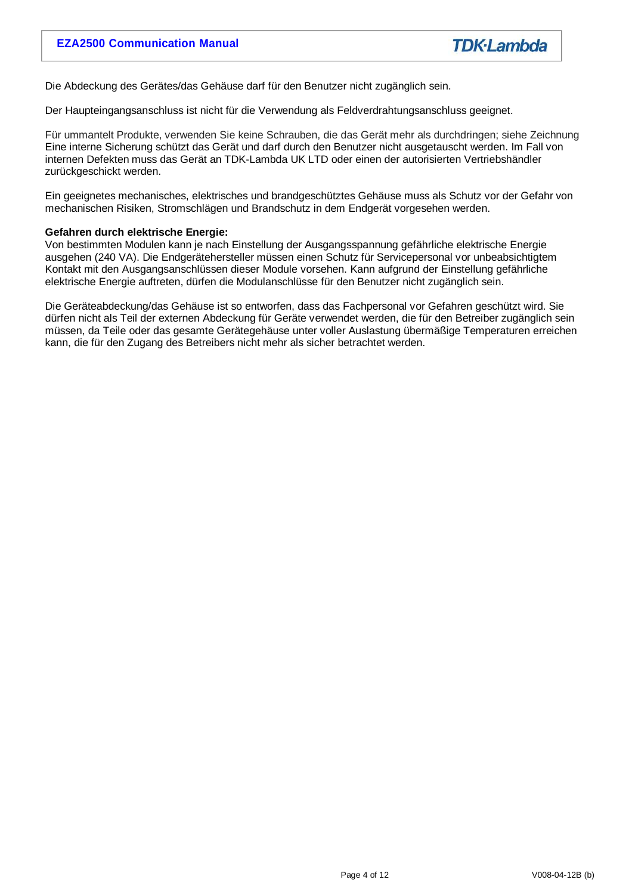Die Abdeckung des Gerätes/das Gehäuse darf für den Benutzer nicht zugänglich sein.

Der Haupteingangsanschluss ist nicht für die Verwendung als Feldverdrahtungsanschluss geeignet.

Für ummantelt Produkte, verwenden Sie keine Schrauben, die das Gerät mehr als durchdringen; siehe Zeichnung Eine interne Sicherung schützt das Gerät und darf durch den Benutzer nicht ausgetauscht werden. Im Fall von internen Defekten muss das Gerät an TDK-Lambda UK LTD oder einen der autorisierten Vertriebshändler zurückgeschickt werden.

Ein geeignetes mechanisches, elektrisches und brandgeschütztes Gehäuse muss als Schutz vor der Gefahr von mechanischen Risiken, Stromschlägen und Brandschutz in dem Endgerät vorgesehen werden.

#### **Gefahren durch elektrische Energie:**

Von bestimmten Modulen kann je nach Einstellung der Ausgangsspannung gefährliche elektrische Energie ausgehen (240 VA). Die Endgerätehersteller müssen einen Schutz für Servicepersonal vor unbeabsichtigtem Kontakt mit den Ausgangsanschlüssen dieser Module vorsehen. Kann aufgrund der Einstellung gefährliche elektrische Energie auftreten, dürfen die Modulanschlüsse für den Benutzer nicht zugänglich sein.

Die Geräteabdeckung/das Gehäuse ist so entworfen, dass das Fachpersonal vor Gefahren geschützt wird. Sie dürfen nicht als Teil der externen Abdeckung für Geräte verwendet werden, die für den Betreiber zugänglich sein müssen, da Teile oder das gesamte Gerätegehäuse unter voller Auslastung übermäßige Temperaturen erreichen kann, die für den Zugang des Betreibers nicht mehr als sicher betrachtet werden.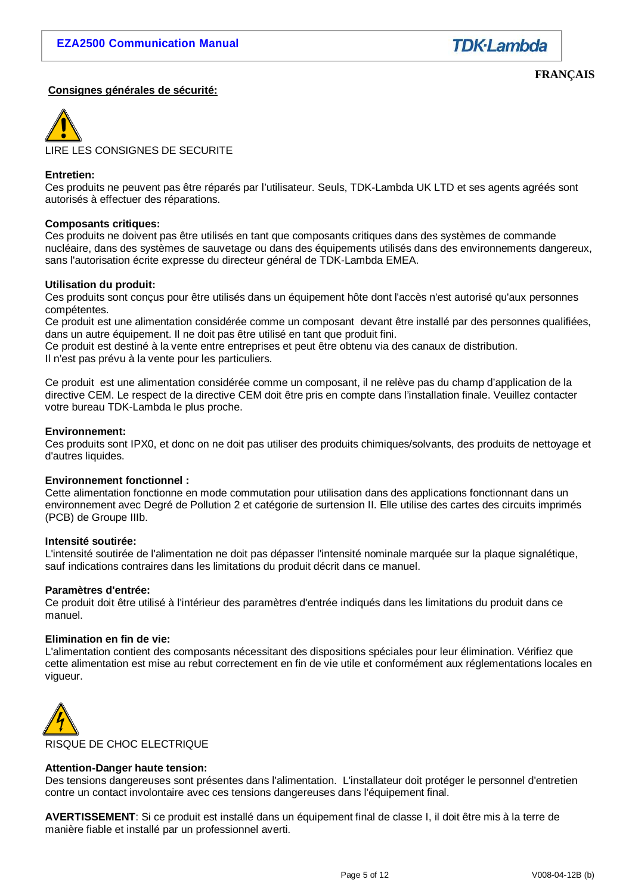

#### **Consignes générales de sécurité:**

**FRANÇAIS**



LIRE LES CONSIGNES DE SECURITE

#### **Entretien:**

Ces produits ne peuvent pas être réparés par l'utilisateur. Seuls, TDK-Lambda UK LTD et ses agents agréés sont autorisés à effectuer des réparations.

#### **Composants critiques:**

Ces produits ne doivent pas être utilisés en tant que composants critiques dans des systèmes de commande nucléaire, dans des systèmes de sauvetage ou dans des équipements utilisés dans des environnements dangereux, sans l'autorisation écrite expresse du directeur général de TDK-Lambda EMEA.

#### **Utilisation du produit:**

Ces produits sont conçus pour être utilisés dans un équipement hôte dont l'accès n'est autorisé qu'aux personnes compétentes.

Ce produit est une alimentation considérée comme un composant devant être installé par des personnes qualifiées, dans un autre équipement. Il ne doit pas être utilisé en tant que produit fini.

Ce produit est destiné à la vente entre entreprises et peut être obtenu via des canaux de distribution. Il n'est pas prévu à la vente pour les particuliers.

Ce produit est une alimentation considérée comme un composant, il ne relève pas du champ d'application de la directive CEM. Le respect de la directive CEM doit être pris en compte dans l'installation finale. Veuillez contacter votre bureau TDK-Lambda le plus proche.

#### **Environnement:**

Ces produits sont IPX0, et donc on ne doit pas utiliser des produits chimiques/solvants, des produits de nettoyage et d'autres liquides.

#### **Environnement fonctionnel :**

Cette alimentation fonctionne en mode commutation pour utilisation dans des applications fonctionnant dans un environnement avec Degré de Pollution 2 et catégorie de surtension II. Elle utilise des cartes des circuits imprimés (PCB) de Groupe IIIb.

#### **Intensité soutirée:**

L'intensité soutirée de l'alimentation ne doit pas dépasser l'intensité nominale marquée sur la plaque signalétique, sauf indications contraires dans les limitations du produit décrit dans ce manuel.

#### **Paramètres d'entrée:**

Ce produit doit être utilisé à l'intérieur des paramètres d'entrée indiqués dans les limitations du produit dans ce manuel.

#### **Elimination en fin de vie:**

L'alimentation contient des composants nécessitant des dispositions spéciales pour leur élimination. Vérifiez que cette alimentation est mise au rebut correctement en fin de vie utile et conformément aux réglementations locales en vigueur.



#### **Attention-Danger haute tension:**

Des tensions dangereuses sont présentes dans l'alimentation. L'installateur doit protéger le personnel d'entretien contre un contact involontaire avec ces tensions dangereuses dans l'équipement final.

**AVERTISSEMENT**: Si ce produit est installé dans un équipement final de classe I, il doit être mis à la terre de manière fiable et installé par un professionnel averti.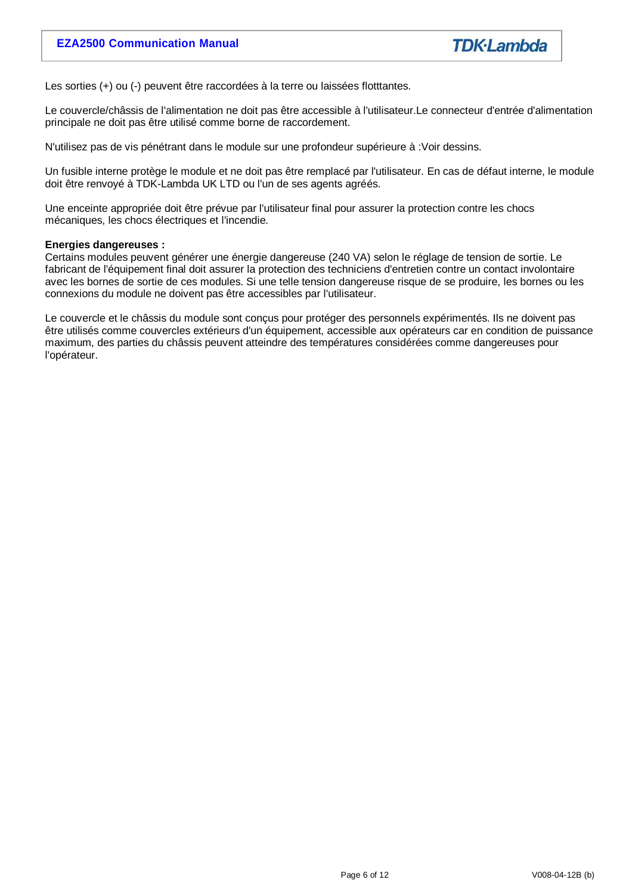Les sorties (+) ou (-) peuvent être raccordées à la terre ou laissées flotttantes.

Le couvercle/châssis de l'alimentation ne doit pas être accessible à l'utilisateur.Le connecteur d'entrée d'alimentation principale ne doit pas être utilisé comme borne de raccordement.

N'utilisez pas de vis pénétrant dans le module sur une profondeur supérieure à :Voir dessins.

Un fusible interne protège le module et ne doit pas être remplacé par l'utilisateur. En cas de défaut interne, le module doit être renvoyé à TDK-Lambda UK LTD ou l'un de ses agents agréés.

Une enceinte appropriée doit être prévue par l'utilisateur final pour assurer la protection contre les chocs mécaniques, les chocs électriques et l'incendie.

#### **Energies dangereuses :**

Certains modules peuvent générer une énergie dangereuse (240 VA) selon le réglage de tension de sortie. Le fabricant de l'équipement final doit assurer la protection des techniciens d'entretien contre un contact involontaire avec les bornes de sortie de ces modules. Si une telle tension dangereuse risque de se produire, les bornes ou les connexions du module ne doivent pas être accessibles par l'utilisateur.

Le couvercle et le châssis du module sont conçus pour protéger des personnels expérimentés. Ils ne doivent pas être utilisés comme couvercles extérieurs d'un équipement, accessible aux opérateurs car en condition de puissance maximum, des parties du châssis peuvent atteindre des températures considérées comme dangereuses pour l'opérateur.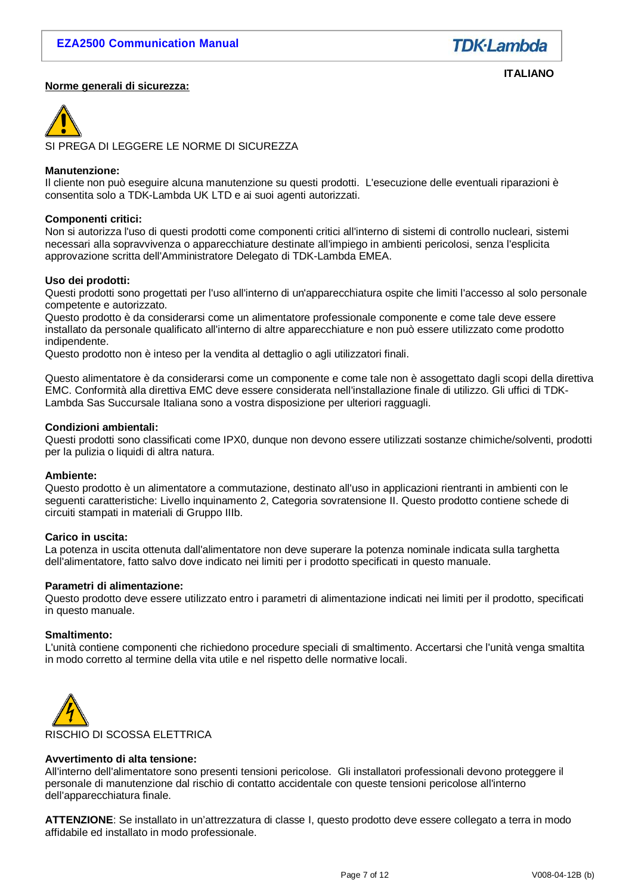

#### **Norme generali di sicurezza:**

**ITALIANO**



SI PREGA DI LEGGERE LE NORME DI SICUREZZA

#### **Manutenzione:**

Il cliente non può eseguire alcuna manutenzione su questi prodotti. L'esecuzione delle eventuali riparazioni è consentita solo a TDK-Lambda UK LTD e ai suoi agenti autorizzati.

#### **Componenti critici:**

Non si autorizza l'uso di questi prodotti come componenti critici all'interno di sistemi di controllo nucleari, sistemi necessari alla sopravvivenza o apparecchiature destinate all'impiego in ambienti pericolosi, senza l'esplicita approvazione scritta dell'Amministratore Delegato di TDK-Lambda EMEA.

#### **Uso dei prodotti:**

Questi prodotti sono progettati per l'uso all'interno di un'apparecchiatura ospite che limiti l'accesso al solo personale competente e autorizzato.

Questo prodotto è da considerarsi come un alimentatore professionale componente e come tale deve essere installato da personale qualificato all'interno di altre apparecchiature e non può essere utilizzato come prodotto indipendente.

Questo prodotto non è inteso per la vendita al dettaglio o agli utilizzatori finali.

Questo alimentatore è da considerarsi come un componente e come tale non è assogettato dagli scopi della direttiva EMC. Conformità alla direttiva EMC deve essere considerata nell'installazione finale di utilizzo. Gli uffici di TDK-Lambda Sas Succursale Italiana sono a vostra disposizione per ulteriori ragguagli.

#### **Condizioni ambientali:**

Questi prodotti sono classificati come IPX0, dunque non devono essere utilizzati sostanze chimiche/solventi, prodotti per la pulizia o liquidi di altra natura.

#### **Ambiente:**

Questo prodotto è un alimentatore a commutazione, destinato all'uso in applicazioni rientranti in ambienti con le seguenti caratteristiche: Livello inquinamento 2, Categoria sovratensione II. Questo prodotto contiene schede di circuiti stampati in materiali di Gruppo IIIb.

#### **Carico in uscita:**

La potenza in uscita ottenuta dall'alimentatore non deve superare la potenza nominale indicata sulla targhetta dell'alimentatore, fatto salvo dove indicato nei limiti per i prodotto specificati in questo manuale.

#### **Parametri di alimentazione:**

Questo prodotto deve essere utilizzato entro i parametri di alimentazione indicati nei limiti per il prodotto, specificati in questo manuale.

#### **Smaltimento:**

L'unità contiene componenti che richiedono procedure speciali di smaltimento. Accertarsi che l'unità venga smaltita in modo corretto al termine della vita utile e nel rispetto delle normative locali.



#### **Avvertimento di alta tensione:**

All'interno dell'alimentatore sono presenti tensioni pericolose. Gli installatori professionali devono proteggere il personale di manutenzione dal rischio di contatto accidentale con queste tensioni pericolose all'interno dell'apparecchiatura finale.

**ATTENZIONE**: Se installato in un'attrezzatura di classe I, questo prodotto deve essere collegato a terra in modo affidabile ed installato in modo professionale.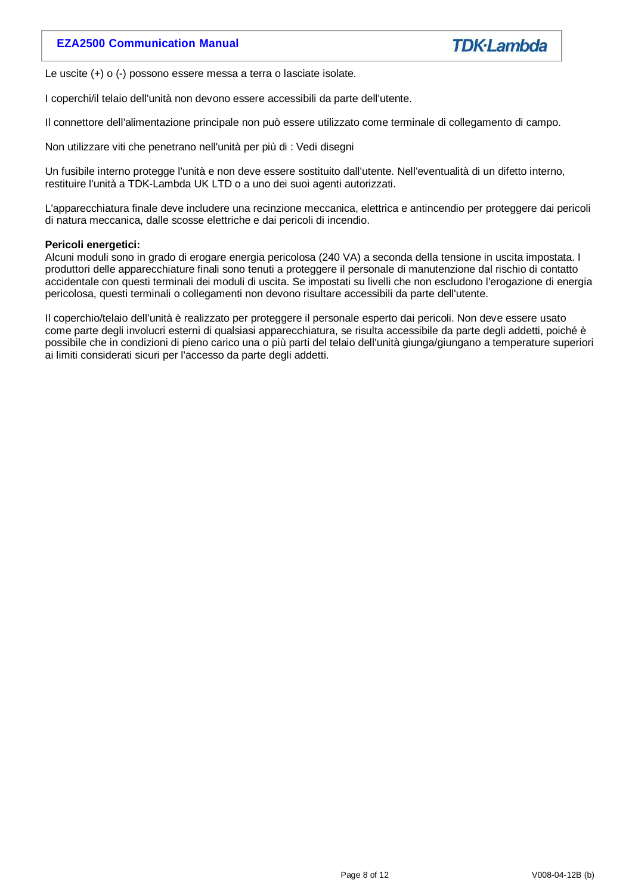# **EZA2500 Communication Manual**



Le uscite (+) o (-) possono essere messa a terra o lasciate isolate.

I coperchi/il telaio dell'unità non devono essere accessibili da parte dell'utente.

Il connettore dell'alimentazione principale non può essere utilizzato come terminale di collegamento di campo.

Non utilizzare viti che penetrano nell'unità per più di : Vedi disegni

Un fusibile interno protegge l'unità e non deve essere sostituito dall'utente. Nell'eventualità di un difetto interno, restituire l'unità a TDK-Lambda UK LTD o a uno dei suoi agenti autorizzati.

L'apparecchiatura finale deve includere una recinzione meccanica, elettrica e antincendio per proteggere dai pericoli di natura meccanica, dalle scosse elettriche e dai pericoli di incendio.

#### **Pericoli energetici:**

Alcuni moduli sono in grado di erogare energia pericolosa (240 VA) a seconda della tensione in uscita impostata. I produttori delle apparecchiature finali sono tenuti a proteggere il personale di manutenzione dal rischio di contatto accidentale con questi terminali dei moduli di uscita. Se impostati su livelli che non escludono l'erogazione di energia pericolosa, questi terminali o collegamenti non devono risultare accessibili da parte dell'utente.

Il coperchio/telaio dell'unità è realizzato per proteggere il personale esperto dai pericoli. Non deve essere usato come parte degli involucri esterni di qualsiasi apparecchiatura, se risulta accessibile da parte degli addetti, poiché è possibile che in condizioni di pieno carico una o più parti del telaio dell'unità giunga/giungano a temperature superiori ai limiti considerati sicuri per l'accesso da parte degli addetti.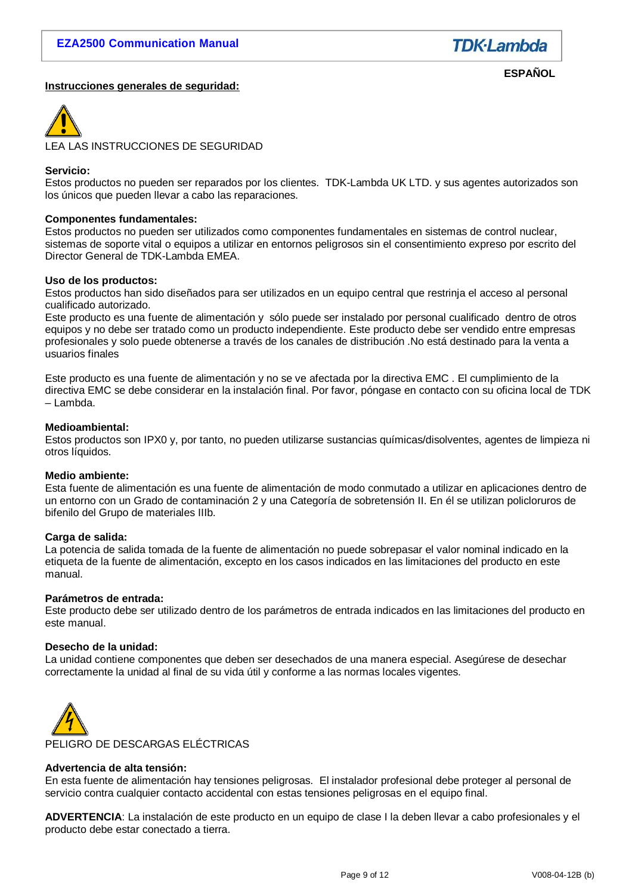

#### **Instrucciones generales de seguridad:**

**ESPAÑOL**



LEA LAS INSTRUCCIONES DE SEGURIDAD

#### **Servicio:**

Estos productos no pueden ser reparados por los clientes. TDK-Lambda UK LTD. y sus agentes autorizados son los únicos que pueden llevar a cabo las reparaciones.

#### **Componentes fundamentales:**

Estos productos no pueden ser utilizados como componentes fundamentales en sistemas de control nuclear, sistemas de soporte vital o equipos a utilizar en entornos peligrosos sin el consentimiento expreso por escrito del Director General de TDK-Lambda EMEA.

#### **Uso de los productos:**

Estos productos han sido diseñados para ser utilizados en un equipo central que restrinja el acceso al personal cualificado autorizado.

Este producto es una fuente de alimentación y sólo puede ser instalado por personal cualificado dentro de otros equipos y no debe ser tratado como un producto independiente. Este producto debe ser vendido entre empresas profesionales y solo puede obtenerse a través de los canales de distribución .No está destinado para la venta a usuarios finales

Este producto es una fuente de alimentación y no se ve afectada por la directiva EMC . El cumplimiento de la directiva EMC se debe considerar en la instalación final. Por favor, póngase en contacto con su oficina local de TDK – Lambda.

#### **Medioambiental:**

Estos productos son IPX0 y, por tanto, no pueden utilizarse sustancias químicas/disolventes, agentes de limpieza ni otros líquidos.

#### **Medio ambiente:**

Esta fuente de alimentación es una fuente de alimentación de modo conmutado a utilizar en aplicaciones dentro de un entorno con un Grado de contaminación 2 y una Categoría de sobretensión II. En él se utilizan policloruros de bifenilo del Grupo de materiales IIIb.

#### **Carga de salida:**

La potencia de salida tomada de la fuente de alimentación no puede sobrepasar el valor nominal indicado en la etiqueta de la fuente de alimentación, excepto en los casos indicados en las limitaciones del producto en este manual.

#### **Parámetros de entrada:**

Este producto debe ser utilizado dentro de los parámetros de entrada indicados en las limitaciones del producto en este manual.

#### **Desecho de la unidad:**

La unidad contiene componentes que deben ser desechados de una manera especial. Asegúrese de desechar correctamente la unidad al final de su vida útil y conforme a las normas locales vigentes.



#### **Advertencia de alta tensión:**

En esta fuente de alimentación hay tensiones peligrosas. El instalador profesional debe proteger al personal de servicio contra cualquier contacto accidental con estas tensiones peligrosas en el equipo final.

**ADVERTENCIA**: La instalación de este producto en un equipo de clase I la deben llevar a cabo profesionales y el producto debe estar conectado a tierra.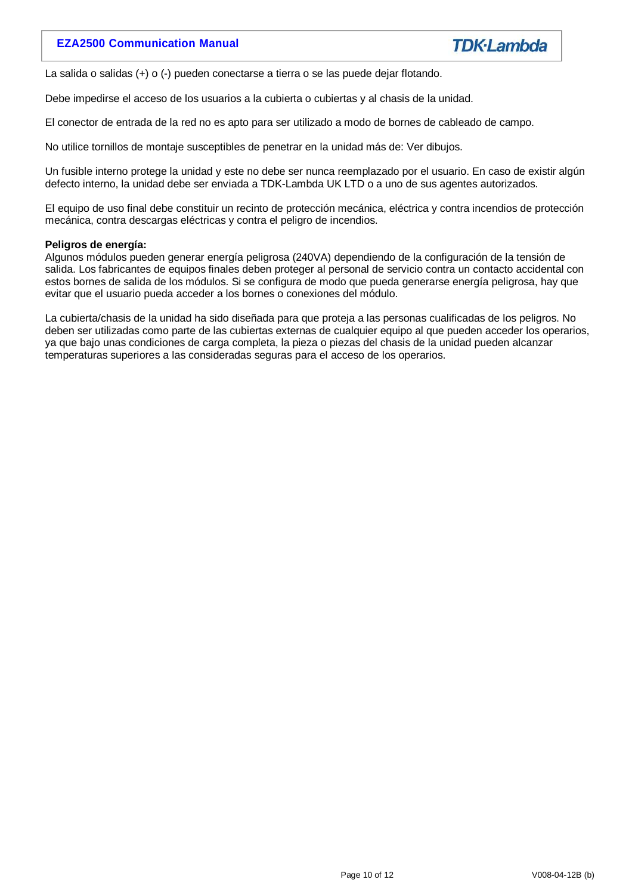# **EZA2500 Communication Manual**



La salida o salidas (+) o (-) pueden conectarse a tierra o se las puede dejar flotando.

Debe impedirse el acceso de los usuarios a la cubierta o cubiertas y al chasis de la unidad.

El conector de entrada de la red no es apto para ser utilizado a modo de bornes de cableado de campo.

No utilice tornillos de montaje susceptibles de penetrar en la unidad más de: Ver dibujos.

Un fusible interno protege la unidad y este no debe ser nunca reemplazado por el usuario. En caso de existir algún defecto interno, la unidad debe ser enviada a TDK-Lambda UK LTD o a uno de sus agentes autorizados.

El equipo de uso final debe constituir un recinto de protección mecánica, eléctrica y contra incendios de protección mecánica, contra descargas eléctricas y contra el peligro de incendios.

#### **Peligros de energía:**

Algunos módulos pueden generar energía peligrosa (240VA) dependiendo de la configuración de la tensión de salida. Los fabricantes de equipos finales deben proteger al personal de servicio contra un contacto accidental con estos bornes de salida de los módulos. Si se configura de modo que pueda generarse energía peligrosa, hay que evitar que el usuario pueda acceder a los bornes o conexiones del módulo.

La cubierta/chasis de la unidad ha sido diseñada para que proteja a las personas cualificadas de los peligros. No deben ser utilizadas como parte de las cubiertas externas de cualquier equipo al que pueden acceder los operarios, ya que bajo unas condiciones de carga completa, la pieza o piezas del chasis de la unidad pueden alcanzar temperaturas superiores a las consideradas seguras para el acceso de los operarios.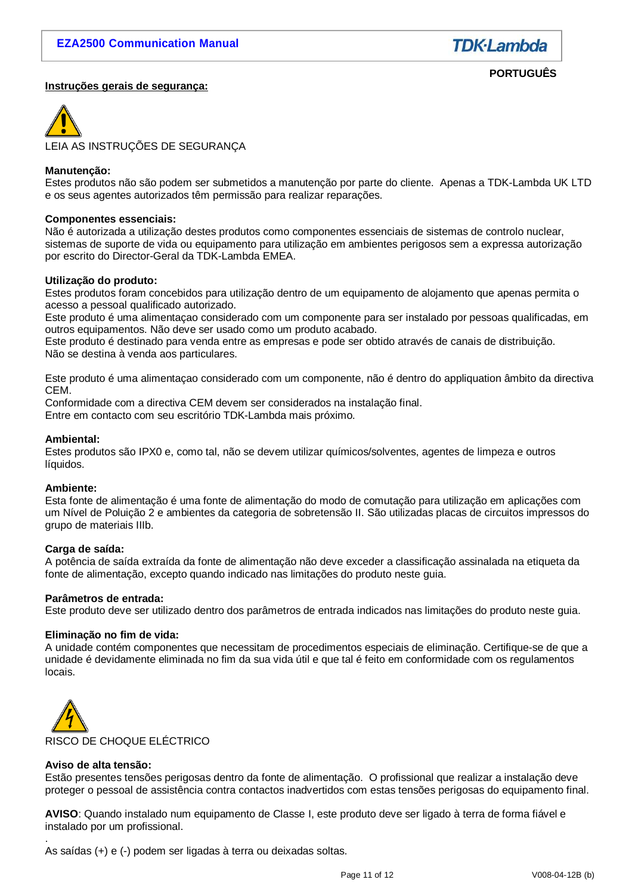

**PORTUGUÊS**

#### **Instruções gerais de segurança:**

LEIA AS INSTRUÇÕES DE SEGURANÇA

#### **Manutenção:**

Estes produtos não são podem ser submetidos a manutenção por parte do cliente. Apenas a TDK-Lambda UK LTD e os seus agentes autorizados têm permissão para realizar reparações.

#### **Componentes essenciais:**

Não é autorizada a utilização destes produtos como componentes essenciais de sistemas de controlo nuclear, sistemas de suporte de vida ou equipamento para utilização em ambientes perigosos sem a expressa autorização por escrito do Director-Geral da TDK-Lambda EMEA.

#### **Utilização do produto:**

Estes produtos foram concebidos para utilização dentro de um equipamento de alojamento que apenas permita o acesso a pessoal qualificado autorizado.

Este produto é uma alimentaçao considerado com um componente para ser instalado por pessoas qualificadas, em outros equipamentos. Não deve ser usado como um produto acabado.

Este produto é destinado para venda entre as empresas e pode ser obtido através de canais de distribuição. Não se destina à venda aos particulares.

Este produto é uma alimentaçao considerado com um componente, não é dentro do appliquation âmbito da directiva CEM.

Conformidade com a directiva CEM devem ser considerados na instalação final. Entre em contacto com seu escritório TDK-Lambda mais próximo.

#### **Ambiental:**

Estes produtos são IPX0 e, como tal, não se devem utilizar químicos/solventes, agentes de limpeza e outros líquidos.

#### **Ambiente:**

Esta fonte de alimentação é uma fonte de alimentação do modo de comutação para utilização em aplicações com um Nível de Poluição 2 e ambientes da categoria de sobretensão II. São utilizadas placas de circuitos impressos do grupo de materiais IIIb.

#### **Carga de saída:**

A potência de saída extraída da fonte de alimentação não deve exceder a classificação assinalada na etiqueta da fonte de alimentação, excepto quando indicado nas limitações do produto neste guia.

#### **Parâmetros de entrada:**

Este produto deve ser utilizado dentro dos parâmetros de entrada indicados nas limitações do produto neste guia.

#### **Eliminação no fim de vida:**

A unidade contém componentes que necessitam de procedimentos especiais de eliminação. Certifique-se de que a unidade é devidamente eliminada no fim da sua vida útil e que tal é feito em conformidade com os regulamentos locais.



#### **Aviso de alta tensão:**

Estão presentes tensões perigosas dentro da fonte de alimentação. O profissional que realizar a instalação deve proteger o pessoal de assistência contra contactos inadvertidos com estas tensões perigosas do equipamento final.

**AVISO**: Quando instalado num equipamento de Classe I, este produto deve ser ligado à terra de forma fiável e instalado por um profissional.

. As saídas (+) e (-) podem ser ligadas à terra ou deixadas soltas.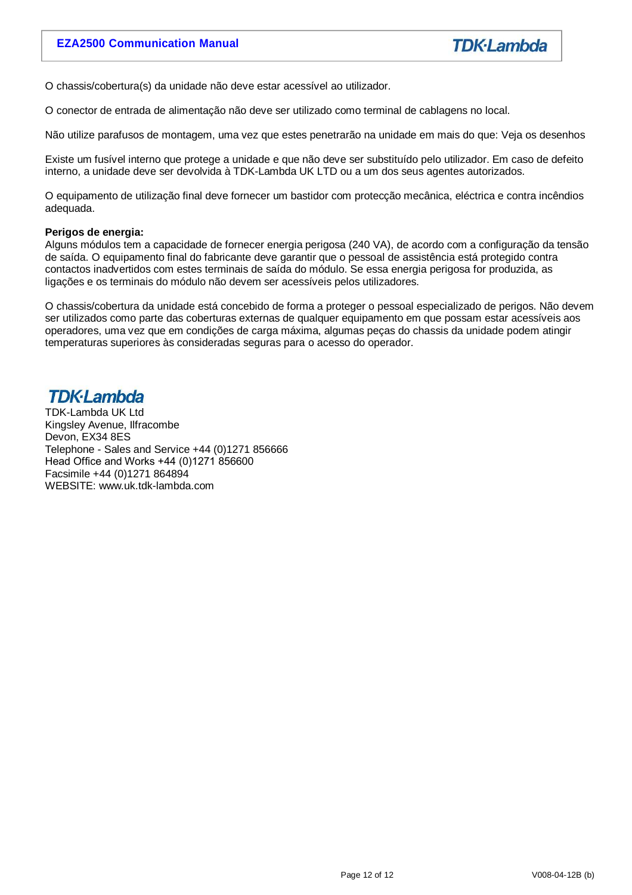O chassis/cobertura(s) da unidade não deve estar acessível ao utilizador.

O conector de entrada de alimentação não deve ser utilizado como terminal de cablagens no local.

Não utilize parafusos de montagem, uma vez que estes penetrarão na unidade em mais do que: Veja os desenhos

Existe um fusível interno que protege a unidade e que não deve ser substituído pelo utilizador. Em caso de defeito interno, a unidade deve ser devolvida à TDK-Lambda UK LTD ou a um dos seus agentes autorizados.

O equipamento de utilização final deve fornecer um bastidor com protecção mecânica, eléctrica e contra incêndios adequada.

#### **Perigos de energia:**

Alguns módulos tem a capacidade de fornecer energia perigosa (240 VA), de acordo com a configuração da tensão de saída. O equipamento final do fabricante deve garantir que o pessoal de assistência está protegido contra contactos inadvertidos com estes terminais de saída do módulo. Se essa energia perigosa for produzida, as ligações e os terminais do módulo não devem ser acessíveis pelos utilizadores.

O chassis/cobertura da unidade está concebido de forma a proteger o pessoal especializado de perigos. Não devem ser utilizados como parte das coberturas externas de qualquer equipamento em que possam estar acessíveis aos operadores, uma vez que em condições de carga máxima, algumas peças do chassis da unidade podem atingir temperaturas superiores às consideradas seguras para o acesso do operador.

# **TDK-I ambda**

TDK-Lambda UK Ltd Kingsley Avenue, Ilfracombe Devon, EX34 8ES Telephone - Sales and Service +44 (0)1271 856666 Head Office and Works +44 (0)1271 856600 Facsimile +44 (0)1271 864894 WEBSITE: www.uk.tdk-lambda.com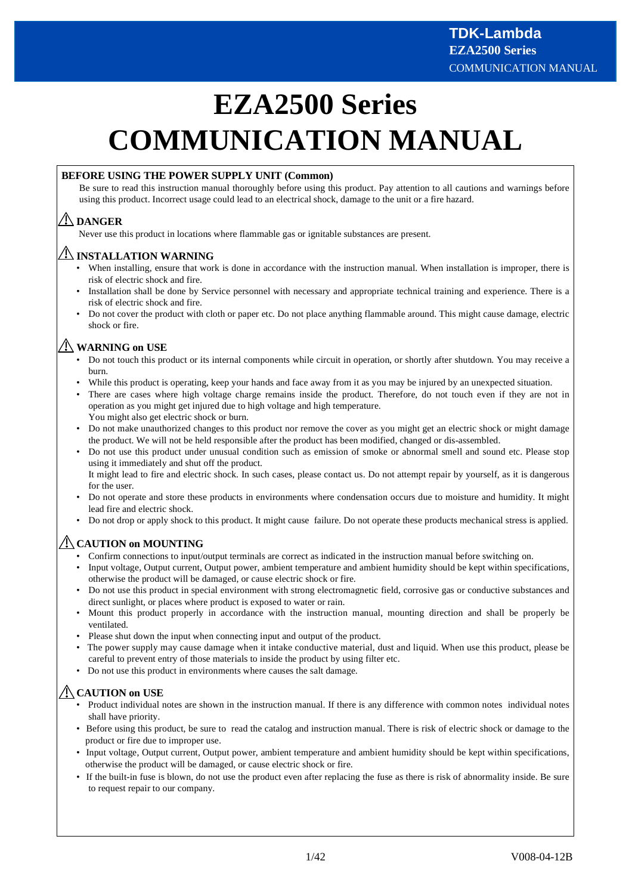# **EZA2500 Series COMMUNICATION MANUAL**

#### **BEFORE USING THE POWER SUPPLY UNIT (Common)**

Be sure to read this instruction manual thoroughly before using this product. Pay attention to all cautions and warnings before using this product. Incorrect usage could lead to an electrical shock, damage to the unit or a fire hazard.

# **DANGER**

Never use this product in locations where flammable gas or ignitable substances are present.

## **INSTALLATION WARNING**

- When installing, ensure that work is done in accordance with the instruction manual. When installation is improper, there is risk of electric shock and fire.
- Installation shall be done by Service personnel with necessary and appropriate technical training and experience. There is a risk of electric shock and fire.
- t Do not cover the product with cloth or paper etc. Do not place anything flammable around. This might cause damage, electric shock or fire.

# **WARNING on USE**

- Do not touch this product or its internal components while circuit in operation, or shortly after shutdown. You may receive a burn.
- t While this product is operating, keep your hands and face away from it as you may be injured by an unexpected situation.
- t There are cases where high voltage charge remains inside the product. Therefore, do not touch even if they are not in operation as you might get injured due to high voltage and high temperature.
	- You might also get electric shock or burn.
- Do not make unauthorized changes to this product nor remove the cover as you might get an electric shock or might damage the product. We will not be held responsible after the product has been modified, changed or dis-assembled.
- t Do not use this product under unusual condition such as emission of smoke or abnormal smell and sound etc. Please stop using it immediately and shut off the product. It might lead to fire and electric shock. In such cases, please contact us. Do not attempt repair by yourself, as it is dangerous

for the user.

- t Do not operate and store these products in environments where condensation occurs due to moisture and humidity. It might lead fire and electric shock.
- Do not drop or apply shock to this product. It might cause failure. Do not operate these products mechanical stress is applied.

# **CAUTION on MOUNTING**

- t Confirm connections to input/output terminals are correct as indicated in the instruction manual before switching on.
- Input voltage, Output current, Output power, ambient temperature and ambient humidity should be kept within specifications, otherwise the product will be damaged, or cause electric shock or fire.
- Do not use this product in special environment with strong electromagnetic field, corrosive gas or conductive substances and direct sunlight, or places where product is exposed to water or rain.
- t Mount this product properly in accordance with the instruction manual, mounting direction and shall be properly be ventilated.
- Please shut down the input when connecting input and output of the product.
- t The power supply may cause damage when it intake conductive material, dust and liquid. When use this product, please be careful to prevent entry of those materials to inside the product by using filter etc.
- Do not use this product in environments where causes the salt damage.

# **CAUTION on USE**

- Product individual notes are shown in the instruction manual. If there is any difference with common notes individual notes shall have priority.
- Before using this product, be sure to read the catalog and instruction manual. There is risk of electric shock or damage to the product or fire due to improper use.
- Input voltage, Output current, Output power, ambient temperature and ambient humidity should be kept within specifications, otherwise the product will be damaged, or cause electric shock or fire.
- t If the built-in fuse is blown, do not use the product even after replacing the fuse as there is risk of abnormality inside. Be sure to request repair to our company.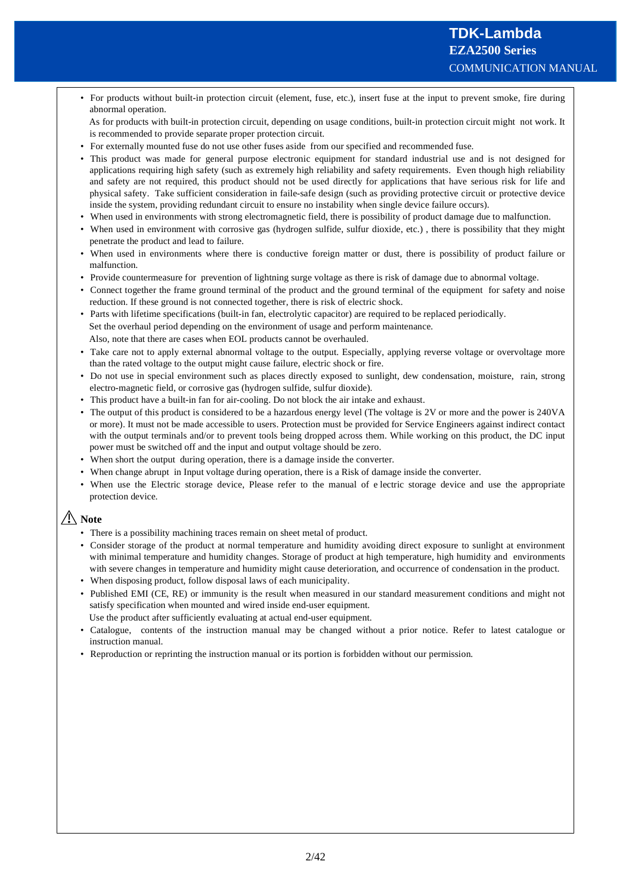• For products without built-in protection circuit (element, fuse, etc.), insert fuse at the input to prevent smoke, fire during abnormal operation.

As for products with built-in protection circuit, depending on usage conditions, built-in protection circuit might not work. It is recommended to provide separate proper protection circuit.

- For externally mounted fuse do not use other fuses aside from our specified and recommended fuse.
- t This product was made for general purpose electronic equipment for standard industrial use and is not designed for applications requiring high safety (such as extremely high reliability and safety requirements. Even though high reliability and safety are not required, this product should not be used directly for applications that have serious risk for life and physical safety. Take sufficient consideration in faile-safe design (such as providing protective circuit or protective device inside the system, providing redundant circuit to ensure no instability when single device failure occurs).
- t When used in environments with strong electromagnetic field, there is possibility of product damage due to malfunction.
- When used in environment with corrosive gas (hydrogen sulfide, sulfur dioxide, etc.), there is possibility that they might penetrate the product and lead to failure.
- When used in environments where there is conductive foreign matter or dust, there is possibility of product failure or malfunction.
- Provide countermeasure for prevention of lightning surge voltage as there is risk of damage due to abnormal voltage.
- Connect together the frame ground terminal of the product and the ground terminal of the equipment for safety and noise reduction. If these ground is not connected together, there is risk of electric shock.
- t Parts with lifetime specifications (built-in fan, electrolytic capacitor) are required to be replaced periodically. Set the overhaul period depending on the environment of usage and perform maintenance. Also, note that there are cases when EOL products cannot be overhauled.
- Take care not to apply external abnormal voltage to the output. Especially, applying reverse voltage or overvoltage more than the rated voltage to the output might cause failure, electric shock or fire.
- t Do not use in special environment such as places directly exposed to sunlight, dew condensation, moisture, rain, strong electro-magnetic field, or corrosive gas (hydrogen sulfide, sulfur dioxide).
- This product have a built-in fan for air-cooling. Do not block the air intake and exhaust.
- The output of this product is considered to be a hazardous energy level (The voltage is  $2V$  or more and the power is  $240VA$ or more). It must not be made accessible to users. Protection must be provided for Service Engineers against indirect contact with the output terminals and/or to prevent tools being dropped across them. While working on this product, the DC input power must be switched off and the input and output voltage should be zero.
- When short the output during operation, there is a damage inside the converter.
- When change abrupt in Input voltage during operation, there is a Risk of damage inside the converter.
- t When use the Electric storage device, Please refer to the manual of e lectric storage device and use the appropriate protection device.

# **Note**

- There is a possibility machining traces remain on sheet metal of product.
- Consider storage of the product at normal temperature and humidity avoiding direct exposure to sunlight at environment with minimal temperature and humidity changes. Storage of product at high temperature, high humidity and environments with severe changes in temperature and humidity might cause deterioration, and occurrence of condensation in the product.
- When disposing product, follow disposal laws of each municipality.
- Published EMI (CE, RE) or immunity is the result when measured in our standard measurement conditions and might not satisfy specification when mounted and wired inside end-user equipment. Use the product after sufficiently evaluating at actual end-user equipment.
- Catalogue, contents of the instruction manual may be changed without a prior notice. Refer to latest catalogue or instruction manual.
- t Reproduction or reprinting the instruction manual or its portion is forbidden without our permission.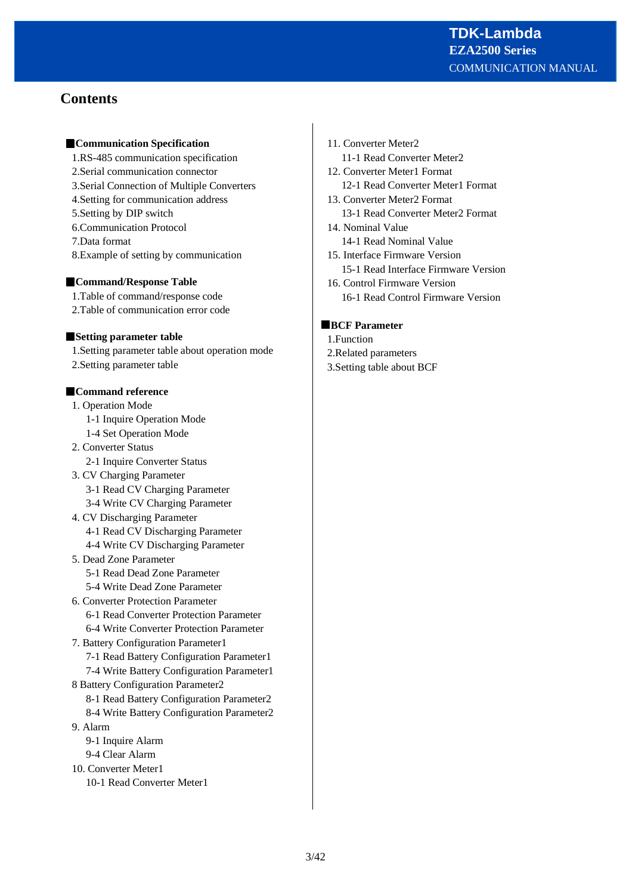# **Contents**

#### **Communication Specification**

- 1.RS-485 communication specification
- 2.Serial communication connector
- 3.Serial Connection of Multiple Converters
- 4.Setting for communication address
- 5.Setting by DIP switch
- 6.Communication Protocol
- 7.Data format
- 8.Example of setting by communication

#### **Command/Response Table**

- 1.Table of command/response code
- 2.Table of communication error code

#### **Setting parameter table**

1.Setting parameter table about operation mode 2.Setting parameter table

#### **Command reference**

- 1. Operation Mode
	- 1-1 Inquire Operation Mode
	- 1-4 Set Operation Mode
- 2. Converter Status 2-1 Inquire Converter Status
- 3. CV Charging Parameter
	- 3-1 Read CV Charging Parameter
	- 3-4 Write CV Charging Parameter
- 4. CV Discharging Parameter 4-1 Read CV Discharging Parameter 4-4 Write CV Discharging Parameter
- 5. Dead Zone Parameter
- 5-1 Read Dead Zone Parameter
	- 5-4 Write Dead Zone Parameter
- 6. Converter Protection Parameter
	- 6-1 Read Converter Protection Parameter
	- 6-4 Write Converter Protection Parameter
- 7. Battery Configuration Parameter1 7-1 Read Battery Configuration Parameter1
	- 7-4 Write Battery Configuration Parameter1
- 8 Battery Configuration Parameter2
	- 8-1 Read Battery Configuration Parameter2 8-4 Write Battery Configuration Parameter2
- 9. Alarm
	- 9-1 Inquire Alarm 9-4 Clear Alarm
- 10. Converter Meter1
	- 10-1 Read Converter Meter1
- 11. Converter Meter2 11-1 Read Converter Meter2
- 12. Converter Meter1 Format 12-1 Read Converter Meter1 Format
- 13. Converter Meter2 Format 13-1 Read Converter Meter2 Format
- 14. Nominal Value 14-1 Read Nominal Value
- 15. Interface Firmware Version
	- 15-1 Read Interface Firmware Version
- 16. Control Firmware Version 16-1 Read Control Firmware Version

#### **BCF Parameter**

- 1.Function
- 2.Related parameters
- 3.Setting table about BCF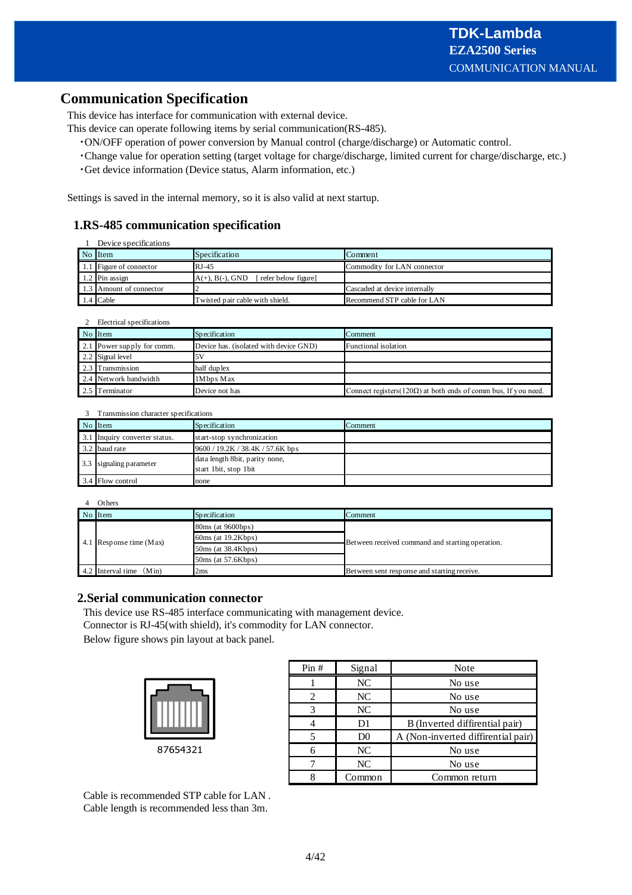# **Communication Specification**

This device has interface for communication with external device.

- This device can operate following items by serial communication(RS-485).
	- /ON/OFF operation of power conversion by Manual control (charge/discharge) or Automatic control.
	- /Change value for operation setting (target voltage for charge/discharge, limited current for charge/discharge, etc.)
	- /Get device information (Device status, Alarm information, etc.)

Settings is saved in the internal memory, so it is also valid at next startup.

# **1.RS-485 communication specification**

| Device specifications   |                                        |                               |  |  |  |  |  |
|-------------------------|----------------------------------------|-------------------------------|--|--|--|--|--|
| No Item                 | <b>Specification</b>                   | <b>I</b> Comment              |  |  |  |  |  |
| 1.1 Figure of connector | $RJ-45$                                | Commodity for LAN connector   |  |  |  |  |  |
| $1.2$ Pin assign        | $A(+), B(-), GND$ [refer below figure] |                               |  |  |  |  |  |
| 1.3 Amount of connector |                                        | Cascaded at device internally |  |  |  |  |  |
| $1.4$ Cable             | Twisted pair cable with shield.        | Recommend STP cable for LAN   |  |  |  |  |  |

|  |  |  | Electrical specifications |
|--|--|--|---------------------------|
|--|--|--|---------------------------|

| No Item                    | <b>Specification</b>                   | Comment                                                                |
|----------------------------|----------------------------------------|------------------------------------------------------------------------|
| 2.1 Power supply for comm. | Device has, (isolated with device GND) | <b>Functional</b> isolation                                            |
| 2.2 Signal level           |                                        |                                                                        |
| 2.3 Transmission           | half duplex                            |                                                                        |
| 2.4 Network bandwidth      | 1Mbps Max                              |                                                                        |
| Terminator                 | Device not has                         | Connect registers $(120\Omega)$ at both ends of comm bus, If you need. |

|     | Transmission character specifications |                                                         |         |  |  |  |  |  |
|-----|---------------------------------------|---------------------------------------------------------|---------|--|--|--|--|--|
|     | No Item                               | Specification                                           | Comment |  |  |  |  |  |
| 3.1 | Inquiry converter status.             | start-stop synchronization                              |         |  |  |  |  |  |
|     | 3.2 baud rate                         | 9600 / 19.2K / 38.4K / 57.6K bps                        |         |  |  |  |  |  |
| 3.3 | signaling parameter                   | data length 8bit, parity none,<br>start 1bit, stop 1bit |         |  |  |  |  |  |
|     | 3.4 Flow control                      | none                                                    |         |  |  |  |  |  |

|  | Others                    |                         |                                                  |  |  |
|--|---------------------------|-------------------------|--------------------------------------------------|--|--|
|  | No Item                   | Comment                 |                                                  |  |  |
|  |                           | $80ms$ (at $9600bps$ )  |                                                  |  |  |
|  | 4.1 Response time $(Max)$ | $60ms$ (at $19.2Kbps$ ) | Between received command and starting operation. |  |  |
|  |                           | 50ms (at 38.4Kbps)      |                                                  |  |  |
|  |                           | 50ms (at 57.6Kbps)      |                                                  |  |  |
|  | 4.2 Interval time $(Min)$ | 2ms                     | Between sent response and starting receive.      |  |  |

#### **2.Serial communication connector**

This device use RS-485 interface communicating with management device. Connector is RJ-45(with shield), it's commodity for LAN connector. Below figure shows pin layout at back panel.

| 87654321 |  |
|----------|--|

| Pin# | Signal         | Note                               |  |  |  |
|------|----------------|------------------------------------|--|--|--|
|      | NC             | No use                             |  |  |  |
|      | NC             | No use                             |  |  |  |
|      | <b>NC</b>      | No use                             |  |  |  |
|      | D1             | B (Inverted diffirential pair)     |  |  |  |
|      | D <sub>0</sub> | A (Non-inverted diffirential pair) |  |  |  |
|      | NC             | No use                             |  |  |  |
|      | NC             | No use                             |  |  |  |
|      | Common         | Common return                      |  |  |  |

Cable is recommended STP cable for LAN . Cable length is recommended less than 3m.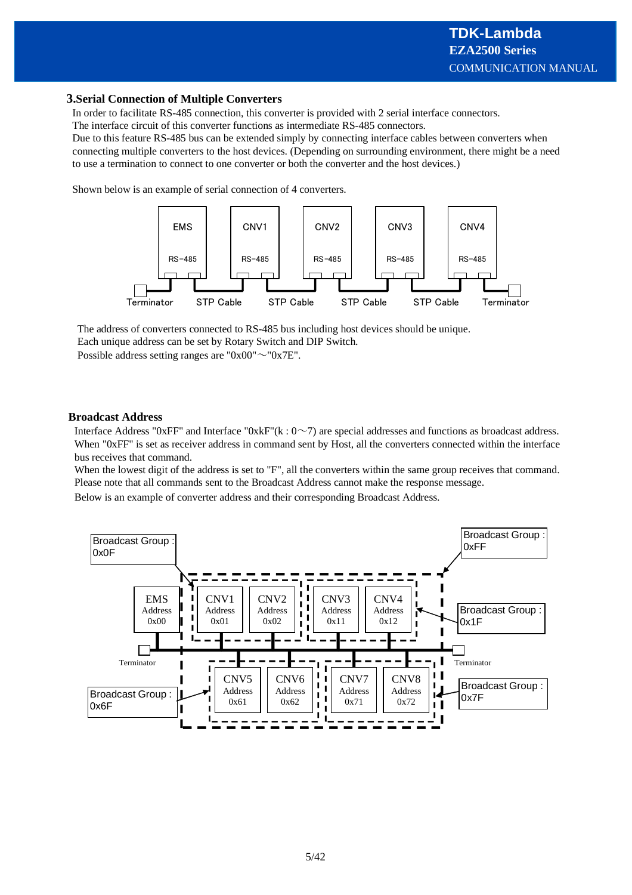#### **3.Serial Connection of Multiple Converters**

In order to facilitate RS-485 connection, this converter is provided with 2 serial interface connectors. The interface circuit of this converter functions as intermediate RS-485 connectors.

Due to this feature RS-485 bus can be extended simply by connecting interface cables between converters when connecting multiple converters to the host devices. (Depending on surrounding environment, there might be a need to use a termination to connect to one converter or both the converter and the host devices.)

Shown below is an example of serial connection of 4 converters.



The address of converters connected to RS-485 bus including host devices should be unique.

Each unique address can be set by Rotary Switch and DIP Switch.

Possible address setting ranges are "0x00" $\sim$ "0x7E".

#### **Broadcast Address**

Interface Address "0xFF" and Interface "0xkF"(k :  $0\neg$ 7) are special addresses and functions as broadcast address. When "0xFF" is set as receiver address in command sent by Host, all the converters connected within the interface bus receives that command.

When the lowest digit of the address is set to "F", all the converters within the same group receives that command. Please note that all commands sent to the Broadcast Address cannot make the response message.

Below is an example of converter address and their corresponding Broadcast Address.

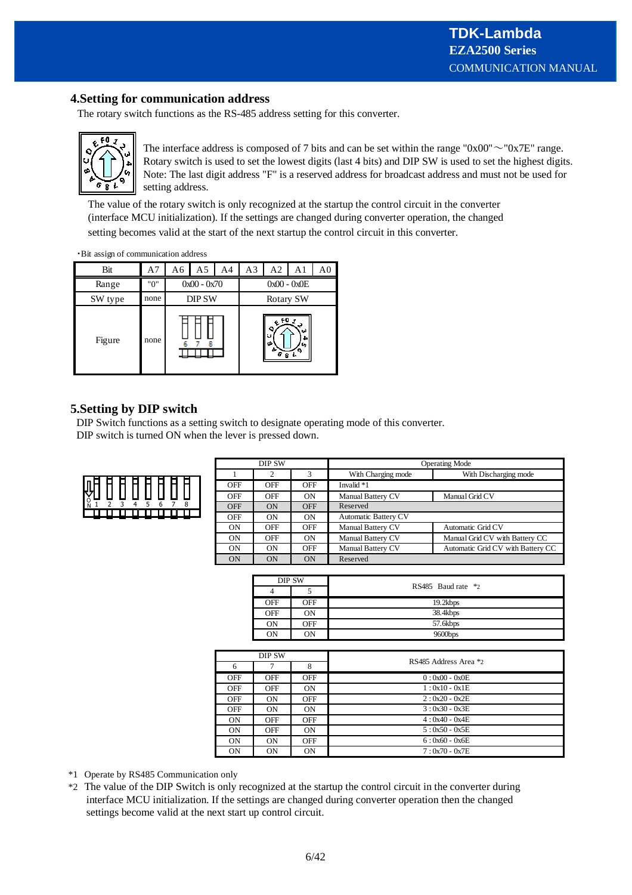## **4.Setting for communication address**

The rotary switch functions as the RS-485 address setting for this converter.



The interface address is composed of 7 bits and can be set within the range "0x00" $\sim$ "0x7E" range. Rotary switch is used to set the lowest digits (last 4 bits) and DIP SW is used to set the highest digits. Note: The last digit address "F" is a reserved address for broadcast address and must not be used for setting address.

The value of the rotary switch is only recognized at the startup the control circuit in the converter (interface MCU initialization). If the settings are changed during converter operation, the changed setting becomes valid at the start of the next startup the control circuit in this converter.

· Bit assign of communication address

| Bit     | A7   | A6                                | A5 | A4 | A <sub>3</sub> | A2            | A1 | A <sub>0</sub> |
|---------|------|-----------------------------------|----|----|----------------|---------------|----|----------------|
| Range   | "0"  | $0x00 - 0x70$                     |    |    | $0x00 - 0x0E$  |               |    |                |
| SW type | none | <b>DIP SW</b>                     |    |    | Rotary SW      |               |    |                |
| Figure  | none | $e^{f0}$ $i$<br>۰<br>ΙU<br>÷<br>8 |    |    |                | ωì<br>▵<br>с, |    |                |

## **5.Setting by DIP switch**

DIP Switch functions as a setting switch to designate operating mode of this converter. DIP switch is turned ON when the lever is pressed down.



| DIP SW     |           |            | <b>Operating Mode</b>                       |                                   |  |  |
|------------|-----------|------------|---------------------------------------------|-----------------------------------|--|--|
|            | ∠         |            | With Discharging mode<br>With Charging mode |                                   |  |  |
| OFF        | OFF       | OFF        | Invalid *1                                  |                                   |  |  |
| OFF        | OFF       | ON         | <b>Manual Battery CV</b><br>Manual Grid CV  |                                   |  |  |
| <b>OFF</b> | <b>ON</b> | <b>OFF</b> | Reserved                                    |                                   |  |  |
| OFF        | ON        | ON         | <b>Automatic Battery CV</b>                 |                                   |  |  |
| <b>ON</b>  | OFF       | <b>OFF</b> | Manual Battery CV<br>Automatic Grid CV      |                                   |  |  |
| <b>ON</b>  | OFF       | ON         | Manual Battery CV                           | Manual Grid CV with Battery CC    |  |  |
| ON         | ON        | <b>OFF</b> | <b>Manual Battery CV</b>                    | Automatic Grid CV with Battery CC |  |  |
| ON         | ON        | ON         | Reserved                                    |                                   |  |  |

|            | DIP SW         |                         |  |  |  |
|------------|----------------|-------------------------|--|--|--|
|            |                | RS485 Baud rate $*_{2}$ |  |  |  |
| OFF        | <b>OFF</b>     | 19.2kbps                |  |  |  |
| <b>OFF</b> | 0 <sub>N</sub> | 38.4kbps                |  |  |  |
| <b>ON</b>  | OFF            | 57.6kbps                |  |  |  |
| ON         | ON             | 9600bps                 |  |  |  |

|           | DIP SW    |            |                       |  |  |  |
|-----------|-----------|------------|-----------------------|--|--|--|
| 6         | ⇁         | 8          | RS485 Address Area *2 |  |  |  |
| OFF       | OFF       | <b>OFF</b> | $0:0x00 - 0x0E$       |  |  |  |
| OFF       | OFF       | <b>ON</b>  | $1:0x10 - 0x1E$       |  |  |  |
| OFF       | <b>ON</b> | <b>OFF</b> | $2:0x20 - 0x2E$       |  |  |  |
| OFF       | <b>ON</b> | <b>ON</b>  | $3:0x30 - 0x3E$       |  |  |  |
| <b>ON</b> | OFF       | OFF        | $4:0x40 - 0x4E$       |  |  |  |
| <b>ON</b> | OFF       | <b>ON</b>  | $5:0x50 - 0x5E$       |  |  |  |
| <b>ON</b> | <b>ON</b> | OFF        | $6:0x60 - 0x6E$       |  |  |  |
| <b>ON</b> | <b>ON</b> | ON         | $7:0x70 - 0x7E$       |  |  |  |

\*1 Operate by RS485 Communication only

\*2 The value of the DIP Switch is only recognized at the startup the control circuit in the converter during interface MCU initialization. If the settings are changed during converter operation then the changed settings become valid at the next start up control circuit.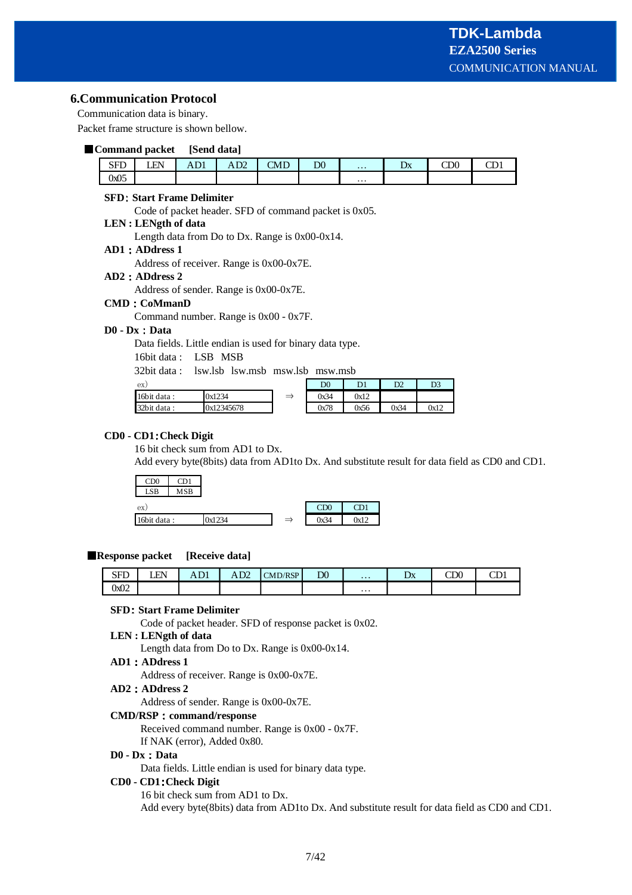#### **6.Communication Protocol**

Communication data is binary.

Packet frame structure is shown bellow.

#### **Command packet [Send data]**

| SEL<br>ິ | FN<br>-- | T <sub>1</sub><br>AD 1 | $\mathbf{a}$<br>AD4 | CMD | D <sub>0</sub> | $\cdots$ | ⊅Δ | $\cap$<br>w | $\sim$<br>ᅩ |
|----------|----------|------------------------|---------------------|-----|----------------|----------|----|-------------|-------------|
| 0x05     |          |                        |                     |     |                | $\cdots$ |    |             |             |

#### **SFD Start Frame Delimiter**

Code of packet header. SFD of command packet is 0x05.

# **LEN : LENgth of data**

Length data from Do to Dx. Range is 0x00-0x14.

#### **AD1 ADdress 1**

Address of receiver. Range is 0x00-0x7E.

#### **AD2 ADdress 2**

Address of sender. Range is 0x00-0x7E.

#### **CMD CoMmanD**

Command number. Range is 0x00 - 0x7F.

#### **D0 - Dx Data**

Data fields. Little endian is used for binary data type.

16bit data : LSB MSB

32bit data : lsw.lsb lsw.msb msw.lsb msw.msb

| ex)         |            |     | $_{\rm D0}$ | D <sub>1</sub> | D2   | D <sub>3</sub> |
|-------------|------------|-----|-------------|----------------|------|----------------|
| 16bit data: | 0x1234     | $-$ | 0x34        | 0x12           |      |                |
| 32bit data: | 0x12345678 |     | 0x78        | 0x56           | 0x34 | 0x12           |

#### **CD0 - CD1 Check Digit**

16 bit check sum from AD1 to Dx.

Add every byte(8bits) data from AD1to Dx. And substitute result for data field as CD0 and CD1.



#### **Response packet** [Receive data]

| $\mathbf{C} \mathbf{E} \mathbf{\Gamma}$<br>ນ ມ | E٨ | $\sim$<br>1111 | $\mathbf{a}$<br>AD4 | $\triangle M\Box RSP$ | D <sub>0</sub> | $\cdots$ | ⊷ | $\cap$<br>w | $\sim$<br>ີ |
|------------------------------------------------|----|----------------|---------------------|-----------------------|----------------|----------|---|-------------|-------------|
| 0x02                                           |    |                |                     |                       |                | $\cdots$ |   |             |             |

#### **SFD Start Frame Delimiter**

Code of packet header. SFD of response packet is 0x02.

**LEN : LENgth of data** Length data from Do to Dx. Range is 0x00-0x14.

#### **AD1 ADdress 1**

Address of receiver. Range is 0x00-0x7E.

#### **AD2 ADdress 2**

Address of sender. Range is 0x00-0x7E.

#### **CMD/RSP command/response**

Received command number. Range is 0x00 - 0x7F. If NAK (error), Added 0x80.

#### **D0 - Dx Data**

Data fields. Little endian is used for binary data type.

#### **CD0 - CD1 Check Digit**

16 bit check sum from AD1 to Dx. Add every byte(8bits) data from AD1to Dx. And substitute result for data field as CD0 and CD1.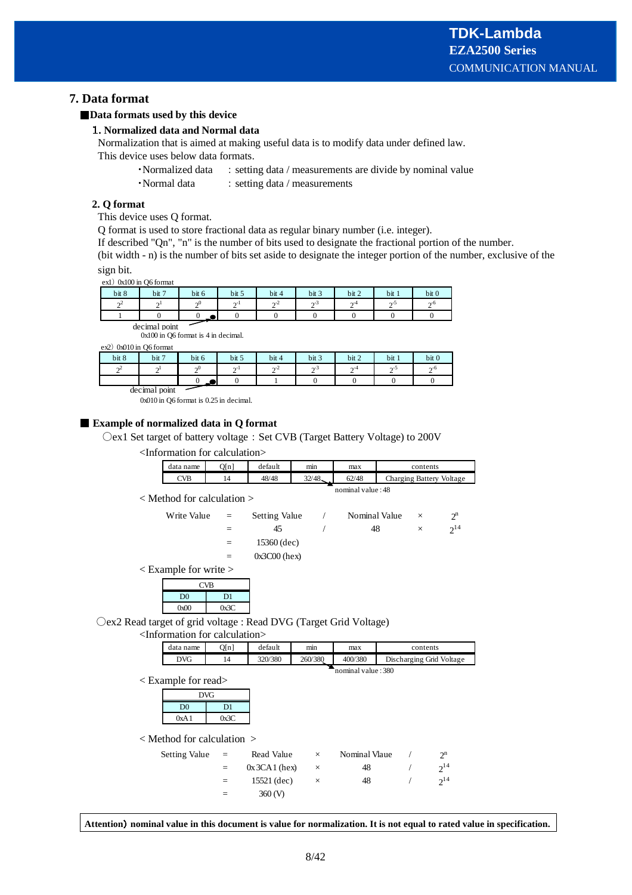# **7. Data format**

## **Data formats used by this device**

#### **. Normalized data and Normal data**

Normalization that is aimed at making useful data is to modify data under defined law.

- This device uses below data formats.
	- Normalized data : setting data / measurements are divide by nominal value
	- Normal data 3 setting data / measurements

#### **2. Q format**

This device uses Q format.

Q format is used to store fractional data as regular binary number (i.e. integer).

If described "Qn", "n" is the number of bits used to designate the fractional portion of the number.

(bit width - n) is the number of bits set aside to designate the integer portion of the number, exclusive of the sign bit.

ex1) 0x100 in Q6 format

| bit 8                    | bit 7         | bit 6         | bit 5             | bit 4     | bit 3 | bit 2          | bit 1 | bit <sub>0</sub> |  |  |  |
|--------------------------|---------------|---------------|-------------------|-----------|-------|----------------|-------|------------------|--|--|--|
| $\sim$ <sup>2</sup><br>∸ | $\sim$<br>∸   | $\sim 0$<br>∸ | $\mathbf{C}$<br>∸ | $\sim$ -4 | o-2   | $\sim$ -4<br>∸ | ∼-פ   | $\sim 6$<br>∸    |  |  |  |
|                          |               | $\sim$        |                   |           |       |                |       |                  |  |  |  |
|                          | decimal noint |               |                   |           |       |                |       |                  |  |  |  |

 $\text{ decimal point}$ <br> $0x100$  in Q6 format is 4 in decimal.

 $ex2)$  0x010 in O6 format

| bit 8  | bit 7         | bit 6  | bit 5  | bit 4        | bit 3       | bit 2                  | bit 1 | bit 0     |
|--------|---------------|--------|--------|--------------|-------------|------------------------|-------|-----------|
| $\sim$ | $\sim$        | $\sim$ | $\sim$ | $\sim$<br>-4 | $\sim$<br>∼ | $\mathbf{A}^{-\alpha}$ | ∼-פ   | $\sim$ -0 |
|        |               | - 22   |        |              |             |                        |       |           |
|        | decimal point |        |        |              |             |                        |       |           |

0x010 in Q6 format is 0.25 in decimal.

#### **Example of normalized data in Q format**

Oex1 Set target of battery voltage : Set CVB (Target Battery Voltage) to 200V

<Information for calculation>

| data name         | O[n] | default | mın    | max   | contents                 |  |  |  |  |  |  |
|-------------------|------|---------|--------|-------|--------------------------|--|--|--|--|--|--|
| CVB               | 14   | 48/48   | 32/48. | 62/48 | Charging Battery Voltage |  |  |  |  |  |  |
| nominal value: 48 |      |         |        |       |                          |  |  |  |  |  |  |

< Method for calculation >

| $\times$ | $2^{14}$ |
|----------|----------|
|          |          |
|          |          |
|          |          |

< Example for write >

| <b>CVB</b>     |      |  |  |  |  |  |  |
|----------------|------|--|--|--|--|--|--|
| D <sub>0</sub> | D1   |  |  |  |  |  |  |
| 0x00           | 0x3C |  |  |  |  |  |  |

Oex2 Read target of grid voltage : Read DVG (Target Grid Voltage)

<Information for calculation>

| data name | Q[n]               | default | $\cdot$<br>mın | max     | contents                 |  |  |  |  |  |  |  |
|-----------|--------------------|---------|----------------|---------|--------------------------|--|--|--|--|--|--|--|
| DVG       | 14                 | 320/380 | 260/380        | 400/380 | Discharging Grid Voltage |  |  |  |  |  |  |  |
|           | nominal value: 380 |         |                |         |                          |  |  |  |  |  |  |  |

< Example for read>

| <b>DVG</b>     |      |  |  |  |  |  |  |
|----------------|------|--|--|--|--|--|--|
| D <sub>0</sub> | D1   |  |  |  |  |  |  |
| 0xA1           | 0x3C |  |  |  |  |  |  |

< Method for calculation >

| Setting Value | $\mathbf{r} = \mathbf{r}$ | Read Value       | $\times$ | Nominal Vlaue | $2^n$    |
|---------------|---------------------------|------------------|----------|---------------|----------|
|               |                           | $0x$ 3CA 1 (hex) |          | 48            | $2^{14}$ |
|               |                           | $15521$ (dec)    | $\times$ | 48            | $2^{14}$ |
|               | =                         | $360 \, (V)$     |          |               |          |

**Attention nominal value in this document is value for normalization. It is not equal to rated value in specification.**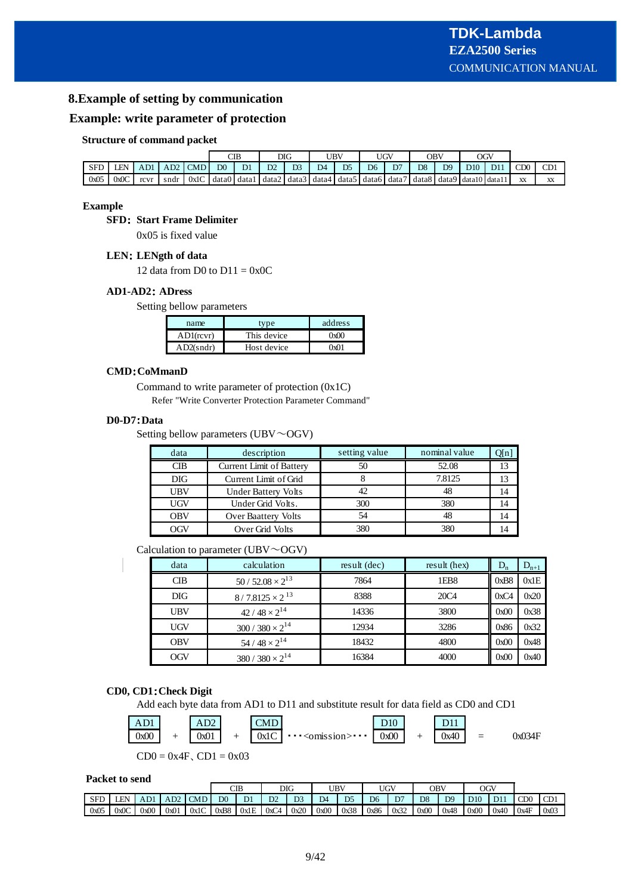## **8.Example of setting by communication**

#### **Example: write parameter of protection**

#### **Structure of command packet**

|      |      |      |      |      |                | CIB   | DIG   |                |                | UBV            | UGV            |       | OBV            |       | OGV             |     |     |           |
|------|------|------|------|------|----------------|-------|-------|----------------|----------------|----------------|----------------|-------|----------------|-------|-----------------|-----|-----|-----------|
| SFD  | LEN  | AD1  | AD2  | CMD  | D <sub>0</sub> | D1    | D2    | D <sub>3</sub> | D <sub>4</sub> | D <sub>5</sub> | D <sub>6</sub> | D7    | D <sub>8</sub> | D9    | D10             | D11 | CD0 | CD1       |
| 0x05 | 0x0C | rcvr | sndr | 0x1C | data0          | data1 | data2 | data3 data4    |                | data5          | data6          | data7 | data8          | data9 | / data10 data11 |     | XX  | <b>XX</b> |

#### **Example**

#### **SFD: Start Frame Delimiter**

0x05 is fixed value

#### **LEN LENgth of data**

12 data from D0 to  $D11 = 0x0C$ 

#### **AD1-AD2 ADress**

Setting bellow parameters

| name         | tvne        | address |
|--------------|-------------|---------|
| $AD1$ (rcvr) | This device | ውስ      |
| AD2(sndr)    | Host device | ቡብ1     |

#### **CMD CoMmanD**

Command to write parameter of protection (0x1C) Refer "Write Converter Protection Parameter Command"

#### **D0-D7 Data**

Setting bellow parameters (UBV $\sim$ OGV)

| data       | description                | setting value | nominal value | Q[n] |
|------------|----------------------------|---------------|---------------|------|
| CIB        | Current Limit of Battery   |               | 52.08         |      |
| <b>DIG</b> | Current Limit of Grid      |               | 7.8125        |      |
| <b>UBV</b> | <b>Under Battery Volts</b> | 42            |               | 14   |
| <b>UGV</b> | Under Grid Volts.          | 300           | 380           | 14   |
| <b>OBV</b> | Over Baattery Volts        | 54            | 48            | 14   |
| OGV        | Over Grid Volts            | 380           | 380           |      |

#### Calculation to parameter (UBV $\sim$ OGV)

| data       | calculation               | result (dec) | result (hex)     | $D_n$ | $D_{n+1}$ |
|------------|---------------------------|--------------|------------------|-------|-----------|
| CIB        | $50/52.08 \times 2^{13}$  | 7864         | 1EB <sub>8</sub> | 0xB8  | 0x1E      |
| <b>DIG</b> | $8/7.8125 \times 2^{13}$  | 8388         | <b>20C4</b>      | 0xC4  | 0x20      |
| UBV        | $42/48 \times 2^{14}$     | 14336        | 3800             | 0x00  | 0x38      |
| <b>UGV</b> | $300 / 380 \times 2^{14}$ | 12934        | 3286             | 0x86  | 0x32      |
| <b>OBV</b> | 54 / $48 \times 2^{14}$   | 18432        | 4800             | 0x00  | 0x48      |
| OGV        | $380 / 380 \times 2^{14}$ | 16384        | 4000             | 0x00  | 0x40      |

#### **CD0, CD1 Check Digit**

Add each byte data from AD1 to D11 and substitute result for data field as CD0 and CD1



#### **Packet to send**

|            |      |      |      |            |                | CIB            |      | DIG            |           | UBV            | <b>UGV</b>     |      |                | <b>OBV</b>     | OGV  |      |                 |                 |
|------------|------|------|------|------------|----------------|----------------|------|----------------|-----------|----------------|----------------|------|----------------|----------------|------|------|-----------------|-----------------|
| <b>SFD</b> | EN   | AD1  | AD2  | <b>CMD</b> | D <sub>0</sub> | D <sub>1</sub> | D2   | D <sub>3</sub> | <b>DA</b> | D <sub>5</sub> | D <sub>6</sub> | D7   | D <sub>8</sub> | D <sub>9</sub> | D10  | D11  | CD <sub>0</sub> | CD <sub>1</sub> |
| 0x05       | 0x0C | 0x00 | 0x01 | 0x1C       | 0xB8           | 0x1E           | 0xC4 | 0x20           | 0x00      | 0x38           | 0x86           | 0x32 | 0x00           | 0x48           | 0x00 | 0x40 | 0x4F            | 0x03            |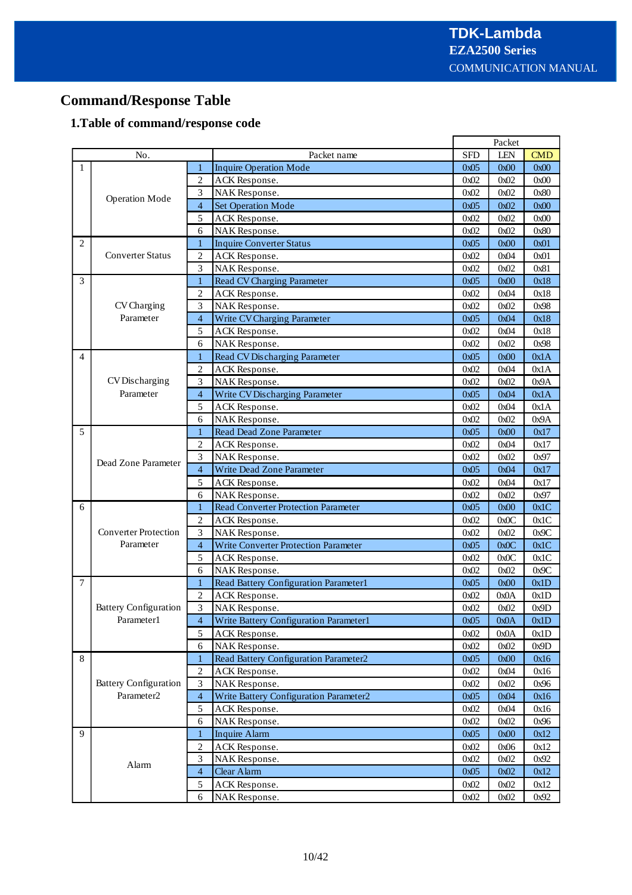# **Command/Response Table**

# **1.Table of command/response code**

|                |                              |                |                                             |            | Packet |            |
|----------------|------------------------------|----------------|---------------------------------------------|------------|--------|------------|
|                | No.                          |                | Packet name                                 | <b>SFD</b> | LEN    | <b>CMD</b> |
| $\mathbf{1}$   |                              | 1              | <b>Inquire Operation Mode</b>               | 0x05       | 0x00   | 0x00       |
|                |                              | $\overline{c}$ | ACK Response.                               | 0x02       | 0x02   | 0x00       |
|                | <b>Operation Mode</b>        | 3              | NAK Response.                               | 0x02       | 0x02   | 0x80       |
|                |                              | $\overline{4}$ | <b>Set Operation Mode</b>                   | 0x05       | 0x02   | 0x00       |
|                |                              | 5              | ACK Response.                               | 0x02       | 0x02   | 0x00       |
|                |                              | 6              | NAK Response.                               | 0x02       | 0x02   | 0x80       |
| $\overline{c}$ |                              | 1              | <b>Inquire Converter Status</b>             | 0x05       | 0x00   | 0x01       |
|                | <b>Converter Status</b>      | $\overline{2}$ | ACK Response.                               | 0x02       | 0x04   | 0x01       |
|                |                              | 3              | NAK Response.                               | 0x02       | 0x02   | 0x81       |
| 3              |                              | 1              | <b>Read CV Charging Parameter</b>           | 0x05       | 0x00   | 0x18       |
|                |                              | $\overline{2}$ | ACK Response.                               | 0x02       | 0x04   | 0x18       |
|                | CV Charging                  | 3              | NAK Response.                               | 0x02       | 0x02   | 0x98       |
|                | Parameter                    | $\overline{4}$ | Write CV Charging Parameter                 | 0x05       | 0x04   | 0x18       |
|                |                              | 5              | ACK Response.                               | 0x02       | 0x04   | 0x18       |
|                |                              | 6              | NAK Response.                               | 0x02       | 0x02   | 0x98       |
| 4              |                              | $\mathbf{1}$   | <b>Read CV Discharging Parameter</b>        | 0x05       | 0x00   | 0x1A       |
|                |                              | $\overline{c}$ | ACK Response.                               | 0x02       | 0x04   | 0x1A       |
|                | CV Discharging               | 3              | NAK Response.                               | 0x02       | 0x02   | 0x9A       |
|                | Parameter                    | $\overline{4}$ | Write CV Discharging Parameter              | 0x05       | 0x04   | 0x1A       |
|                |                              | 5              | ACK Response.                               | 0x02       | 0x04   | 0x1A       |
|                |                              | 6              | NAK Response.                               | 0x02       | 0x02   | 0x9A       |
| 5              |                              | 1              | Read Dead Zone Parameter                    | 0x05       | 0x00   | 0x17       |
|                | Dead Zone Parameter          | $\overline{c}$ | ACK Response.                               | 0x02       | 0x04   | 0x17       |
|                |                              | 3              | NAK Response.                               | 0x02       | 0x02   | 0x97       |
|                |                              | $\overline{4}$ | Write Dead Zone Parameter                   | 0x05       | 0x04   | 0x17       |
|                |                              | 5              | ACK Response.                               | 0x02       | 0x04   | 0x17       |
|                |                              | 6              | NAK Response.                               | 0x02       | 0x02   | 0x97       |
| 6              |                              | 1              | <b>Read Converter Protection Parameter</b>  | 0x05       | 0x00   | 0x1C       |
|                |                              | $\overline{2}$ | ACK Response.                               | 0x02       | 0x0C   | 0x1C       |
|                | <b>Converter Protection</b>  | 3              | NAK Response.                               | 0x02       | 0x02   | 0x9C       |
|                | Parameter                    | $\overline{4}$ | <b>Write Converter Protection Parameter</b> | 0x05       | 0x0C   | 0x1C       |
|                |                              | 5              | ACK Response.                               | 0x02       | 0x0C   | 0x1C       |
|                |                              | 6              | NAK Response.                               | 0x02       | 0x02   | 0x9C       |
| $\overline{7}$ |                              | $\mathbf{1}$   | Read Battery Configuration Parameter1       | 0x05       | 0x00   | 0x1D       |
|                |                              | $\overline{2}$ | ACK Response.                               | 0x02       | 0x0A   | 0x1D       |
|                | <b>Battery Configuration</b> | 3              | NAK Response.                               | 0x02       | 0x02   | 0x9D       |
|                | Parameter1                   | 4              | Write Battery Configuration Parameter1      | 0x05       | 0x0A   | 0x1D       |
|                |                              | 5              | ACK Response.                               | 0x02       | 0x0A   | 0x1D       |
|                |                              | 6              | NAK Response.                               | 0x02       | 0x02   | 0x9D       |
| 8              |                              | $\mathbf{1}$   | Read Battery Configuration Parameter2       | 0x05       | 0x00   | 0x16       |
|                |                              | $\overline{2}$ | ACK Response.                               | 0x02       | 0x04   | 0x16       |
|                | <b>Battery Configuration</b> | 3              | NAK Response.                               | 0x02       | 0x02   | 0x96       |
|                | Parameter2                   | $\overline{4}$ | Write Battery Configuration Parameter2      | 0x05       | 0x04   | 0x16       |
|                |                              | 5              | ACK Response.                               | 0x02       | 0x04   | 0x16       |
|                |                              | 6              | NAK Response.                               | 0x02       | 0x02   | 0x96       |
| 9              |                              | 1              | <b>Inquire Alarm</b>                        | 0x05       | 0x00   | 0x12       |
|                |                              | $\overline{2}$ | ACK Response.                               | 0x02       | 0x06   | 0x12       |
|                |                              | 3              | NAK Response.                               | 0x02       | 0x02   | 0x92       |
|                | Alarm                        | $\overline{4}$ | Clear Alarm                                 | 0x05       | 0x02   | 0x12       |
|                |                              | 5              | ACK Response.                               | 0x02       | 0x02   | 0x12       |
|                |                              | 6              | NAK Response.                               | 0x02       | 0x02   | 0x92       |
|                |                              |                |                                             |            |        |            |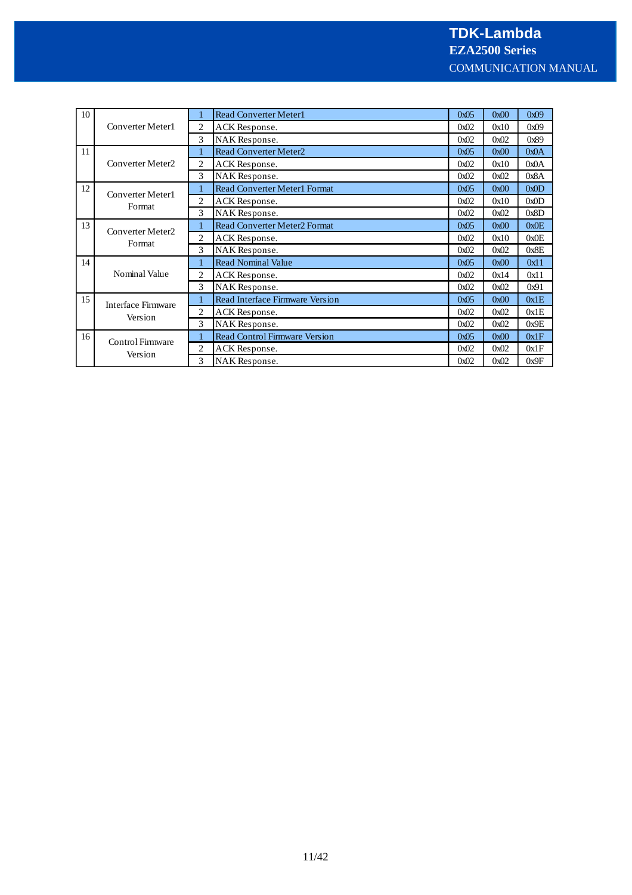| 10 |                           |                | <b>Read Converter Meter1</b>         | 0x05 | 0x00 | 0x09 |
|----|---------------------------|----------------|--------------------------------------|------|------|------|
|    | Converter Meter1          |                | ACK Response.                        | 0x02 | 0x10 | 0x09 |
|    |                           | 3              | NAK Response.                        | 0x02 | 0x02 | 0x89 |
| 11 |                           |                | <b>Read Converter Meter2</b>         | 0x05 | 0x00 | 0x0A |
|    | Converter Meter2          | $\overline{c}$ | ACK Response.                        | 0x02 | 0x10 | 0x0A |
|    |                           | 3              | NAK Response.                        | 0x02 | 0x02 | 0x8A |
| 12 | Converter Meter1          |                | <b>Read Converter Meter1 Format</b>  | 0x05 | 0x00 | 0x0D |
|    |                           | 2              | ACK Response.                        | 0x02 | 0x10 | 0x0D |
|    | Format                    | 3              | NAK Response.                        | 0x02 | 0x02 | 0x8D |
| 13 | Converter Meter2          |                | Read Converter Meter2 Format         | 0x05 | 0x00 | 0x0E |
|    |                           | 2              | ACK Response.                        | 0x02 | 0x10 | 0x0E |
|    | Format                    | 3              | NAK Response.                        | 0x02 | 0x02 | 0x8E |
| 14 |                           |                | <b>Read Nominal Value</b>            | 0x05 | 0x00 | 0x11 |
|    | Nominal Value             | $\overline{c}$ | ACK Response.                        | 0x02 | 0x14 | 0x11 |
|    |                           | 3              | NAK Response.                        | 0x02 | 0x02 | 0x91 |
| 15 | <b>Interface Firmware</b> |                | Read Interface Firmware Version      | 0x05 | 0x00 | 0x1E |
|    |                           | 2              | ACK Response.                        | 0x02 | 0x02 | 0x1E |
|    | Version                   | 3              | NAK Response.                        | 0x02 | 0x02 | 0x9E |
| 16 | Control Firmware          |                | <b>Read Control Firmware Version</b> | 0x05 | 0x00 | 0x1F |
|    | Version                   | 2              | ACK Response.                        | 0x02 | 0x02 | 0x1F |
|    |                           | 3              | <b>NAK</b> Response.                 | 0x02 | 0x02 | 0x9F |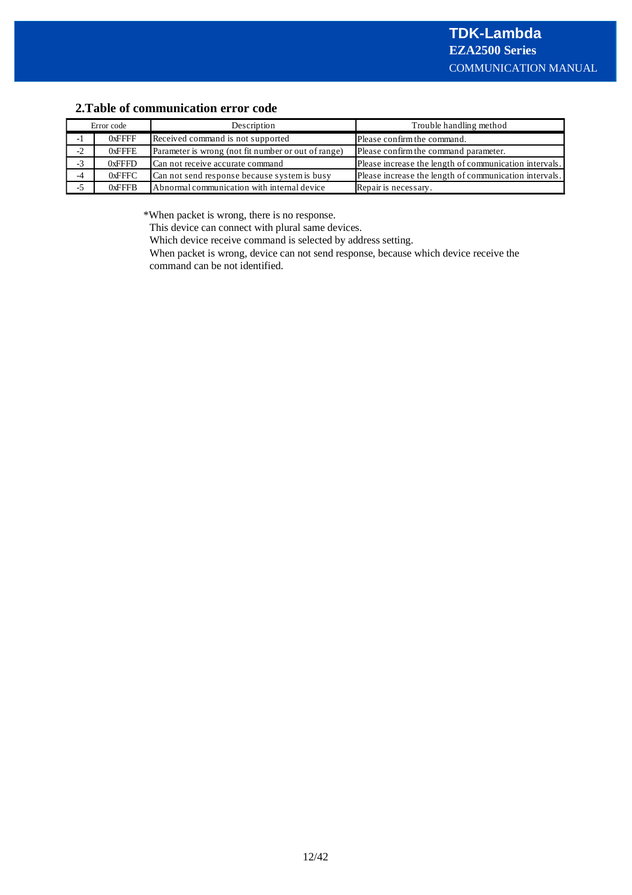# **2.Table of communication error code**

| Error code |           | Description                                         | Trouble handling method                                |
|------------|-----------|-----------------------------------------------------|--------------------------------------------------------|
|            | $0x$ FFFF | Received command is not supported                   | Please confirm the command.                            |
| $-2$       | $0x$ FFFE | Parameter is wrong (not fit number or out of range) | Please confirm the command parameter.                  |
| $-2.5$     | 0xFFFD    | Can not receive accurate command                    | Please increase the length of communication intervals. |
| -4         | $0x$ FFFC | Can not send response because system is busy        | Please increase the length of communication intervals. |
|            | $0x$ FFFB | Abnormal communication with internal device         | Repair is necessary.                                   |

\*When packet is wrong, there is no response.

This device can connect with plural same devices.

Which device receive command is selected by address setting.

When packet is wrong, device can not send response, because which device receive the command can be not identified.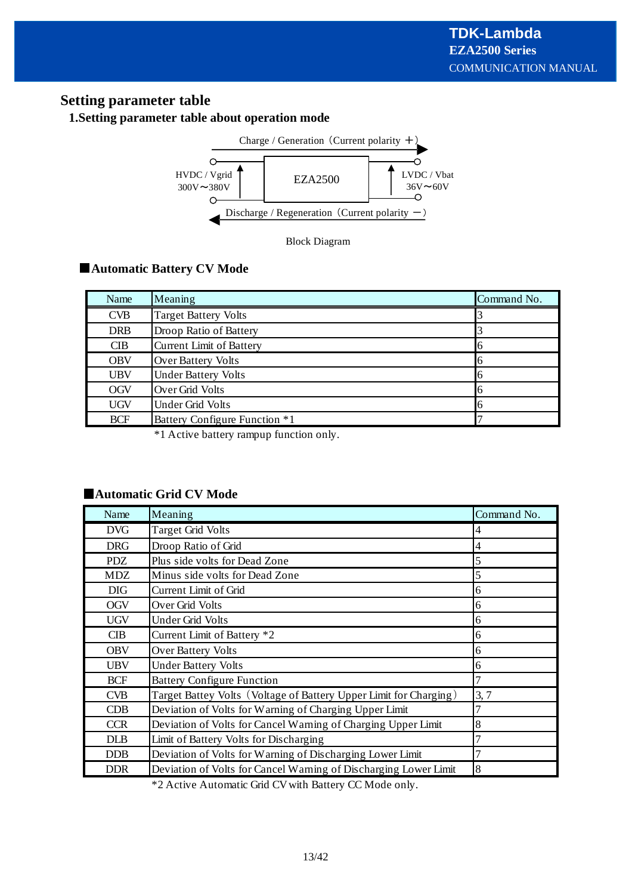# **Setting parameter table**

# **1.Setting parameter table about operation mode**



Block Diagram

# **Automatic Battery CV Mode**

| Name       | Meaning                         | Command No. |
|------------|---------------------------------|-------------|
| <b>CVB</b> | <b>Target Battery Volts</b>     |             |
| <b>DRB</b> | Droop Ratio of Battery          |             |
| <b>CIB</b> | <b>Current Limit of Battery</b> | O           |
| <b>OBV</b> | Over Battery Volts              | O           |
| <b>UBV</b> | <b>Under Battery Volts</b>      | 6           |
| <b>OGV</b> | Over Grid Volts                 | 6           |
| <b>UGV</b> | Under Grid Volts                | l6          |
| <b>BCF</b> | Battery Configure Function *1   |             |

\*1 Active battery rampup function only.

# **Automatic Grid CV Mode**

| Name       | Meaning                                                           | Command No.    |
|------------|-------------------------------------------------------------------|----------------|
| <b>DVG</b> | <b>Target Grid Volts</b>                                          | 4              |
| <b>DRG</b> | Droop Ratio of Grid                                               | 4              |
| <b>PDZ</b> | Plus side volts for Dead Zone                                     | 5              |
| MDZ        | Minus side volts for Dead Zone                                    | 5              |
| <b>DIG</b> | Current Limit of Grid                                             | 6              |
| <b>OGV</b> | Over Grid Volts                                                   | 6              |
| <b>UGV</b> | Under Grid Volts                                                  | 6              |
| CIB        | Current Limit of Battery *2                                       | 6              |
| <b>OBV</b> | Over Battery Volts                                                | 6              |
| <b>UBV</b> | <b>Under Battery Volts</b>                                        | 6              |
| <b>BCF</b> | <b>Battery Configure Function</b>                                 | $\overline{7}$ |
| <b>CVB</b> | Target Battey Volts (Voltage of Battery Upper Limit for Charging) | 3, 7           |
| CDB        | Deviation of Volts for Warning of Charging Upper Limit            | 7              |
| <b>CCR</b> | Deviation of Volts for Cancel Warning of Charging Upper Limit     | 8              |
| <b>DLB</b> | Limit of Battery Volts for Discharging                            | 7              |
| <b>DDB</b> | Deviation of Volts for Warning of Discharging Lower Limit         | 7              |
| <b>DDR</b> | Deviation of Volts for Cancel Warning of Discharging Lower Limit  | 8              |

\*2 Active Automatic Grid CVwith Battery CC Mode only.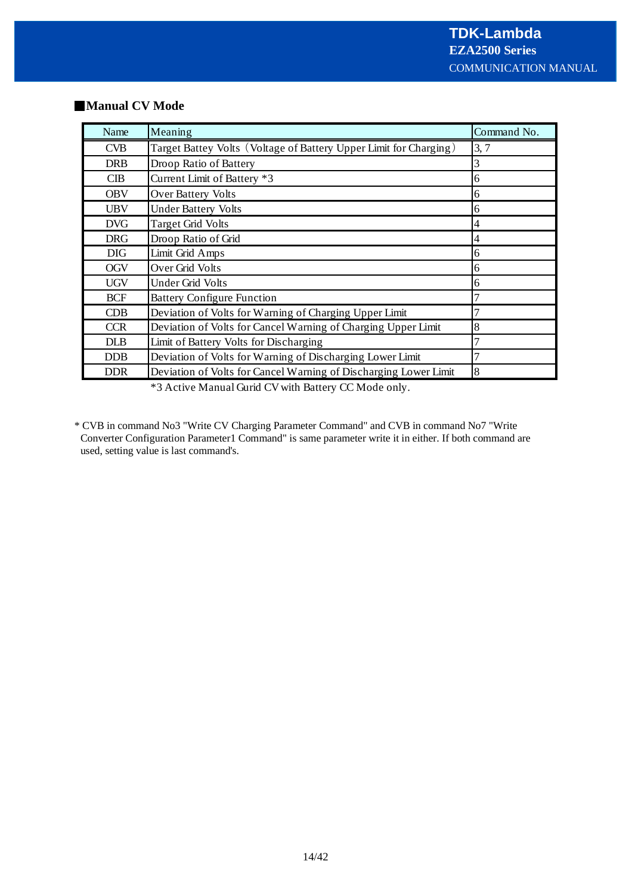| Name       | Meaning                                                           | Command No. |
|------------|-------------------------------------------------------------------|-------------|
| <b>CVB</b> | Target Battey Volts (Voltage of Battery Upper Limit for Charging) | 3, 7        |
| <b>DRB</b> | Droop Ratio of Battery                                            | 3           |
| CIB        | Current Limit of Battery *3                                       | 6           |
| <b>OBV</b> | <b>Over Battery Volts</b>                                         | 6           |
| <b>UBV</b> | <b>Under Battery Volts</b>                                        | 6           |
| <b>DVG</b> | <b>Target Grid Volts</b>                                          | 4           |
| <b>DRG</b> | Droop Ratio of Grid                                               | 4           |
| <b>DIG</b> | Limit Grid Amps                                                   | 6           |
| <b>OGV</b> | Over Grid Volts                                                   | 6           |
| <b>UGV</b> | <b>Under Grid Volts</b>                                           | 6           |
| <b>BCF</b> | <b>Battery Configure Function</b>                                 |             |
| CDB        | Deviation of Volts for Warning of Charging Upper Limit            | 7           |
| <b>CCR</b> | Deviation of Volts for Cancel Warning of Charging Upper Limit     | 8           |
| <b>DLB</b> | Limit of Battery Volts for Discharging                            | 7           |
| <b>DDB</b> | Deviation of Volts for Warning of Discharging Lower Limit         | 7           |
| <b>DDR</b> | Deviation of Volts for Cancel Warning of Discharging Lower Limit  | 8           |

#### **Manual CV Mode**

\*3 Active Manual Gurid CV with Battery CC Mode only.

\* CVB in command No3 "Write CV Charging Parameter Command" and CVB in command No7 "Write Converter Configuration Parameter1 Command" is same parameter write it in either. If both command are used, setting value is last command's.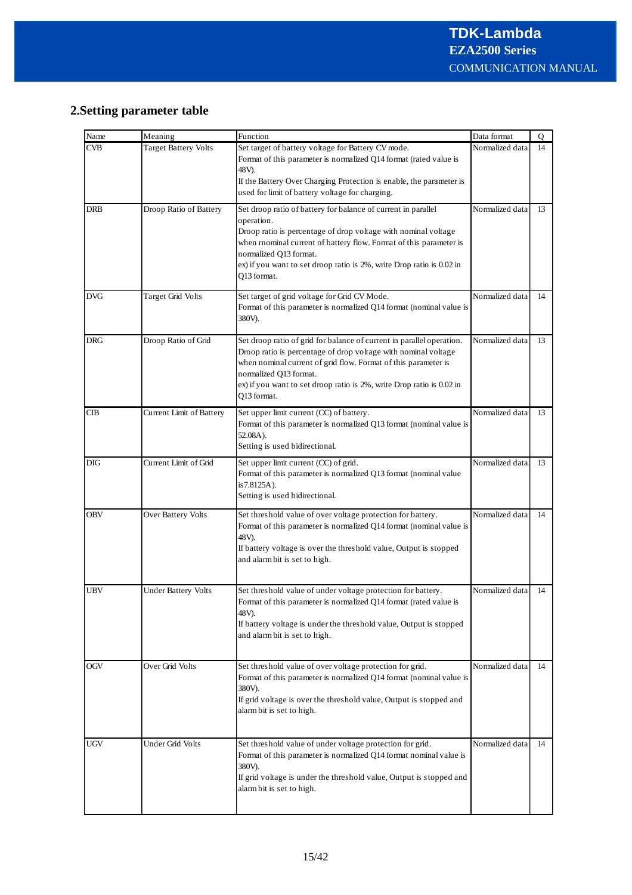# **2.Setting parameter table**

| Name       | Meaning                     | Function                                                                                                                                                                                                                                                                                                                              | Data format     | 0  |
|------------|-----------------------------|---------------------------------------------------------------------------------------------------------------------------------------------------------------------------------------------------------------------------------------------------------------------------------------------------------------------------------------|-----------------|----|
| CVB        | <b>Target Battery Volts</b> | Set target of battery voltage for Battery CV mode.<br>Format of this parameter is normalized Q14 format (rated value is<br>48V).<br>If the Battery Over Charging Protection is enable, the parameter is<br>used for limit of battery voltage for charging.                                                                            | Normalized data | 14 |
| DRB        | Droop Ratio of Battery      | Set droop ratio of battery for balance of current in parallel<br>operation.<br>Droop ratio is percentage of drop voltage with nominal voltage<br>when rnominal current of battery flow. Format of this parameter is<br>normalized Q13 format.<br>ex) if you want to set droop ratio is 2%, write Drop ratio is 0.02 in<br>Q13 format. | Normalized data | 13 |
| <b>DVG</b> | Target Grid Volts           | Set target of grid voltage for Grid CV Mode.<br>Format of this parameter is normalized Q14 format (nominal value is<br>380V).                                                                                                                                                                                                         | Normalized data | 14 |
| DRG        | Droop Ratio of Grid         | Set droop ratio of grid for balance of current in parallel operation.<br>Droop ratio is percentage of drop voltage with nominal voltage<br>when nominal current of grid flow. Format of this parameter is<br>normalized Q13 format.<br>ex) if you want to set droop ratio is 2%, write Drop ratio is 0.02 in<br>O13 format.           | Normalized data | 13 |
| CIB        | Current Limit of Battery    | Set upper limit current (CC) of battery.<br>Format of this parameter is normalized Q13 format (nominal value is<br>52.08A).<br>Setting is used bidirectional.                                                                                                                                                                         | Normalized data | 13 |
| DIG        | Current Limit of Grid       | Set upper limit current (CC) of grid.<br>Format of this parameter is normalized Q13 format (nominal value<br>is 7.8125A).<br>Setting is used bidirectional.                                                                                                                                                                           | Normalized data | 13 |
| OBV        | Over Battery Volts          | Set threshold value of over voltage protection for battery.<br>Format of this parameter is normalized Q14 format (nominal value is<br>48V).<br>If battery voltage is over the threshold value, Output is stopped<br>and alarm bit is set to high.                                                                                     | Normalized data | 14 |
| UBV        | <b>Under Battery Volts</b>  | Set threshold value of under voltage protection for battery.<br>Format of this parameter is normalized Q14 format (rated value is<br>48V).<br>If battery voltage is under the threshold value, Output is stopped<br>and alarm bit is set to high.                                                                                     | Normalized data | 14 |
| OGV        | Over Grid Volts             | Set threshold value of over voltage protection for grid.<br>Format of this parameter is normalized Q14 format (nominal value is<br>380V).<br>If grid voltage is over the threshold value, Output is stopped and<br>alarm bit is set to high.                                                                                          | Normalized data | 14 |
| UGV        | Under Grid Volts            | Set threshold value of under voltage protection for grid.<br>Format of this parameter is normalized Q14 format nominal value is<br>380V).<br>If grid voltage is under the threshold value, Output is stopped and<br>alarm bit is set to high.                                                                                         | Normalized data | 14 |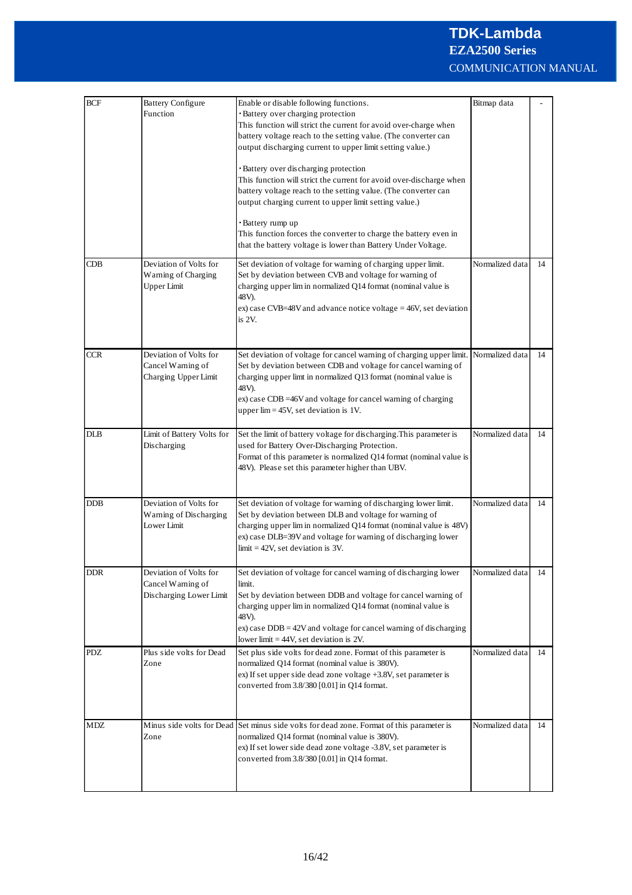| <b>BCF</b>                    | <b>Battery Configure</b><br>Function                                   | Enable or disable following functions.<br>· Battery over charging protection<br>This function will strict the current for avoid over-charge when<br>battery voltage reach to the setting value. (The converter can<br>output discharging current to upper limit setting value.)<br>· Battery over discharging protection<br>This function will strict the current for avoid over-discharge when<br>battery voltage reach to the setting value. (The converter can<br>output charging current to upper limit setting value.)<br>· Battery rump up<br>This function forces the converter to charge the battery even in<br>that the battery voltage is lower than Battery Under Voltage. | Bitmap data     |    |
|-------------------------------|------------------------------------------------------------------------|---------------------------------------------------------------------------------------------------------------------------------------------------------------------------------------------------------------------------------------------------------------------------------------------------------------------------------------------------------------------------------------------------------------------------------------------------------------------------------------------------------------------------------------------------------------------------------------------------------------------------------------------------------------------------------------|-----------------|----|
| $\mathbf C\mathbf D\mathbf B$ | Deviation of Volts for<br>Warning of Charging<br><b>Upper Limit</b>    | Set deviation of voltage for warning of charging upper limit.<br>Set by deviation between CVB and voltage for warning of<br>charging upper lim in normalized Q14 format (nominal value is<br>48V).<br>ex) case CVB=48V and advance notice voltage = $46V$ , set deviation<br>is $2V$ .                                                                                                                                                                                                                                                                                                                                                                                                | Normalized data | 14 |
| <b>CCR</b>                    | Deviation of Volts for<br>Cancel Warning of<br>Charging Upper Limit    | Set deviation of voltage for cancel warning of charging upper limit.<br>Set by deviation between CDB and voltage for cancel warning of<br>charging upper limt in normalized Q13 format (nominal value is<br>48V).<br>ex) case CDB =46V and voltage for cancel warning of charging<br>upper $\lim$ = 45V, set deviation is 1V.                                                                                                                                                                                                                                                                                                                                                         | Normalized data | 14 |
| $_{\rm DLB}$                  | Limit of Battery Volts for<br>Discharging                              | Set the limit of battery voltage for discharging. This parameter is<br>used for Battery Over-Discharging Protection.<br>Format of this parameter is normalized Q14 format (nominal value is<br>48V). Please set this parameter higher than UBV.                                                                                                                                                                                                                                                                                                                                                                                                                                       | Normalized data | 14 |
| DDB                           | Deviation of Volts for<br>Warning of Discharging<br>Lower Limit        | Set deviation of voltage for warning of discharging lower limit.<br>Set by deviation between DLB and voltage for warning of<br>charging upper lim in normalized Q14 format (nominal value is 48V)<br>ex) case DLB=39V and voltage for warning of discharging lower<br>$limit = 42V$ , set deviation is 3V.                                                                                                                                                                                                                                                                                                                                                                            | Normalized data | 14 |
| <b>DDR</b>                    | Deviation of Volts for<br>Cancel Warning of<br>Discharging Lower Limit | Set deviation of voltage for cancel warning of discharging lower<br>limit.<br>Set by deviation between DDB and voltage for cancel warning of<br>charging upper lim in normalized Q14 format (nominal value is<br>48V).<br>$\exp$ case DDB = 42V and voltage for cancel warning of discharging<br>lower limit $=$ 44V, set deviation is 2V.                                                                                                                                                                                                                                                                                                                                            | Normalized data | 14 |
| PDZ                           | Plus side volts for Dead<br>Zone                                       | Set plus side volts for dead zone. Format of this parameter is<br>normalized Q14 format (nominal value is 380V).<br>ex) If set upper side dead zone voltage +3.8V, set parameter is<br>converted from 3.8/380 [0.01] in Q14 format.                                                                                                                                                                                                                                                                                                                                                                                                                                                   | Normalized data | 14 |
| MDZ                           | Zone                                                                   | Minus side volts for Dead Set minus side volts for dead zone. Format of this parameter is<br>normalized Q14 format (nominal value is 380V).<br>ex) If set lower side dead zone voltage -3.8V, set parameter is<br>converted from 3.8/380 [0.01] in Q14 format.                                                                                                                                                                                                                                                                                                                                                                                                                        | Normalized data | 14 |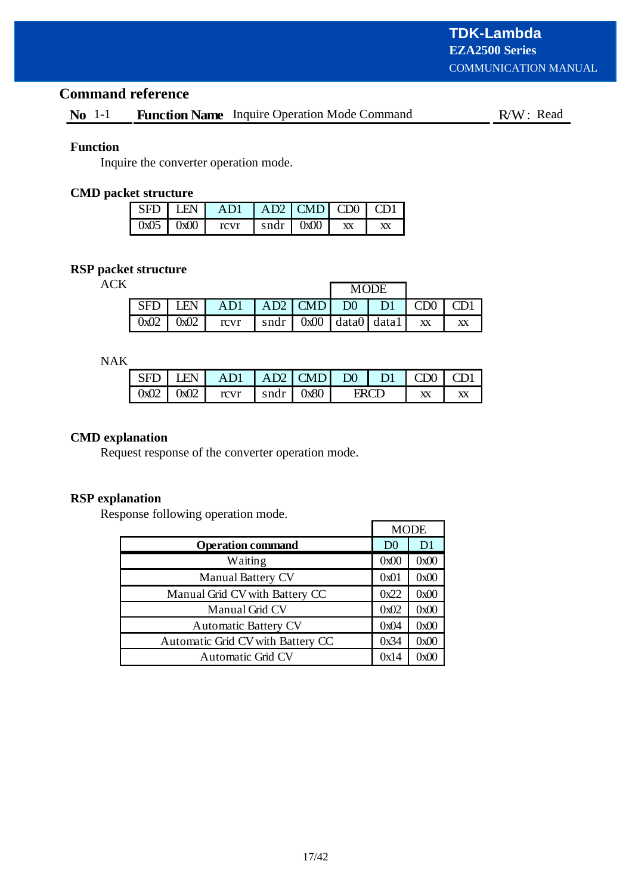# **Command reference**

# **No** 1-1 **Function Name** Inquire Operation Mode Command R/W: Read

## **Function**

Inquire the converter operation mode.

# **CMD packet structure**

|  | $\vert$ SFD $\vert$ LEN $\vert$ AD1 $\vert$ AD2 $\vert$ CMD $\vert$ CD0 $\vert$ CD1 $\vert$ |                                      |    |
|--|---------------------------------------------------------------------------------------------|--------------------------------------|----|
|  | $\log 0.5$ $\log 00$ $\log 0$                                                               | $\vert$ sndr $\vert$ 0x00 $\vert$ xx | XX |

# **RSP packet structure**

ACK

|                 |                                                                                | <b>MODE</b> |           |                  |    |
|-----------------|--------------------------------------------------------------------------------|-------------|-----------|------------------|----|
| SFD   LEN       | AD1   AD2   CMD                                                                |             | $D0$   D1 | $\overline{CD}0$ |    |
| $0x02$   $0x02$ | $\lceil \text{cvr} \rceil \rceil$ sndr $\lceil \text{0x00} \rceil$ data0 data1 |             |           | XX               | XХ |

NAK

|  | SFD LEN AD1 AD2 CMD D0 D1 CD0 CD1      |  |       |    |  |
|--|----------------------------------------|--|-------|----|--|
|  | $0x02$   $0x02$   rcvr   sndr   $0x80$ |  | ERG 1 | XX |  |

# **CMD explanation**

Request response of the converter operation mode.

# **RSP explanation**

Response following operation mode.

|                                   | <b>MODE</b>    |                |  |
|-----------------------------------|----------------|----------------|--|
| <b>Operation command</b>          | D <sub>0</sub> | D <sub>1</sub> |  |
| Waiting                           | 0x00           | 0x00           |  |
| <b>Manual Battery CV</b>          | 0x01           | 0x00           |  |
| Manual Grid CV with Battery CC    | 0x22           | 0x00           |  |
| Manual Grid CV                    | 0x02           | 0x00           |  |
| <b>Automatic Battery CV</b>       | 0x04           | 0x00           |  |
| Automatic Grid CV with Battery CC | 0x34           | 0x00           |  |
| <b>Automatic Grid CV</b>          | 0x14           | 0x00           |  |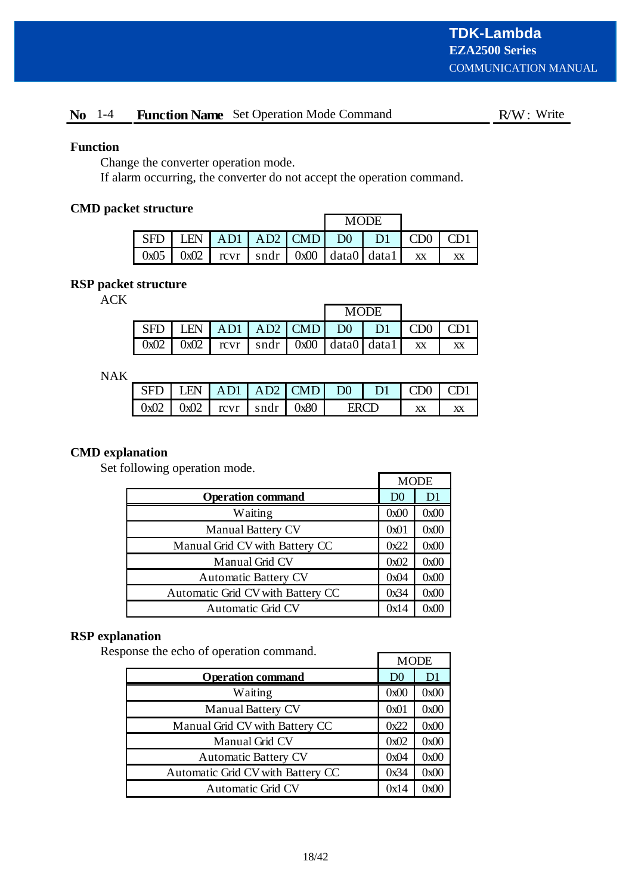# No 1-4 Function Name Set Operation Mode Command R/W: Write

# **Function**

Change the converter operation mode.

If alarm occurring, the converter do not accept the operation command.

# **CMD packet structure**

|                                                                   |  | <b>MODE</b> |  |  |  |  |
|-------------------------------------------------------------------|--|-------------|--|--|--|--|
| $SFD$ LEN $AD1$ AD1 $AD2$ CMD D0 D1 CD0 CD1                       |  |             |  |  |  |  |
| $0x05$   $0x02$   rcvr   sndr   $0x00$   data $0$   data $1$   xx |  |             |  |  |  |  |

# **RSP packet structure**

ACK

|                                                                                                                   |  |  | <b>MODE</b> |    |
|-------------------------------------------------------------------------------------------------------------------|--|--|-------------|----|
| $\vert$ SFD $\vert$ LEN $\vert$ AD1 $\vert$ AD2 $\vert$ CMD $\vert$ D0 $\vert$ D1 $\vert$ CD0 $\vert$ CD1 $\vert$ |  |  |             |    |
| $\vert 0x02 \vert 0x02 \vert xcvr \vert sndr \vert 0x00 \vert data0 \vert data1 \vert xx$                         |  |  |             | XX |

NAK

| - SFD - |  | LEN   AD1   AD2   CMD   D0   D1   CDD                    |      |  |
|---------|--|----------------------------------------------------------|------|--|
|         |  | $\vert 0x02 \vert 0x02 \vert rcvr \vert sndr \vert 0x80$ | ERCD |  |

# **CMD explanation**

Set following operation mode.

|                                   |                | <b>MODE</b>    |
|-----------------------------------|----------------|----------------|
| <b>Operation command</b>          | D <sub>0</sub> | D <sub>1</sub> |
| Waiting                           | 0x00           | 0x00           |
| <b>Manual Battery CV</b>          | 0x01           | 0x00           |
| Manual Grid CV with Battery CC    | 0x22           | 0x00           |
| Manual Grid CV                    | 0x02           | 0x00           |
| <b>Automatic Battery CV</b>       | 0x04           | 0x00           |
| Automatic Grid CV with Battery CC | 0x34           | 0x00           |
| <b>Automatic Grid CV</b>          | 0x14           | 0x00           |

# **RSP explanation**

Response the echo of operation command.

| onse the echo of operation command. | <b>MODE</b>    |      |  |  |
|-------------------------------------|----------------|------|--|--|
| <b>Operation command</b>            | D <sub>0</sub> | D1   |  |  |
| Waiting                             | 0x00           | 0x00 |  |  |
| Manual Battery CV                   | 0x01           | 0x00 |  |  |
| Manual Grid CV with Battery CC      | 0x22           | 0x00 |  |  |
| Manual Grid CV                      | 0x02           | 0x00 |  |  |
| <b>Automatic Battery CV</b>         | 0x04           | 0x00 |  |  |
| Automatic Grid CV with Battery CC   | 0x34           | 0x00 |  |  |
| <b>Automatic Grid CV</b>            | 0x14           | 0x00 |  |  |

 $\Gamma$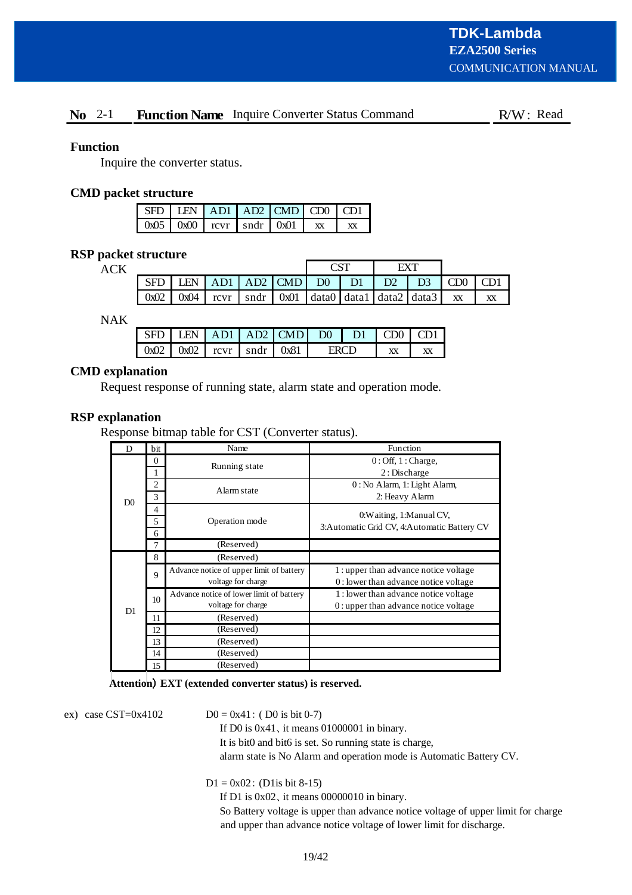# **No** 2-1 **Function Name** Inquire Converter Status Command R/W: Read

# **Function**

Inquire the converter status.

## **CMD packet structure**

|  |  | $\vert$ SFD $\vert$ LEN $\vert$ AD1 $\vert$ AD2 $\vert$ CMD $\vert$ CD0 $\vert$ CD1 |  |
|--|--|-------------------------------------------------------------------------------------|--|
|  |  | $\left[0x05\right]0x00$ $\left[0x00\right]$ rcvr $\left[0x01\right]$                |  |

## **RSP packet structure**

**ACK** 

|      |             |     |                                                                                     |                     |    | FY'I           |                |           |    |
|------|-------------|-----|-------------------------------------------------------------------------------------|---------------------|----|----------------|----------------|-----------|----|
| SFD  | <b>I EN</b> | AD1 | AD2   CMD                                                                           | $DO$ $\blacksquare$ | D1 | D <sub>2</sub> | D <sub>3</sub> | CD0       |    |
| 0x02 | 0x04        |     | $\lceil \text{cvr} \rceil$ sndr $\lceil \text{0x01} \rceil$ data0 data1 data2 data3 |                     |    |                |                | <b>XX</b> | XX |

NAK

|  |  | $SFD$ LEN $AD1$ AD2 CMD D0 D1 CD0 CD1                              |             |  |  |
|--|--|--------------------------------------------------------------------|-------------|--|--|
|  |  | $\boxed{0x02}$ $\boxed{0x02}$ $\boxed{rcvr}$ $\boxed{sqrt}$ $0x81$ | <b>ERCD</b> |  |  |

# **CMD explanation**

Request response of running state, alarm state and operation mode.

# **RSP explanation**

Response bitmap table for CST (Converter status).

| D              | bit | Name                                     | Function                                      |  |  |  |  |
|----------------|-----|------------------------------------------|-----------------------------------------------|--|--|--|--|
|                | 0   | Running state                            | $0:$ Off, $1:$ Charge,                        |  |  |  |  |
|                |     |                                          | 2: Discharge                                  |  |  |  |  |
|                | 2   | Alarm state                              | 0: No Alarm, 1: Light Alarm,                  |  |  |  |  |
| D <sub>0</sub> | 3   |                                          | 2: Heavy Alarm                                |  |  |  |  |
|                | 4   |                                          | 0: Waiting, 1: Manual CV,                     |  |  |  |  |
|                | 5   | Operation mode                           |                                               |  |  |  |  |
|                | 6   |                                          | 3: Automatic Grid CV, 4: Automatic Battery CV |  |  |  |  |
|                | 7   | (Reserved)                               |                                               |  |  |  |  |
|                | 8   | (Reserved)                               |                                               |  |  |  |  |
|                | 9   | Advance notice of upper limit of battery | 1: upper than advance notice voltage          |  |  |  |  |
|                |     | voltage for charge                       | 0: lower than advance notice voltage          |  |  |  |  |
|                | 10  | Advance notice of lower limit of battery | 1: lower than advance notice voltage          |  |  |  |  |
| D1             |     | voltage for charge                       | $0:$ upper than advance notice voltage        |  |  |  |  |
|                | 11  | (Reserved)                               |                                               |  |  |  |  |
|                | 12  | (Reserved)                               |                                               |  |  |  |  |
|                | 13  | (Reserved)                               |                                               |  |  |  |  |
|                | 14  | (Reserved)                               |                                               |  |  |  |  |
|                | 15  | (Reserved)                               |                                               |  |  |  |  |

#### Attention) **EXT** (extended converter status) is reserved.

ex) case CST=0x4102

 $D0 = 0x41$ : (D0 is bit 0-7)

If D0 is  $0x41$ , it means 01000001 in binary.

It is bit0 and bit6 is set. So running state is charge,

alarm state is No Alarm and operation mode is Automatic Battery CV.

 $D1 = 0x02$ : (D1is bit 8-15)

If D1 is  $0x02$ , it means  $00000010$  in binary.

So Battery voltage is upper than advance notice voltage of upper limit for charge and upper than advance notice voltage of lower limit for discharge.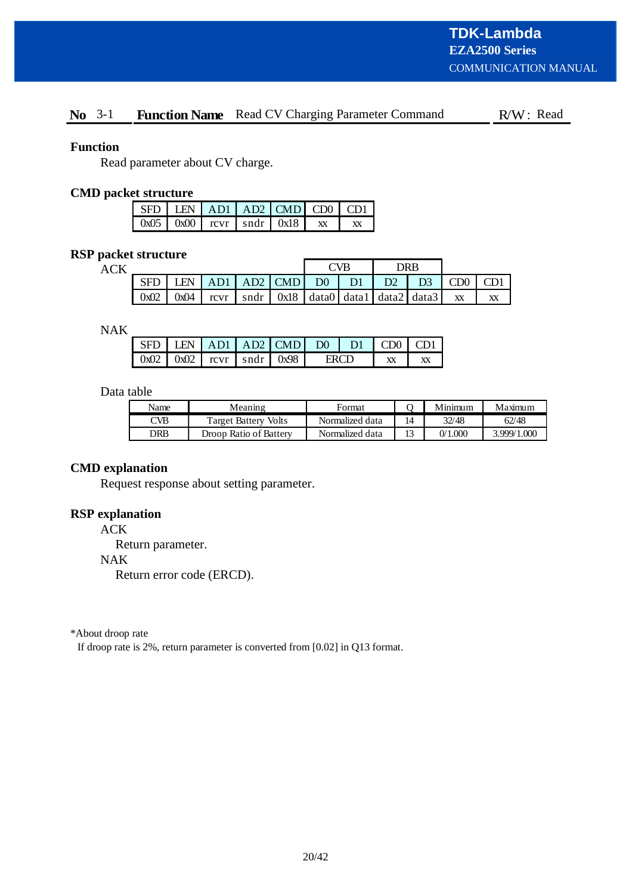# No 3-1 Function Name Read CV Charging Parameter Command R/W: Read

## **Function**

Read parameter about CV charge.

## **CMD packet structure**

| $\vert$ SFD $\vert$ LEN $\vert$ AD1 $\vert$ AD2 $\vert$ CMD $\vert$ CD0 $\vert$ CD1 |  |  |    |
|-------------------------------------------------------------------------------------|--|--|----|
| $\vert$ 0x05 $\vert$ 0x00 $\vert$ rcvr $\vert$ sndr $\vert$ 0x18 $\vert$ xx         |  |  | XX |

# **RSP packet structure**

| <b>ACK</b> |      |      |  |  |                                                                                                |  | ~VR |                | DR R           |     |    |
|------------|------|------|--|--|------------------------------------------------------------------------------------------------|--|-----|----------------|----------------|-----|----|
|            |      | I FN |  |  | AD1   AD2   CMD   D0                                                                           |  | D1  | D <sub>2</sub> | D <sub>3</sub> | CD0 |    |
|            | 0x02 | 0x04 |  |  | rcvr $\vert$ sndr $\vert$ 0x18 $\vert$ data0 $\vert$ data1 $\vert$ data2 $\vert$ data3 $\vert$ |  |     |                |                | XX  | XX |

NAK

|  |  |                                        | LEN $AD1$ $AD2$ $CMD$ | $\Box$ DO $\Box$ | $\sim$ DF | (1) |  |
|--|--|----------------------------------------|-----------------------|------------------|-----------|-----|--|
|  |  | $0x02$   $0x02$   rcvr   sndr   $0x98$ |                       |                  |           |     |  |

# Data table

| Name | Meaning                | Format          |    | Minimum | Maximum     |
|------|------------------------|-----------------|----|---------|-------------|
| CVB  | Target Battery Volts   | Normalized data | 14 | 32/48   | 62/48       |
| DRB  | Droop Ratio of Battery | Normalized data | 13 | 0/1.000 | 3.999/1.000 |

# **CMD explanation**

Request response about setting parameter.

# **RSP explanation**

ACK

Return parameter.

NAK

Return error code (ERCD).

\*About droop rate

If droop rate is 2%, return parameter is converted from [0.02] in Q13 format.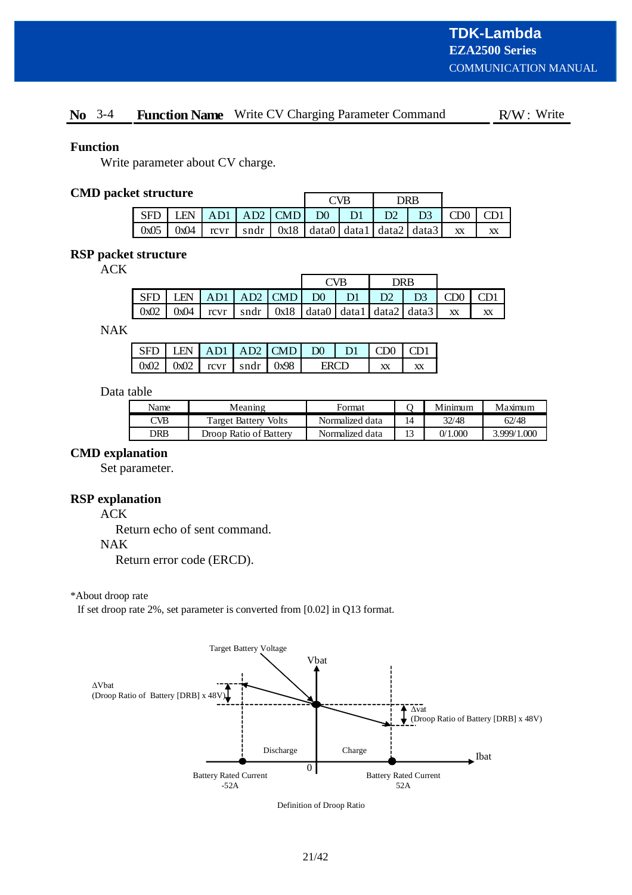# No 3-4 Function Name Write CV Charging Parameter Command R/W: Write

## **Function**

Write parameter about CV charge.

# **CMD packet structure**

| r bu uvuu v |                 |  |  |                              | TVB            |                                                                                        | 7R R           |     |  |
|-------------|-----------------|--|--|------------------------------|----------------|----------------------------------------------------------------------------------------|----------------|-----|--|
| SFD         |                 |  |  | LEN $AD1   AD2   CMD   D0  $ | D <sub>1</sub> | D2                                                                                     | D <sub>3</sub> | CD0 |  |
|             | $0x05$   $0x04$ |  |  |                              |                | rcvr $\vert$ sndr $\vert$ 0x18 $\vert$ data0 $\vert$ data1 $\vert$ data2 $\vert$ data3 |                | XX  |  |

# **RSP packet structure**

ACK

|            |                                                          |  |                                                                                                                                | NP | DRR.           |                 |    |
|------------|----------------------------------------------------------|--|--------------------------------------------------------------------------------------------------------------------------------|----|----------------|-----------------|----|
| <b>SFD</b> | $ $ LEN $ $ AD1 $ $ AD2 $ $ CMD $ $ D0 $ $ D1 $ $ D2 $ $ |  |                                                                                                                                |    | D <sub>3</sub> | CD <sub>0</sub> |    |
| 0x02       | $\log(104)$                                              |  | $\lceil \text{cvr} \rceil$ and $\lceil \text{0x18} \rceil$ data $\lceil \text{data1} \rceil$ data $\lceil \text{data2} \rceil$ |    |                | XX              | XX |

NAK

|  |  | $SFD$ LEN $AD1$ $AD2$ $CMD$ $D0$ $D1$ $CDO$ $CD1$ |       |  |  |
|--|--|---------------------------------------------------|-------|--|--|
|  |  | $0x02$   $0x02$   rcvr   sndr   $0x98$ '          | LDO T |  |  |

#### Data table

| Name | Meaning                | Format          |    | Minimum | Maximum     |
|------|------------------------|-----------------|----|---------|-------------|
| CVB  | Target Battery Volts   | Normalized data | 14 | 32/48   | 62/48       |
| DRB  | Droop Ratio of Battery | Normalized data | 13 | 0/1.000 | 3.999/1.000 |

## **CMD explanation**

Set parameter.

# **RSP explanation**

ACK

Return echo of sent command.

#### NAK

Return error code (ERCD).

#### \*About droop rate

If set droop rate 2%, set parameter is converted from [0.02] in Q13 format.



Definition of Droop Ratio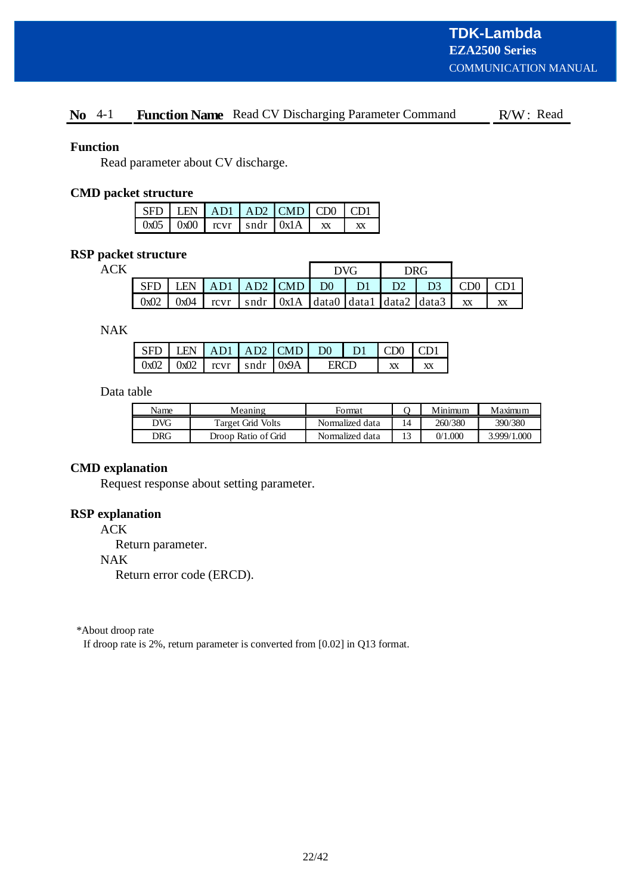# No 4-1 Function Name Read CV Discharging Parameter Command R/W: Read

#### **Function**

Read parameter about CV discharge.

## **CMD packet structure**

| $\vert$ SFD $\vert$ LEN $\vert$ AD1 $\vert$ AD2 $\vert$ CMD $\vert$ CD0 $\vert$ CD1 |  |  |    |
|-------------------------------------------------------------------------------------|--|--|----|
| $\vert$ 0x05 $\vert$ 0x00 $\vert$ rcvr $\vert$ sndr $\vert$ 0x1A $\vert$ xx         |  |  | XX |

# **RSP packet structure**

**ACK** 

|            |               |  |                     | <b>DVG</b> |                | DRG.                                               |                 |    |
|------------|---------------|--|---------------------|------------|----------------|----------------------------------------------------|-----------------|----|
| <b>SFD</b> | <b>I FN</b>   |  | $AB1$ AD2 CMD D0 D1 |            | D <sub>2</sub> | D <sub>3</sub>                                     | CD <sub>0</sub> |    |
|            | $0x02$ $0x04$ |  |                     |            |                | rcvr   sndr   0x1A   data0   data1   data2   data3 | XX              | XX |

NAK

|  |  | $\vert$ SFD $\vert$ LEN $\vert$ AD1 $\vert$ AD2 $\vert$ CMD $\vert$ D0 $\vert$ D1 $\vert$ CD0 $\vert$ CD1 |      |  |  |
|--|--|-----------------------------------------------------------------------------------------------------------|------|--|--|
|  |  | $\vert 0x02 \vert 0x02 \vert rcvr \vert sndr \vert 0x9A \vert$                                            | ERCD |  |  |

# Data table

| Name       | Meaning             | Format          | Minimum | Maximum     |
|------------|---------------------|-----------------|---------|-------------|
| DVG        | Target Grid Volts   | Normalized data | 260/380 | 390/380     |
| <b>DRG</b> | Droop Ratio of Grid | Normalized data | 0/1.000 | 3.999/1.000 |

#### **CMD explanation**

Request response about setting parameter.

# **RSP explanation**

ACK

Return parameter.

#### NAK

Return error code (ERCD).

\*About droop rate

If droop rate is 2%, return parameter is converted from [0.02] in Q13 format.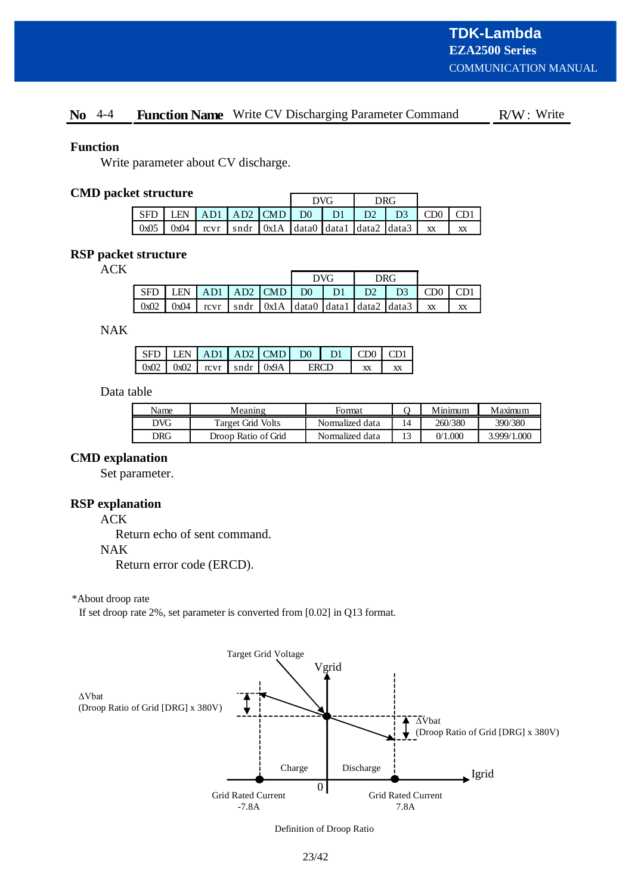# No 4-4 Function Name Write CV Discharging Parameter Command R/W: Write

#### **Function**

Write parameter about CV discharge.

# **CMD packet structure**

| www.com    |                 |  |                  |  | $\overline{D}V$ $\overline{G}$ |                                                                                     | DRG. |                 |    |  |
|------------|-----------------|--|------------------|--|--------------------------------|-------------------------------------------------------------------------------------|------|-----------------|----|--|
| <b>SFD</b> | <b>LEN</b>      |  | $AB1$ AD2 CMD D0 |  | $\parallel$ D1                 | D2                                                                                  |      | CD <sub>0</sub> |    |  |
|            | $0x05$   $0x04$ |  |                  |  |                                | $\lceil \text{cvr} \rceil$ sndr $\lceil \text{0x1A} \rceil$ data0 data1 data2 data3 |      | XX              | XX |  |

# **RSP packet structure**

ACK

|               |  |  | <b>DVG</b> |                                  | <b>DRG</b>                                                                                                                                  |                       |    |
|---------------|--|--|------------|----------------------------------|---------------------------------------------------------------------------------------------------------------------------------------------|-----------------------|----|
| l SFD         |  |  |            | $LEN$ AD1 AD2 CMD D0 D1 D2 D2 D3 |                                                                                                                                             | $\Box$ CD0 $\Box$ CD1 |    |
| $0x02$ $0x04$ |  |  |            |                                  | $\lceil \text{cvr} \rceil \rceil$ sndr $\lceil \text{0x1A} \rceil$ data0 $\lceil \text{data1} \rceil$ data2 $\lceil \text{data3} \rceil$ xx |                       | XX |

NAK

|  |  | $\vert$ SFD $\vert$ LEN $\vert$ AD1 $\vert$ AD2 $\vert$ CMD $\vert$ D0 $\vert$ D1 $\vert$ CD0 $\vert$ CD1 |             |  |  |
|--|--|-----------------------------------------------------------------------------------------------------------|-------------|--|--|
|  |  | $\left  0x02 \right  0x02$ $\left  0x0x \right $ sndr $\left  0x9A \right $                               | <b>ERCD</b> |  |  |

#### Data table

| Name       | Meaning             | Format          |    | Minimum | Maximum     |
|------------|---------------------|-----------------|----|---------|-------------|
| DVG        | Target Grid Volts   | Normalized data | 14 | 260/380 | 390/380     |
| <b>DRG</b> | Droop Ratio of Grid | Normalized data |    | 0/1.000 | 3.999/1.000 |

#### **CMD explanation**

Set parameter.

#### **RSP explanation**

ACK

Return echo of sent command.

NAK

Return error code (ERCD).

\*About droop rate

If set droop rate 2%, set parameter is converted from [0.02] in Q13 format.



Definition of Droop Ratio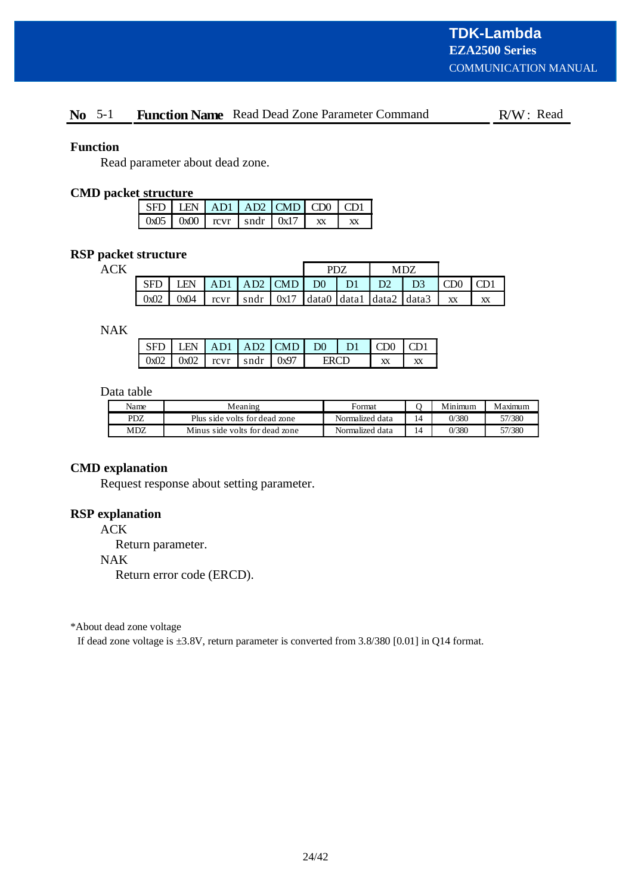# **No** 5-1 **Function Name** Read Dead Zone Parameter Command R/W: Read

## **Function**

Read parameter about dead zone.

#### **CMD packet structure**

| SFD LEN AD1 AD2 CMD CD0 CD1                                        |  |  |  |
|--------------------------------------------------------------------|--|--|--|
| $\sqrt{6 \times 10 \times 00}$ revr $\sqrt{6 \times 10 \times 17}$ |  |  |  |

# **RSP packet structure**

**ACK** 

|      |      |      |     |                                                                                   | PD7            |                |  |  |    |    |
|------|------|------|-----|-----------------------------------------------------------------------------------|----------------|----------------|--|--|----|----|
| SFD  | EN   | AD1  | AD2 | $\Box$ CMD                                                                        | D <sub>0</sub> | D <sub>1</sub> |  |  |    |    |
| 0x02 | 0x04 | rcvr |     | $\vert$ sndr $\vert$ 0x17 $\vert$ data0 $\vert$ data1 $\vert$ data2 $\vert$ data3 |                |                |  |  | XX | XX |

NAK

|  |                                        | LEN AD1 AD2 CMD D0 D1 |  | LCD0. |  |
|--|----------------------------------------|-----------------------|--|-------|--|
|  | $0x02$   $0x02$   revr   sndr   $0x97$ |                       |  |       |  |

# Data table

| Name | Meaning                        | Format          |    | Minimum | Maximum |
|------|--------------------------------|-----------------|----|---------|---------|
| PDZ  | Plus side volts for dead zone  | Normalized data | 14 | 0/380   | 57/380  |
| MDZ  | Minus side volts for dead zone | Normalized data | 14 | 0/380   | 57/380  |

# **CMD explanation**

Request response about setting parameter.

# **RSP explanation**

ACK

Return parameter.

#### NAK

Return error code (ERCD).

\*About dead zone voltage

If dead zone voltage is ±3.8V, return parameter is converted from 3.8/380 [0.01] in Q14 format.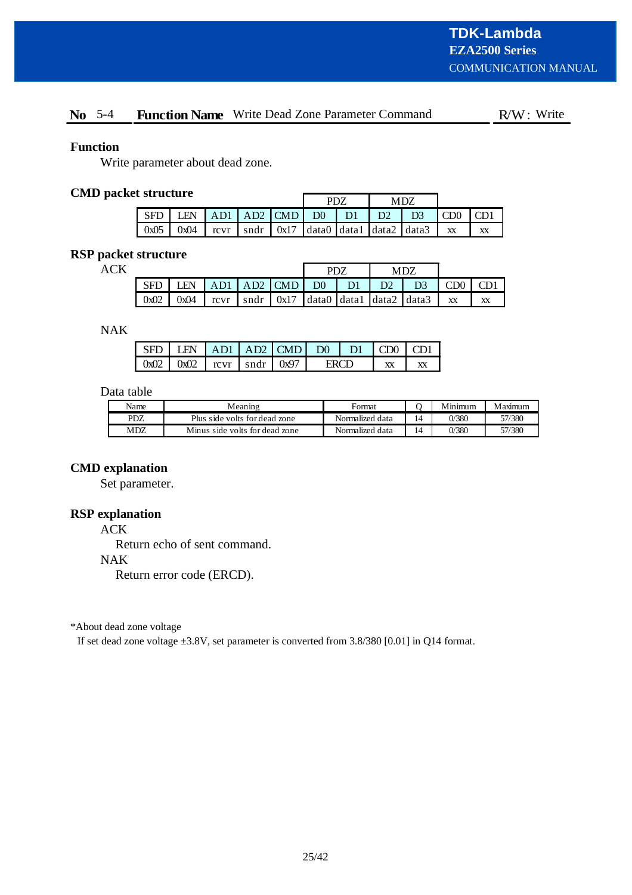# **No** 5-4 **Function Name** Write Dead Zone Parameter Command R/W: Write

## **Function**

Write parameter about dead zone.

# **CMD packet structure**

| ---------- |                 |  |  |  | PD7 |  | MDZ                     |                                                                                                                                   |                              |    |
|------------|-----------------|--|--|--|-----|--|-------------------------|-----------------------------------------------------------------------------------------------------------------------------------|------------------------------|----|
| SFD        | LEN             |  |  |  |     |  | AD1 AD2 CMD D0 D1 D2 D3 |                                                                                                                                   | $\mathsf{I}$ CD <sub>0</sub> |    |
|            | $0x05$   $0x04$ |  |  |  |     |  |                         | $\lceil \text{cvr} \rceil$ sndr $\lceil \text{0x17} \rceil$ data0 $\lceil \text{data1} \rceil$ data2 $\lceil \text{data3} \rceil$ | <b>XX</b>                    | XX |

# **RSP packet structure**

ACK

|      |      |                   |  |  | <b>DN7</b> |                |                                                                                        |    |     |    |
|------|------|-------------------|--|--|------------|----------------|----------------------------------------------------------------------------------------|----|-----|----|
| SFD  | LEN  | $AD1$ $AD2$ $CMD$ |  |  | $D0$       | D <sub>1</sub> | D <sup>2</sup>                                                                         | D3 | CD0 |    |
| 0x02 | 0x04 |                   |  |  |            |                | rcvr $\vert$ sndr $\vert$ 0x17 $\vert$ data0 $\vert$ data1 $\vert$ data2 $\vert$ data3 |    | XX  | XX |

NAK

| $LEN$ $AD1$ $AD2$ $CMD$ $D0$ $D1$ $CDO$ |  |  |  |  |
|-----------------------------------------|--|--|--|--|
| $0x02$ $0x02$ $\arccur$ sndr $0x97$     |  |  |  |  |

# Data table

| Name | Meaning                        | Format          |                 | Minimum | Maximum |
|------|--------------------------------|-----------------|-----------------|---------|---------|
| PDZ  | Plus side volts for dead zone  | Normalized data | $\overline{14}$ | 0/380   | 57/380  |
| MDZ  | Minus side volts for dead zone | Normalized data | 14              | 0/380   | 57/380  |

# **CMD explanation**

Set parameter.

# **RSP explanation**

ACK

Return echo of sent command.

#### NAK

Return error code (ERCD).

\*About dead zone voltage

If set dead zone voltage ±3.8V, set parameter is converted from 3.8/380 [0.01] in Q14 format.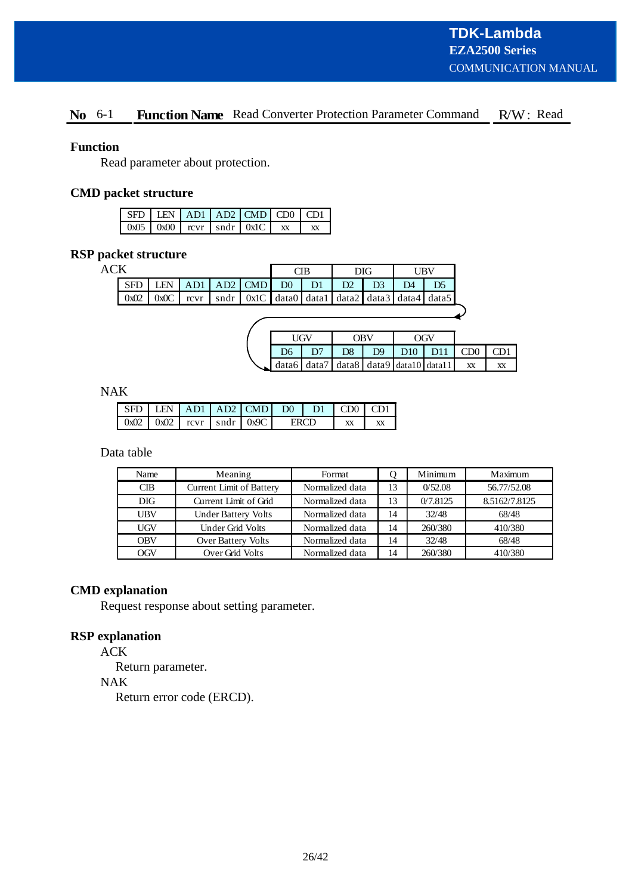# No 6-1 Function Name Read Converter Protection Parameter Command R/W: Read

## **Function**

Read parameter about protection.

# **CMD packet structure**

|  |  | $\overline{\text{SFD}}$ LEN $\overline{\text{AD1}}$ AD1 $\overline{\text{AD2}}$ CMD $\overline{\text{CD0}}$ CD1 |  |
|--|--|-----------------------------------------------------------------------------------------------------------------|--|
|  |  | $\sim 0 \times 0.05$   0x00   rcvr   sndr   0x1C                                                                |  |

# **RSP packet structure**

ACK

| . |  |  | ЛB |                                                                                           | DIG. |                | I IRV |
|---|--|--|----|-------------------------------------------------------------------------------------------|------|----------------|-------|
|   |  |  |    | $\text{SFD}$ LEN $\mid$ AD1 $\mid$ AD2 $\mid$ CMD $\mid$ D0 $\mid$ D1 $\mid$ D2 $\mid$ D3 |      | D <sub>4</sub> |       |
|   |  |  |    | $0x02$   $0x0C$   rcvr   sndr   $0x1C$   data0   data1   data2   data3   data4   data5    |      |                |       |
|   |  |  |    |                                                                                           |      |                |       |

|                | HGV             | ORV | OGV                                                       |    |                 |
|----------------|-----------------|-----|-----------------------------------------------------------|----|-----------------|
| D <sub>6</sub> | $\overline{D7}$ |     | $DS$   $D9$   $D10$   $D11$   $CD0$                       |    | CD <sub>1</sub> |
|                |                 |     | $\bigcup$ data6   data7   data8   data9   data10   data11 | XX | XX              |

NAK

| $SFD$ LEN AD1 AD2 CMD D0 D1 CD0 CD1                                 |  |  |              |              |
|---------------------------------------------------------------------|--|--|--------------|--------------|
| $\left[0x02\right]0x02$ rcvr $\left[$ sndr $\left[0x9C\right]$ ERCD |  |  | $\mathbf{X}$ | $\mathbf{X}$ |

Data table

| Name       | Meaning                    | Format          |    | Minimum  | Maximum       |
|------------|----------------------------|-----------------|----|----------|---------------|
| CIB        | Current Limit of Battery   | Normalized data | 13 | 0/52.08  | 56.77/52.08   |
| <b>DIG</b> | Current Limit of Grid      | Normalized data | 13 | 0/7.8125 | 8.5162/7.8125 |
| UBV        | <b>Under Battery Volts</b> | Normalized data | 14 | 32/48    | 68/48         |
| UGV        | Under Grid Volts           | Normalized data | 14 | 260/380  | 410/380       |
| <b>OBV</b> | Over Battery Volts         | Normalized data | 14 | 32/48    | 68/48         |
| OGV        | Over Grid Volts            | Normalized data | 14 | 260/380  | 410/380       |

#### **CMD explanation**

Request response about setting parameter.

# **RSP explanation**

ACK

Return parameter.

NAK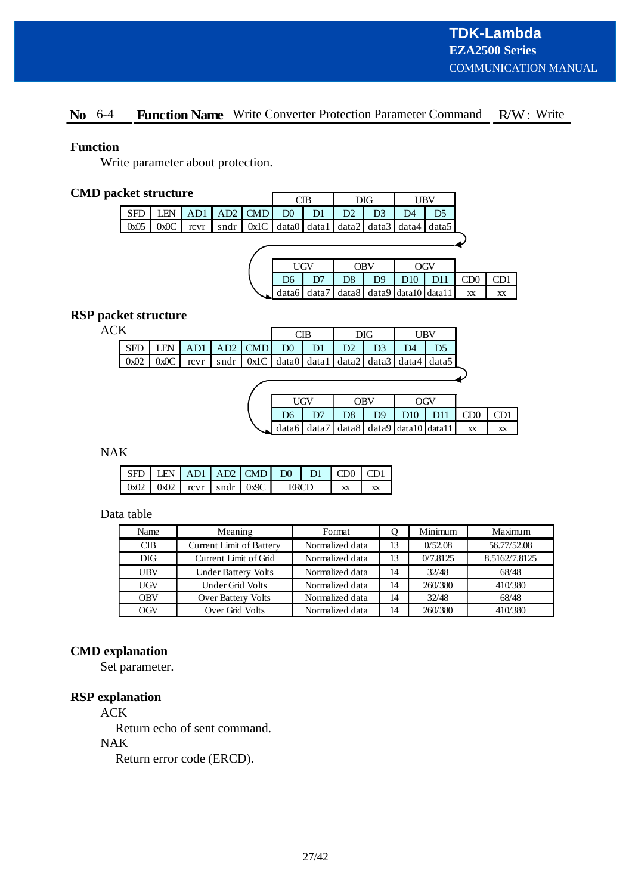# No 6-4 Function Name Write Converter Protection Parameter Command R/W: Write

# **Function**

Write parameter about protection.

# **CMD packet structure**

|            | nvı bil uvlul v |      |      |           |                    | CІB |    | DIG |                               | UBV   |     |  |
|------------|-----------------|------|------|-----------|--------------------|-----|----|-----|-------------------------------|-------|-----|--|
| <b>SFD</b> | LEN             | AD1  |      | AD2   CMD | D <sub>0</sub>     |     |    | D3  | D4                            | D5    |     |  |
| 0x05       | 0x0C            | rcvr | sndr |           | $0x1C$ data0 data1 |     |    |     | data2   data3   data4   data5 |       |     |  |
|            |                 |      |      |           |                    |     |    |     |                               |       |     |  |
|            |                 |      |      |           |                    |     |    |     |                               |       |     |  |
|            |                 |      |      |           |                    | UGV |    | OBV |                               | OGV   |     |  |
|            |                 |      |      |           |                    |     | __ | _ _ | ___                           | - - - | ___ |  |

|  |  |                                             | D6   D7   D8   D9   D10   D11   CD0   CD1 |    |
|--|--|---------------------------------------------|-------------------------------------------|----|
|  |  | $data6 data7 data8 data9 data10 data11 $ xx |                                           | XX |

# **RSP packet structure**

ACK

| ĸ                                                                                                                                              |  |  |  |  |                |                | DIG |    | ' IRV |
|------------------------------------------------------------------------------------------------------------------------------------------------|--|--|--|--|----------------|----------------|-----|----|-------|
| $\vert$ SFD $\vert$ LEN $\vert$ AD1 $\vert$ AD2 $\vert$ CMD $\vert$ D0 $\vert$                                                                 |  |  |  |  | D <sub>1</sub> | D <sub>2</sub> |     | D4 |       |
| $\left[ 0x02 \mid 0x0C \right]$ rcvr $\left[ 0x1C \mid 0x1C \right]$ data $\left[ 0x1c \mid 0x1c \right]$ data $\left[ 0x1c \mid 0x1c \right]$ |  |  |  |  |                |                |     |    |       |

|      |             | ∩RV | n w                                          |    |    |
|------|-------------|-----|----------------------------------------------|----|----|
| $D6$ | $\sqrt{D7}$ |     | D8 D9 D10 D11 CD0 CD1                        |    |    |
|      |             |     | $\Box$ data6 data7 data8 data9 data10 data11 | XX | XX |

# NAK

| $\vert$ SFD $\vert$ LEN $\vert$ AD1 $\vert$ AD2 $\vert$ CMD $\vert$ D0 $\vert$ D1 $\vert$ CD0 $\vert$ CD1 |  |  |  |  |
|-----------------------------------------------------------------------------------------------------------|--|--|--|--|
| $\left  0x02 \right  0x02$ $\left  0x07 \right  0x9C$ ERCD                                                |  |  |  |  |

# Data table

| Name       | Meaning                         | Format          |    | Minimum  | Maximum       |
|------------|---------------------------------|-----------------|----|----------|---------------|
| CIB        | <b>Current Limit of Battery</b> | Normalized data | 13 | 0/52.08  | 56.77/52.08   |
| <b>DIG</b> | Current Limit of Grid           | Normalized data | 13 | 0/7.8125 | 8.5162/7.8125 |
| <b>UBV</b> | <b>Under Battery Volts</b>      | Normalized data | 14 | 32/48    | 68/48         |
| <b>UGV</b> | Under Grid Volts                | Normalized data | 14 | 260/380  | 410/380       |
| <b>OBV</b> | Over Battery Volts              | Normalized data | 14 | 32/48    | 68/48         |
| OGV        | Over Grid Volts                 | Normalized data | 14 | 260/380  | 410/380       |

# **CMD explanation**

Set parameter.

# **RSP explanation**

ACK

Return echo of sent command.

# NAK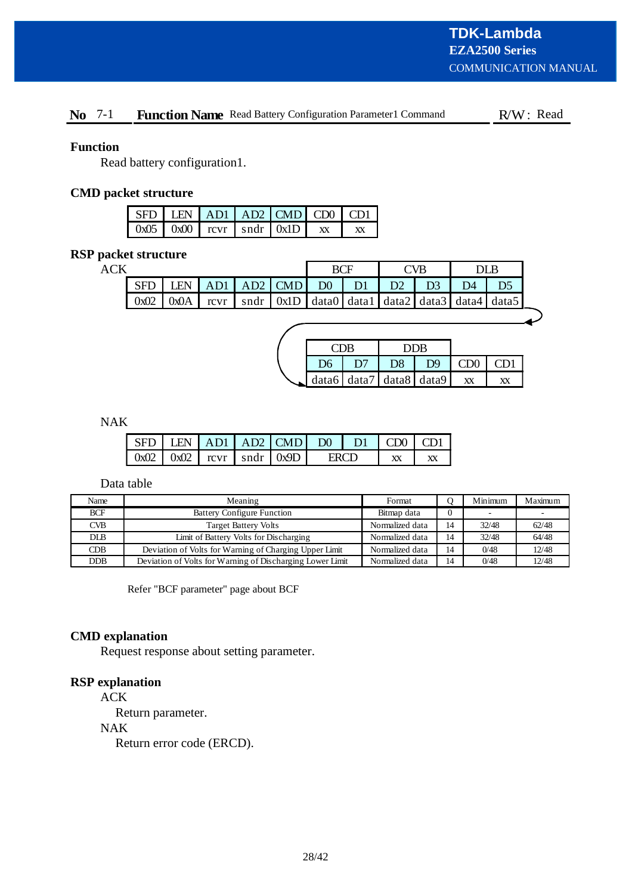# No 7-1 Function Name Read Battery Configuration Parameter1 Command R/W: Read

## **Function**

Read battery configuration1.

# **CMD packet structure**

|  |  | $SFD$ LEN $AD1$ $AD2$ $CMD$ $CD0$ $CD1$     |    |
|--|--|---------------------------------------------|----|
|  |  | $0x05$   $0x00$   rcvr   sndr   $0x1D$   xx | XX |

# **RSP packet structure**

| <b>ACK</b> |      |      |      |                 |                |                |                                                             | ^VR |    |  |
|------------|------|------|------|-----------------|----------------|----------------|-------------------------------------------------------------|-----|----|--|
|            |      | I FN | AD1  | $\vert$ AD2 CMD | D <sup>0</sup> | D <sub>1</sub> |                                                             |     | D4 |  |
|            | 0x02 | 0x0A | rcvr |                 |                |                | sndr   0x1D   data0   data1   data2   data3   data4   data5 |     |    |  |
|            |      |      |      |                 |                |                |                                                             |     |    |  |

|    | CDR                   |                | DDR                     |                 |                 |
|----|-----------------------|----------------|-------------------------|-----------------|-----------------|
| D6 | $\mathbf{D}^{\prime}$ | D <sub>8</sub> | D <sup>9</sup>          | CD <sub>0</sub> | CD <sub>1</sub> |
|    |                       |                | data6 data7 data8 data9 | XX              | XX              |

NAK

| $\vert$ SFD $\vert$ LEN $\vert$ AD1 $\vert$ AD2 $\vert$ CMD $\vert$ D0 $\vert$ D1 $\vert$ CD0 $\vert$ CD1 |  |  |  |  |
|-----------------------------------------------------------------------------------------------------------|--|--|--|--|
| $\left  0x02 \right  0x02$ $\left  0x07 \right  0x9D$ ERCD                                                |  |  |  |  |

Data table

| Name       | Meaning                                                   | Format          |    | Minimum | Maximum |
|------------|-----------------------------------------------------------|-----------------|----|---------|---------|
| <b>BCF</b> | <b>Battery Configure Function</b>                         | Bitmap data     |    |         |         |
| <b>CVB</b> | <b>Target Battery Volts</b>                               | Normalized data | 14 | 32/48   | 62/48   |
| <b>DLB</b> | Limit of Battery Volts for Discharging                    | Normalized data | 14 | 32/48   | 64/48   |
| CDB        | Deviation of Volts for Warning of Charging Upper Limit    | Normalized data | 14 | 0/48    | 12/48   |
| <b>DDB</b> | Deviation of Volts for Warning of Discharging Lower Limit | Normalized data | 14 | 0/48    | 12/48   |

Refer "BCF parameter" page about BCF

# **CMD explanation**

Request response about setting parameter.

# **RSP explanation**

ACK

Return parameter.

NAK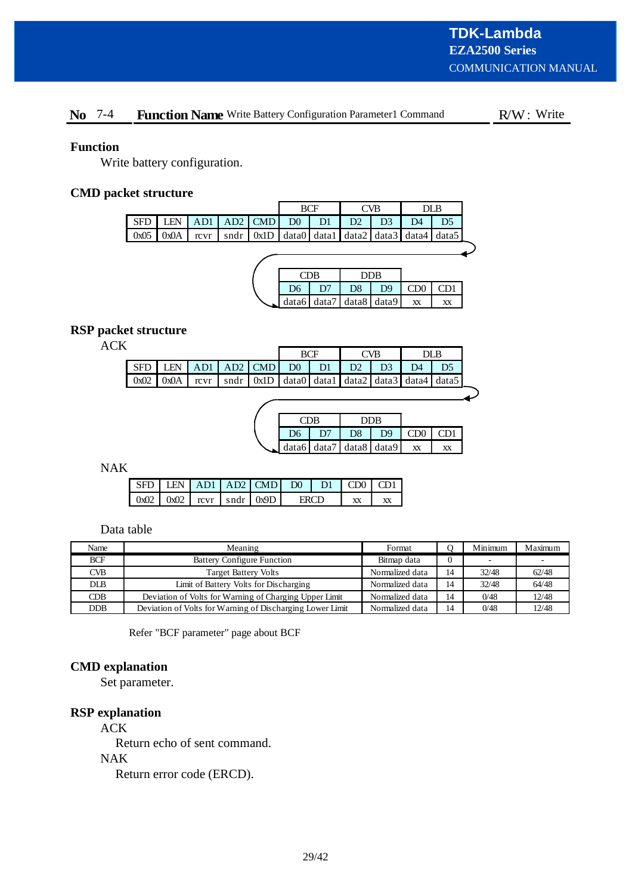# No 7-4 Function Name Write Battery Configuration Parameter1 Command R/W: Write

# **Function**

Write battery configuration.

# **CMD packet structure**

|                                                                                                                                                             |  |  | BCF |      | CVB. |               | DLB |  |
|-------------------------------------------------------------------------------------------------------------------------------------------------------------|--|--|-----|------|------|---------------|-----|--|
| $\vert$ SFD $\vert$ LEN $\vert$ AD1 $\vert$ AD2 $\vert$ CMD $\vert$ D0 $\vert$ D1 $\vert$                                                                   |  |  |     | $D2$ |      | $\mathbf{D}4$ |     |  |
| $\sqrt{0x05}$ $\sqrt{0x0A}$ $\arctan \frac{1}{x}$ $\arctan \frac{1}{x}$ $\arctan \frac{1}{x}$ data1 $\arctan \frac{1}{x}$ data3 $\arctan \frac{1}{x}$ data5 |  |  |     |      |      |               |     |  |
|                                                                                                                                                             |  |  |     |      |      |               |     |  |

|                | TDB |                | DDR                     |        |     |
|----------------|-----|----------------|-------------------------|--------|-----|
| D <sub>6</sub> | D7  | D <sub>8</sub> | D <sub>9</sub>          | (1)(1) | CDI |
|                |     |                | data6 data7 data8 data9 | XX     | XХ  |

# **RSP packet structure**

| . .<br>۹ |
|----------|
|----------|

|       |      |  |                                   |  |                                                                                                                    | "VR |    | DLB |  |
|-------|------|--|-----------------------------------|--|--------------------------------------------------------------------------------------------------------------------|-----|----|-----|--|
| SFD I |      |  | LEN $AD1   AD2   CMD   D0   D1  $ |  | D <sub>2</sub>                                                                                                     |     | D4 |     |  |
| 0x02  | 0x0A |  |                                   |  | rcvr $\vert$ sndr $\vert$ 0x1D $\vert$ data0 $\vert$ data1 $\vert$ data2 $\vert$ data3 $\vert$ data4 $\vert$ data5 |     |    |     |  |
|       |      |  |                                   |  |                                                                                                                    |     |    |     |  |

|                | TDB |                         | DDB            |                 |     |
|----------------|-----|-------------------------|----------------|-----------------|-----|
| D <sub>6</sub> | D7  | D <sub>8</sub>          | D <sup>9</sup> | CD <sub>0</sub> | CD1 |
|                |     | data6 data7 data8 data9 |                | XX              | XХ  |

NAK

|  |  | $SFD$ LEN $AD1$ $AD2$ $CMD$ $DO$ $D1$ $CDO$ $CD0$ |  |  |
|--|--|---------------------------------------------------|--|--|
|  |  | $0x02$ $0x02$ $revr$ $sndr$ $0x9D$ ERCD           |  |  |

Data table

| Name         | Meaning                                                   | Format          |          | Minimum | Maximum |
|--------------|-----------------------------------------------------------|-----------------|----------|---------|---------|
| <b>BCF</b>   | <b>Battery Configure Function</b>                         | Bitmap data     | $\theta$ |         |         |
| <b>CVB</b>   | <b>Target Battery Volts</b>                               | Normalized data | 14       | 32/48   | 62/48   |
| $_{\rm DLB}$ | Limit of Battery Volts for Discharging                    | Normalized data | 14       | 32/48   | 64/48   |
| CDB          | Deviation of Volts for Warning of Charging Upper Limit    | Normalized data | 14       | 0/48    | 12/48   |
| <b>DDB</b>   | Deviation of Volts for Warning of Discharging Lower Limit | Normalized data | 14       | 0/48    | 12/48   |

Refer "BCF parameter" page about BCF

# **CMD explanation**

Set parameter.

# **RSP explanation**

ACK

Return echo of sent command. NAK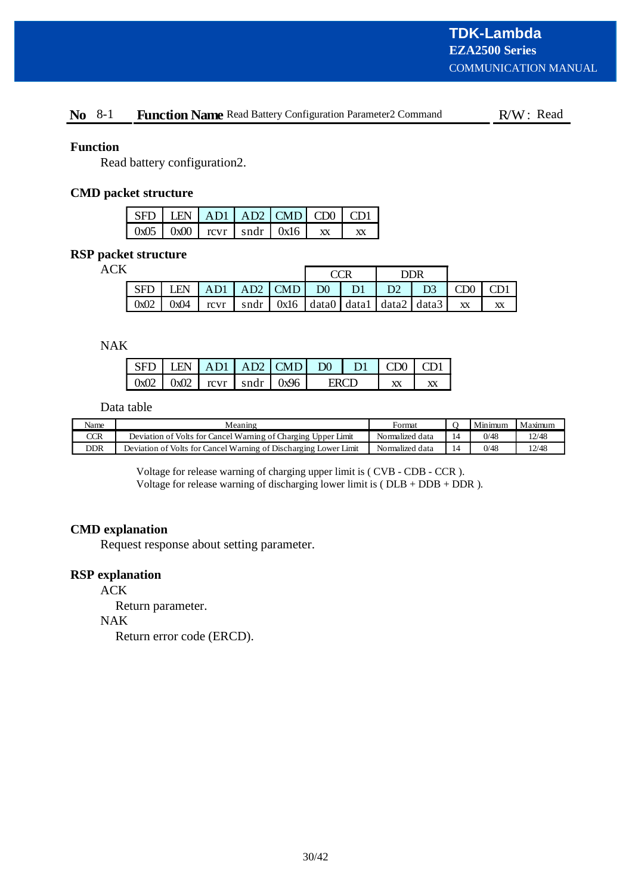# No 8-1 Function Name Read Battery Configuration Parameter2 Command R/W: Read

## **Function**

Read battery configuration2.

# **CMD packet structure**

|  |  | $SFD   LEN   AD1   AD2   CMD   CD0   CD1$   |    |
|--|--|---------------------------------------------|----|
|  |  | $0x05$   $0x00$   rcvr   sndr   $0x16$   xx | XX |

# **RSP packet structure**

ACK

|       |            |                      |  |                                                                                     |  | DDR       |                    |  |
|-------|------------|----------------------|--|-------------------------------------------------------------------------------------|--|-----------|--------------------|--|
| l SFD | <b>LEN</b> | AD1 AD2 CMD D0 D1 D2 |  |                                                                                     |  | $\Box$ D3 | $\overline{C}$ CD0 |  |
| 0x02  | 0x04       |                      |  | $\lceil \text{cvr} \rceil$ sndr $\lceil \text{0x16} \rceil$ data0 data1 data2 data3 |  |           | XX                 |  |

NAK

|                                                                  |  | $LEN$ $AD1$ $AD2$ $CMD$ $D0$ $L$ |  | -D1 | L CDO |  |
|------------------------------------------------------------------|--|----------------------------------|--|-----|-------|--|
| $\vert$ 0x02 $\vert$ 0x02 $\vert$ rcvr $\vert$ sndr $\vert$ 0x96 |  |                                  |  |     |       |  |

Data table

| Name | Meaning                                                          | Format          | Minimum | Maximum |
|------|------------------------------------------------------------------|-----------------|---------|---------|
| CCR  | Deviation of Volts for Cancel Warning of Charging Upper Limit    | Normalized data | 0/48    | 12/48   |
| DDR  | Deviation of Volts for Cancel Warning of Discharging Lower Limit | Normalized data | 0/48    | 12/48   |

Voltage for release warning of charging upper limit is ( CVB - CDB - CCR ). Voltage for release warning of discharging lower limit is ( $DLB + DDB + DDR$ ).

# **CMD explanation**

Request response about setting parameter.

# **RSP explanation**

ACK

Return parameter.

NAK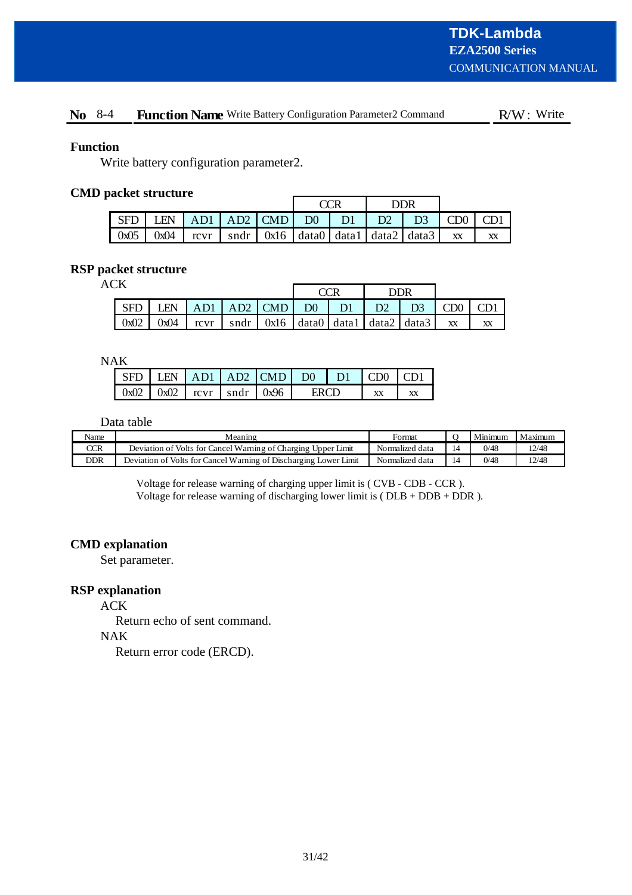# No 8-4 Function Name Write Battery Configuration Parameter2 Command R/W: Write

## **Function**

Write battery configuration parameter2.

# **CMD packet structure**

|      |       |                     |  |  |                                                                                                                                   | DDR |           |  |
|------|-------|---------------------|--|--|-----------------------------------------------------------------------------------------------------------------------------------|-----|-----------|--|
| SFD  | `I FN | $AB1$ AD2 CMD D0 D1 |  |  | D <sub>2</sub>                                                                                                                    |     | D3   CD0  |  |
| 0x05 | 0x04  |                     |  |  | $\lceil \text{cvr} \rceil$ sndr $\lceil \text{0x16} \rceil$ data0 $\lceil \text{data1} \rceil$ data2 $\lceil \text{data3} \rceil$ |     | <b>XX</b> |  |

## **RSP packet structure**

ACK

| . |            |      |                           | DDR |                                                                                                                                   |                      |  |          |    |
|---|------------|------|---------------------------|-----|-----------------------------------------------------------------------------------------------------------------------------------|----------------------|--|----------|----|
|   | <b>SFD</b> | I FN | AD1   AD2   CMD   D0   D1 |     |                                                                                                                                   | D <sub>2</sub><br>H. |  | D3   CD0 |    |
|   | 0x02       | 0x04 |                           |     | $\lceil \text{cvr} \rceil$ sndr $\lceil \text{0x16} \rceil$ data0 $\lceil \text{data1} \rceil$ data2 $\lceil \text{data3} \rceil$ |                      |  | XX       | XX |

NAK

|  |  | $SFD$ LEN $AD1$ $AD2$ $CMD$ $D0$ $D1$ $CDO$ $CDI$ |       |  |  |
|--|--|---------------------------------------------------|-------|--|--|
|  |  | $0x02$   $0x02$   rcvr   sndr   $0x96$            | ERCD. |  |  |

Data table

| Name | Meaning                                                          | Format          |    | Minimum | Maximum |
|------|------------------------------------------------------------------|-----------------|----|---------|---------|
| CCR  | Deviation of Volts for Cancel Warning of Charging Upper Limit    | Normalized data |    | 0/48    | 12/48   |
| DDR  | Deviation of Volts for Cancel Warning of Discharging Lower Limit | Normalized data | 14 | 0/48    | 12/48   |

Voltage for release warning of charging upper limit is ( CVB - CDB - CCR ). Voltage for release warning of discharging lower limit is ( $DLB + DDB + DDR$ ).

# **CMD explanation**

Set parameter.

## **RSP explanation**

ACK

Return echo of sent command.

NAK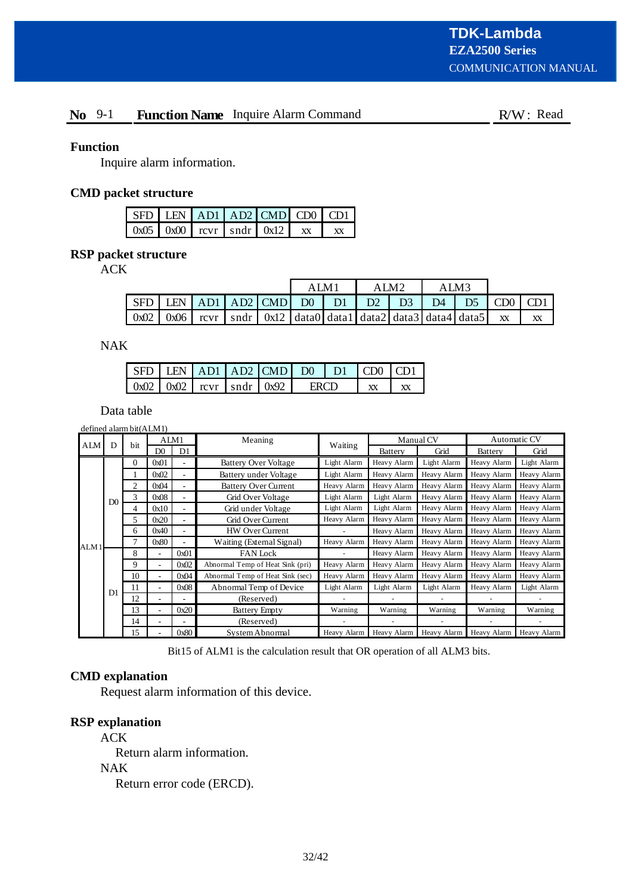# **No** 9-1 **Function Name** Inquire Alarm Command **FUN**: Read

## **Function**

Inquire alarm information.

# **CMD packet structure**

|  |  | $\vert$ SFD $\vert$ LEN $\vert$ AD1 $\vert$ AD2 $\vert$ CMD $\vert$ CD0 $\vert$ CD1 |  |
|--|--|-------------------------------------------------------------------------------------|--|
|  |  | $\vert 0x05 \vert 0x00 \vert rcvr \vert sndr \vert 0x12 \vert xx$                   |  |

# **RSP packet structure**

ACK

|                                                         |        |  | AIM <sup>1</sup> |                                                                                                                    | ' M2 | ALM3 |                |                   |    |
|---------------------------------------------------------|--------|--|------------------|--------------------------------------------------------------------------------------------------------------------|------|------|----------------|-------------------|----|
| $\vert$ SFD   LEN   AD1   AD2   CMD   D0   D1   D2   D3 |        |  |                  |                                                                                                                    |      | D4   | D <sub>5</sub> | $\mid$ CD0 $\mid$ |    |
| 0x02                                                    | $0x06$ |  |                  | rcvr $\vert$ sndr $\vert$ 0x12 $\vert$ data0 $\vert$ data1 $\vert$ data2 $\vert$ data3 $\vert$ data4 $\vert$ data5 |      |      |                | <b>XX</b>         | XX |

NAK

| $\vert$ SFD LEN $\vert$ AD1 $\vert$ AD2 $\vert$ CMD $\vert$ D0 $\vert$ D1 $\vert$ CD0 $\vert$ CD1 |  |  |  |  |
|---------------------------------------------------------------------------------------------------|--|--|--|--|
| $\vert 0x02 \vert 0x02 \vert rcvr \vert sndr \vert 0x92 \vert$                                    |  |  |  |  |

Data table

|      |                | defined alarm bit(ALM1) |                |                |                                  |             |             |             |                |              |
|------|----------------|-------------------------|----------------|----------------|----------------------------------|-------------|-------------|-------------|----------------|--------------|
| ALM  | D              | bit                     |                | ALM1           | Meaning                          | Waiting     |             | Manual CV   |                | Automatic CV |
|      |                |                         | D <sub>0</sub> | D <sub>1</sub> |                                  |             | Battery     | Grid        | <b>Battery</b> | Grid         |
|      |                | $\Omega$                | 0x01           | ٠              | <b>Battery Over Voltage</b>      | Light Alarm | Heavy Alarm | Light Alarm | Heavy Alarm    | Light Alarm  |
|      |                |                         | 0x02           | ۰              | Battery under Voltage            | Light Alarm | Heavy Alarm | Heavy Alarm | Heavy Alarm    | Heavy Alarm  |
|      |                | $\overline{c}$          | 0x04           |                | <b>Battery Over Current</b>      | Heavy Alarm | Heavy Alarm | Heavy Alarm | Heavy Alarm    | Heavy Alarm  |
|      | D <sub>0</sub> | 3                       | 0x08           | ۰              | Grid Over Voltage                | Light Alarm | Light Alarm | Heavy Alarm | Heavy Alarm    | Heavy Alarm  |
|      |                | 4                       | 0x10           | ٠              | Grid under Voltage               | Light Alarm | Light Alarm | Heavy Alarm | Heavy Alarm    | Heavy Alarm  |
|      |                | 5                       | 0x20           | ٠              | Grid Over Current                | Heavy Alarm | Heavy Alarm | Heavy Alarm | Heavy Alarm    | Heavy Alarm  |
|      |                | 6                       | 0x40           | ۰              | <b>HW Over Current</b>           |             | Heavy Alarm | Heavy Alarm | Heavy Alarm    | Heavy Alarm  |
| ALM1 |                | 7                       | 0x80           | ۰              | Waiting (External Signal)        | Heavy Alarm | Heavy Alarm | Heavy Alarm | Heavy Alarm    | Heavy Alarm  |
|      |                | 8                       |                | 0x01           | <b>FAN</b> Lock                  |             | Heavy Alarm | Heavy Alarm | Heavy Alarm    | Heavy Alarm  |
|      |                | 9                       | ÷              | 0x02           | Abnormal Temp of Heat Sink (pri) | Heavy Alarm | Heavy Alarm | Heavy Alarm | Heavy Alarm    | Heavy Alarm  |
|      |                | 10                      |                | 0x04           | Abnormal Temp of Heat Sink (sec) | Heavy Alarm | Heavy Alarm | Heavy Alarm | Heavy Alarm    | Heavy Alarm  |
|      | D <sub>1</sub> | 11                      |                | 0x08           | Abnormal Temp of Device          | Light Alarm | Light Alarm | Light Alarm | Heavy Alarm    | Light Alarm  |
|      |                | 12                      |                |                | (Reserved)                       |             |             |             |                |              |
|      |                | 13                      | ٠.             | 0x20           | <b>Battery Empty</b>             | Warning     | Warning     | Warning     | Warning        | Warning      |
|      |                | 14                      |                |                | (Reserved)                       |             |             |             |                |              |
|      |                | 15                      |                | 0x80           | System Abnormal                  | Heavy Alarm | Heavy Alarm | Heavy Alarm | Heavy Alarm    | Heavy Alarm  |

Bit15 of ALM1 is the calculation result that OR operation of all ALM3 bits.

# **CMD explanation**

Request alarm information of this device.

# **RSP explanation**

ACK Return alarm information. NAK Return error code (ERCD).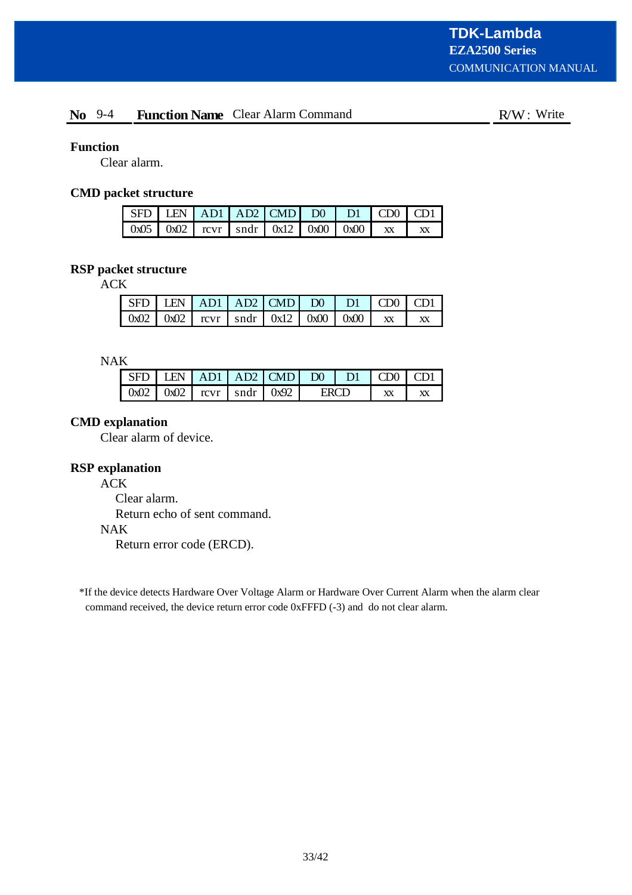# **No** 9-4 **Function Name** Clear Alarm Command **F**W: Write

# **Function**

Clear alarm.

# **CMD packet structure**

|  |  | $\sqrt{\text{SFD} \cdot \text{LEN} \cdot \text{AD1} \cdot \text{AD2}}$ $\sqrt{\text{CMD} \cdot \text{D0} \cdot \text{DI} \cdot \text{CD0}}$ $\sqrt{\text{CD1} \cdot \text{CD0}}$ |  |  |
|--|--|----------------------------------------------------------------------------------------------------------------------------------------------------------------------------------|--|--|
|  |  | $\left[ 0x05 \right] 0x02$ $\left[ 0x07 \right] 0x12$ $\left[ 0x00 \right] 0x00$ $\left[ x \right] x$                                                                            |  |  |

# **RSP packet structure**

ACK

| $\vert$ SFD $\vert$ LEN $\vert$ AD1 $\vert$ AD2 $\vert$ CMD $\vert$ D0 $\vert$ D1 $\vert$ CD0 $\vert$ CD1 |  |  |  |  |
|-----------------------------------------------------------------------------------------------------------|--|--|--|--|
| $\left[ 0x02 \right] 0x02$ $\left[ 0x07 \right] 0x12$ $\left[ 0x00 \right] 0x00$ $\left[ x \right]$       |  |  |  |  |

NAK

|  |  | $1$ IFN $\vert$ AD1 $\vert$ AD2 $\vert$ CMD $\vert$ D0 $\vert$ D1 $\vert$ |  | $-100 \le$ |  |
|--|--|---------------------------------------------------------------------------|--|------------|--|
|  |  | $0x02$   $0x02$   rcvr   sndr   $0x92$                                    |  |            |  |

# **CMD explanation**

Clear alarm of device.

# **RSP explanation**

ACK

Clear alarm. Return echo of sent command. NAK Return error code (ERCD).

\*If the device detects Hardware Over Voltage Alarm or Hardware Over Current Alarm when the alarm clear command received, the device return error code 0xFFFD (-3) and do not clear alarm.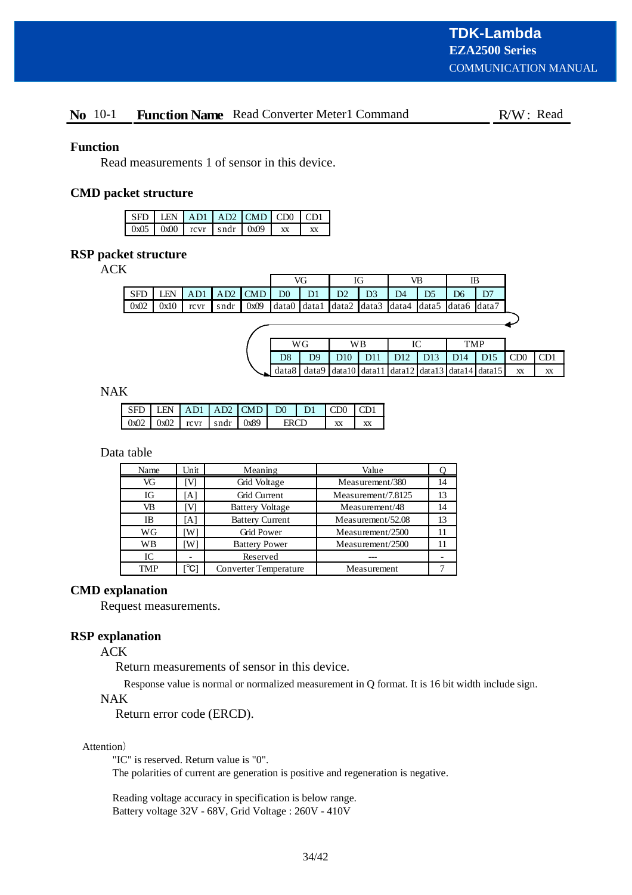# **No** 10-1 **Function Name** Read Converter Meter1 Command R/W: Read

## **Function**

Read measurements 1 of sensor in this device.

## **CMD packet structure**

|  |                                        | $SFD$ LEN $AD1$ $AD2$ $CMD$ $CD0$ $CD1$ |  |
|--|----------------------------------------|-----------------------------------------|--|
|  | $0x05$   $0x00$   revr   sndr   $0x09$ |                                         |  |

# **RSP packet structure**

ACK

|         |            |      |           |      |                | VG             |       |                                                 | VB            | IB |  |
|---------|------------|------|-----------|------|----------------|----------------|-------|-------------------------------------------------|---------------|----|--|
| ' SFD . | <b>LEN</b> | AD1  | $AD2$ CMD |      | D <sub>0</sub> | D <sub>1</sub> | $D^2$ |                                                 | $\mathbf{D}4$ |    |  |
| 0x02    | 0x10       | rcvr | sndr      | 0x09 |                |                |       | data0 data1 data2 data3 data4 data5 data6 data7 |               |    |  |

|                                                                            | WG             | WВ |  | TMP                                                                                             |    |    |  |
|----------------------------------------------------------------------------|----------------|----|--|-------------------------------------------------------------------------------------------------|----|----|--|
|                                                                            | D <sub>9</sub> |    |  | D <sub>10</sub> D <sub>11</sub> D <sub>12</sub> D <sub>13</sub> D <sub>14</sub> D <sub>15</sub> |    |    |  |
| $\sim$ data8   data9   data10   data11   data12   data13   data14   data15 |                |    |  |                                                                                                 | XX | XX |  |

NAK

| SED. |                                        |  | LEN AD1 AD2 CMD D0 D1 CD0 CD1 |  |  |
|------|----------------------------------------|--|-------------------------------|--|--|
|      | $0x02$   $0x02$   revr   sndr   $0x89$ |  |                               |  |  |

Data table

| Name       | Unit | Meaning                | Value              |    |
|------------|------|------------------------|--------------------|----|
| VG         |      | Grid Voltage           | Measurement/380    | 14 |
| IG         | [A]  | Grid Current           | Measurement/7.8125 | 13 |
| VB         |      | <b>Battery Voltage</b> | Measurement/48     | 14 |
| ΙB         | IA l | <b>Battery Current</b> | Measurement/52.08  | 13 |
| WG         | W١   | <b>Grid Power</b>      | Measurement/2500   | 11 |
| <b>WB</b>  | Wì   | <b>Battery Power</b>   | Measurement/2500   | 11 |
| IC         |      | Reserved               |                    |    |
| <b>TMP</b> | ିଠା  | Converter Temperature  | Measurement        |    |

# **CMD explanation**

Request measurements.

#### **RSP explanation**

ACK

Return measurements of sensor in this device.

Response value is normal or normalized measurement in Q format. It is 16 bit width include sign.

#### NAK

Return error code (ERCD).

#### Attention)

"IC" is reserved. Return value is "0".

The polarities of current are generation is positive and regeneration is negative.

Reading voltage accuracy in specification is below range. Battery voltage 32V - 68V, Grid Voltage : 260V - 410V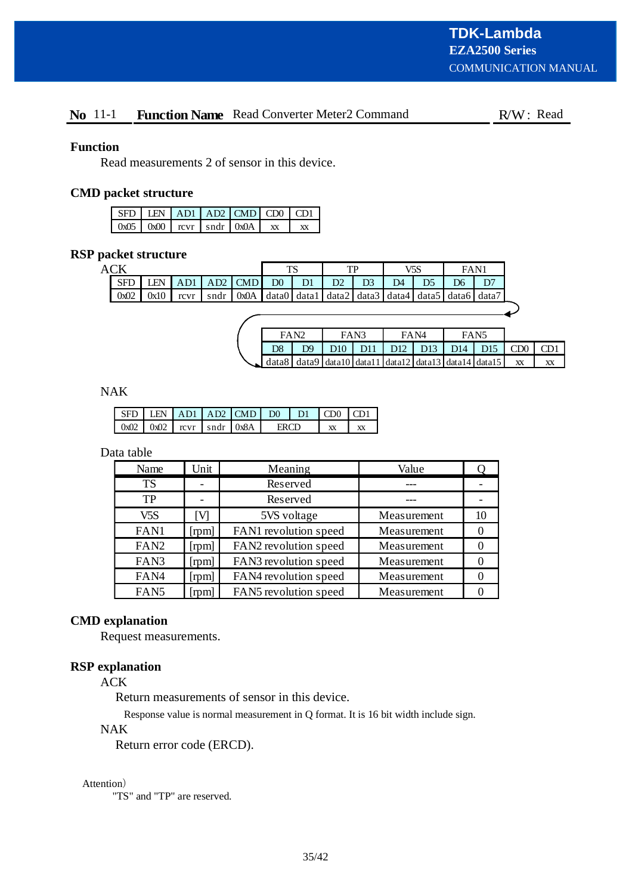# **No** 11-1 **Function Name** Read Converter Meter2 Command R/W: Read

## **Function**

Read measurements 2 of sensor in this device.

# **CMD packet structure**

|  |  | SFD LEN AD1 AD2 CMD CD0 CD1            |    |
|--|--|----------------------------------------|----|
|  |  | $0x05$   $0x00$   revr   sndr   $0x0A$ | xх |

# **RSP packet structure**

| AС         |      |                   |      |           | TS             |                | тp |    | V5S             | FAN1                                                                                                            |  |
|------------|------|-------------------|------|-----------|----------------|----------------|----|----|-----------------|-----------------------------------------------------------------------------------------------------------------|--|
| <b>SFL</b> | EN   |                   |      | $AD2$ CMD | D <sub>0</sub> | $\mathbf{D}$ 1 |    | D3 | $\overline{D}4$ | D6                                                                                                              |  |
| 0x02       | 0x10 | $\bf{r}$ $\bf{v}$ | sndr | 0x0A      |                |                |    |    |                 | $\vert$ data0 $\vert$ data1 $\vert$ data2 $\vert$ data3 $\vert$ data4 $\vert$ data5 $\vert$ data6 $\vert$ data7 |  |
|            |      |                   |      |           |                |                |    |    |                 |                                                                                                                 |  |

|                                                                                                                                                                                                                                                                                                                                 | FA <sub>N</sub> |                  | FAN3 | FA <sub>N4</sub> |                     | FAN5 |                 |           |
|---------------------------------------------------------------------------------------------------------------------------------------------------------------------------------------------------------------------------------------------------------------------------------------------------------------------------------|-----------------|------------------|------|------------------|---------------------|------|-----------------|-----------|
| D8                                                                                                                                                                                                                                                                                                                              | D <sub>9</sub>  | D10 <sub>1</sub> |      |                  | D11 D12 D13 D14 D15 |      | CD <sub>0</sub> |           |
| $\vert$ data $\vert$ data $\vert$ data $\vert$ data $\vert$ data $\vert$ data $\vert$ data $\vert$ data $\vert$ data $\vert$ data $\vert$ data $\vert$ data $\vert$ data $\vert$ data $\vert$ data $\vert$ data $\vert$ data $\vert$ data $\vert$ data $\vert$ data $\vert$ data $\vert$ data $\vert$ data $\vert$ data $\vert$ |                 |                  |      |                  |                     |      | XX              | <b>XX</b> |

NAK

|                                          |  | SED LEN AD1 LAD2 CMD D0 LD1 CD0 |  | $1 \text{CD}1$ |
|------------------------------------------|--|---------------------------------|--|----------------|
| $0x02$   $0x02$   $rcvr$   sndr   $0x8A$ |  |                                 |  |                |

Data table

| Name             | Unit           | Meaning               | Value       |    |
|------------------|----------------|-----------------------|-------------|----|
| <b>TS</b>        |                | Reserved              |             |    |
| TP               |                | Reserved              |             |    |
| V5S              | ſVІ            | 5VS voltage           | Measurement | 10 |
| FAN1             | [ <i>rpm</i> ] | FAN1 revolution speed | Measurement | 0  |
| FAN <sub>2</sub> | [rpm]          | FAN2 revolution speed | Measurement | 0  |
| FAN3             | [rpm]          | FAN3 revolution speed | Measurement | 0  |
| FAN4             | [ <i>rpm</i> ] | FAN4 revolution speed | Measurement |    |
| FAN5             | [rpm]          | FAN5 revolution speed | Measurement |    |

# **CMD explanation**

Request measurements.

# **RSP explanation**

ACK

Return measurements of sensor in this device.

Response value is normal measurement in Q format. It is 16 bit width include sign.

# NAK

Return error code (ERCD).

#### Attention)

"TS" and "TP" are reserved.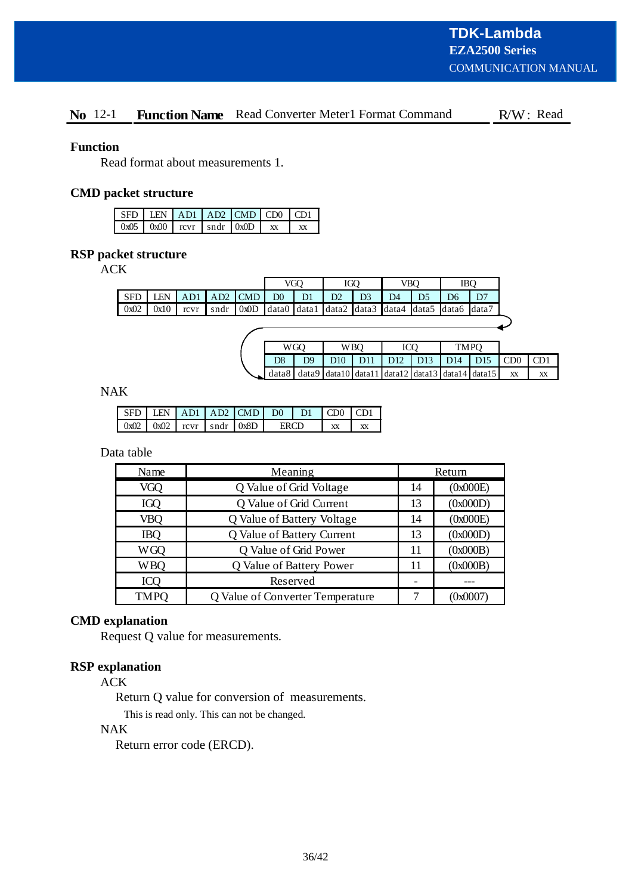# No 12-1 Function Name Read Converter Meter1 Format Command R/W: Read

#### **Function**

Read format about measurements 1.

# **CMD packet structure**

|  | SFD LEN AD1 AD2 CMD CD0 CD1            |  |  |
|--|----------------------------------------|--|--|
|  | $0x05$   $0x00$   revr   sndr   $0x0D$ |  |  |

# **RSP packet structure**

ACK

|                                                                                                      |    | <b>IBO</b> |  |
|------------------------------------------------------------------------------------------------------|----|------------|--|
| $AD2$ CMD<br>EN<br>D <sub>0</sub><br><b>SFD</b><br>D <sub>1</sub><br>D2<br>AD1                       | D6 |            |  |
| 0x0D   data0   data1   data2   data3   data4   data5   data6   data7<br>0x02<br>0x10<br>sndr<br>rcvr |    |            |  |

|                | WGO | W BO |  |  |  | TMPO |                                                                                                                             |    |    |
|----------------|-----|------|--|--|--|------|-----------------------------------------------------------------------------------------------------------------------------|----|----|
| D <sub>9</sub> |     |      |  |  |  |      | D <sub>10</sub>   D <sub>11</sub>   D <sub>12</sub>   D <sub>13</sub>   D <sub>14</sub>   D <sub>15</sub>   CD <sub>0</sub> |    |    |
|                |     |      |  |  |  |      | $\Box$ data8   data9   data10   data11   data12   data13   data14   data15                                                  | XX | XX |

NAK

|  |  | $\vert$ SFD $\vert$ LEN $\vert$ AD1 $\vert$ AD2 $\vert$ CMD $\vert$ D0 $\vert$ D1 $\vert$ CD0 $\vert$ CD1 |      |  |  |
|--|--|-----------------------------------------------------------------------------------------------------------|------|--|--|
|  |  | $\vert 0x02 \vert 0x02 \vert rcvr \vert sndr \vert 0x8D \vert$                                            | ERCD |  |  |

Data table

| Name        | Meaning                          |    | Return   |
|-------------|----------------------------------|----|----------|
| VGQ         | Q Value of Grid Voltage          | 14 | (0x000E) |
| IGQ         | Q Value of Grid Current          | 13 | (0x000D) |
| VBQ         | Q Value of Battery Voltage       | 14 | (0x000E) |
| <b>IBQ</b>  | Q Value of Battery Current       | 13 | (0x000D) |
| <b>WGQ</b>  | Q Value of Grid Power            | 11 | (0x000B) |
| <b>WBQ</b>  | Q Value of Battery Power         | 11 | (0x000B) |
| <b>ICQ</b>  | Reserved                         |    |          |
| <b>TMPQ</b> | Q Value of Converter Temperature |    | (0x0007) |

# **CMD explanation**

Request Q value for measurements.

# **RSP explanation**

ACK

Return Q value for conversion of measurements.

This is read only. This can not be changed.

# NAK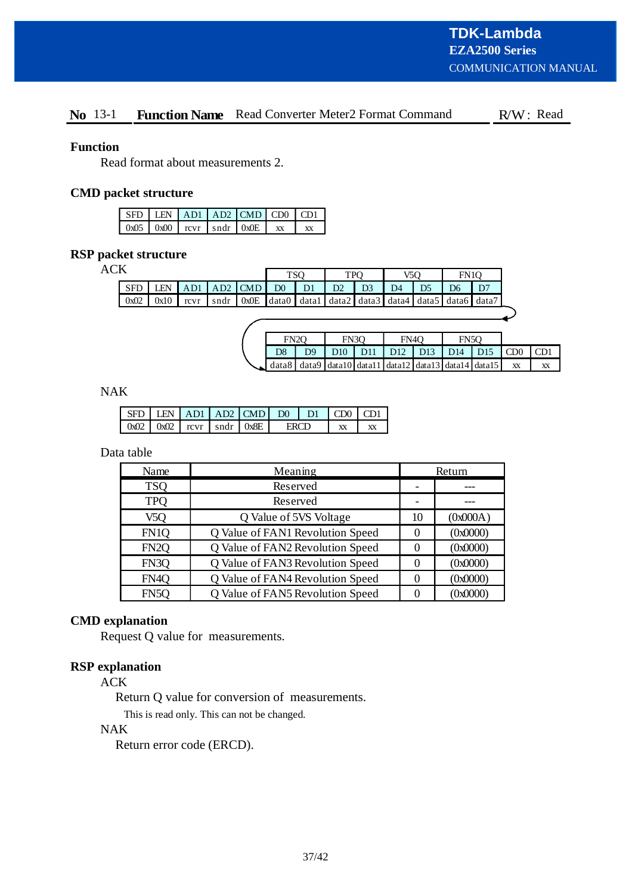# No 13-1 Function Name Read Converter Meter2 Format Command R/W: Read

#### **Function**

Read format about measurements 2.

# **CMD packet structure**

|        |                                    | SFD LEN AD1 AD2 CMD CD0 CD1 |    |
|--------|------------------------------------|-----------------------------|----|
| $0x05$ | $0x00$ rever $1 \text{ and } 0x0E$ |                             | xх |

# **RSP packet structure**

 $ACK$ 

| л          |            |      |                 |                   |                   | TSO            | <b>TPO</b>        |                 | V5O              |                | FN <sub>10</sub> |                                                   |                 |     |
|------------|------------|------|-----------------|-------------------|-------------------|----------------|-------------------|-----------------|------------------|----------------|------------------|---------------------------------------------------|-----------------|-----|
| <b>SFD</b> | <b>LEN</b> | AD1  | AD <sub>2</sub> | <b>CMD</b>        | D0                | D1             | D2                | D <sub>3</sub>  | D4               | D <sub>5</sub> | D6               | D7                                                |                 |     |
| 0x02       | 0x10       | rcvr | sndr            | 0x0E              | data0             | data1          | data2             | data3           | data4            |                |                  | data5 data6 data7                                 |                 |     |
|            |            |      |                 |                   |                   |                |                   |                 |                  |                |                  |                                                   |                 |     |
|            |            |      |                 |                   |                   |                |                   |                 |                  |                |                  |                                                   |                 |     |
|            |            |      |                 | FN <sub>2</sub> O | FN <sub>3</sub> O |                | FN <sub>4</sub> O |                 | FN <sub>50</sub> |                |                  |                                                   |                 |     |
|            |            |      |                 |                   | D <sub>8</sub>    | D <sub>9</sub> | D10               | D <sub>11</sub> | D <sub>12</sub>  | D13            | D <sub>14</sub>  | D <sub>15</sub>                                   | CD <sub>0</sub> | CD1 |
|            |            |      |                 |                   | data8             |                |                   |                 |                  |                |                  | $data9$ data10 data11 data12 data13 data14 data15 | XX              | XX  |

NAK

|  |  | $\vert$ SFD $\vert$ LEN $\vert$ AD1 $\vert$ AD2 $\vert$ CMD $\vert$ D0 $\vert$ D1 $\vert$ CD0 $\vert$ CD1 |      |  |  |
|--|--|-----------------------------------------------------------------------------------------------------------|------|--|--|
|  |  | $\left  0x02 \right  0x02$ $\left  0x07 \right  0x8E$                                                     | EDCD |  |  |

# Data table

| Name              | Meaning                          |    | Return   |
|-------------------|----------------------------------|----|----------|
| <b>TSO</b>        | Reserved                         |    |          |
| <b>TPO</b>        | Reserved                         |    |          |
| V5Q               | Q Value of 5VS Voltage           | 10 | (0x000A) |
| FN1Q              | Q Value of FAN1 Revolution Speed |    | (0x0000) |
| FN <sub>2</sub> Q | Q Value of FAN2 Revolution Speed |    | (0x0000) |
| FN3Q              | Q Value of FAN3 Revolution Speed |    | (0x0000) |
| FN <sub>4</sub> Q | Q Value of FAN4 Revolution Speed |    | (0x0000) |
| FN5Q              | Q Value of FAN5 Revolution Speed |    | (0x0000) |

# **CMD explanation**

Request Q value for measurements.

## **RSP explanation**

ACK

Return Q value for conversion of measurements.

This is read only. This can not be changed.

# NAK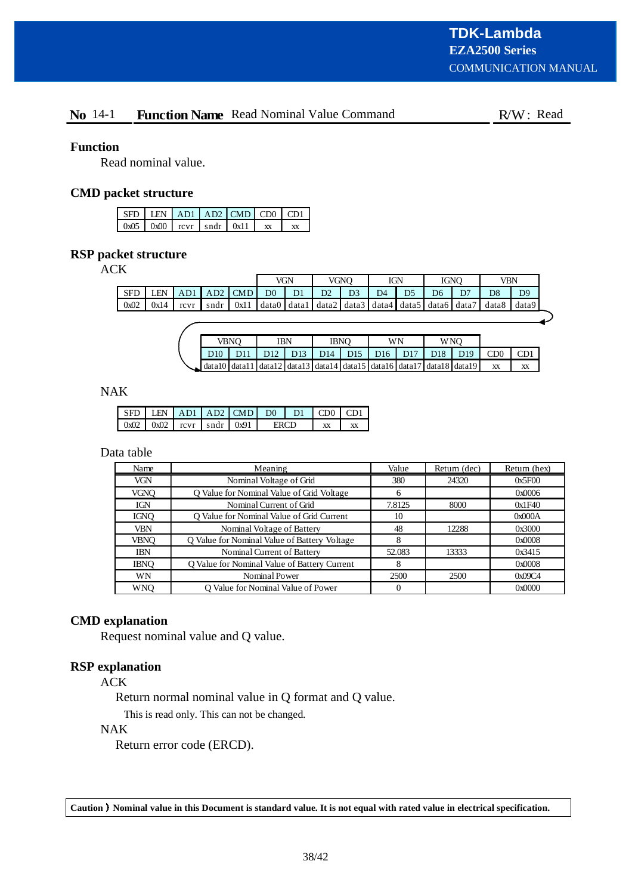# **No** 14-1 **Function Name** Read Nominal Value Command R/W: Read

## **Function**

Read nominal value.

# **CMD packet structure**

|  |  | $SFD$ LEN $AD1$ $AD2$ CMD CD0 CD1                     |  |
|--|--|-------------------------------------------------------|--|
|  |  | $\left  0x05 \right  0x00$ revr $\left  0x11 \right $ |  |

# **RSP packet structure**

ACK

|            |      |      |      |      | VGN            |                                                               | VGNO |                | IGN            |                | <b>IGNO</b>    |    | VBN            |                |
|------------|------|------|------|------|----------------|---------------------------------------------------------------|------|----------------|----------------|----------------|----------------|----|----------------|----------------|
| <b>SFD</b> | LEN  | AD1  | AD2  | CMD  | D <sub>0</sub> | D <sub>1</sub>                                                | D2   | D <sub>3</sub> | D <sub>4</sub> | D <sub>5</sub> | D <sub>6</sub> | D7 | D <sub>8</sub> | D <sub>9</sub> |
| 0x02       | 0x14 | rcvr | sndr | 0x11 |                | data0   data1   data2   data3   data4   data5   data6   data7 |      |                |                |                |                |    | data8          | data9          |
|            |      |      |      |      |                |                                                               |      |                |                |                |                |    |                |                |

|                                                                              | VBNO |  | IBN |  | <b>IBNO</b> |  | WN |  | W NO |                                                           |              |  |
|------------------------------------------------------------------------------|------|--|-----|--|-------------|--|----|--|------|-----------------------------------------------------------|--------------|--|
| D10                                                                          |      |  |     |  |             |  |    |  |      | D11   D12   D13   D14   D15   D16   D17   D18   D19   CD0 | $\Gamma$ CD1 |  |
| $\sim$ data10 data11 data12 data13 data14 data15 data16 data17 data18 data19 |      |  |     |  |             |  |    |  |      | XX                                                        | XX           |  |

# NAK

|      | $\Box$ EN $\Box$ AD1 $\Box$ AD2 $\Box$ CMD $\Box$ |             |      | $\Box$ DO $\Box$ | $-D1$ CD0 $\mathsf{L}$ |    | CD1 |
|------|---------------------------------------------------|-------------|------|------------------|------------------------|----|-----|
| 0x02 | 0x02                                              | $rcvr$ sndr | 0x91 |                  |                        | XX |     |

## Data table

| Name        | Meaning                                      | Value  | Return (dec) | Return (hex) |
|-------------|----------------------------------------------|--------|--------------|--------------|
| <b>VGN</b>  | Nominal Voltage of Grid                      | 380    | 24320        | 0x5F00       |
| <b>VGNO</b> | Q Value for Nominal Value of Grid Voltage    | 6      |              | 0x0006       |
| <b>IGN</b>  | Nominal Current of Grid                      | 7.8125 | 8000         | 0x1F40       |
| <b>IGNO</b> | O Value for Nominal Value of Grid Current    | 10     |              | 0x000A       |
| VBN         | Nominal Voltage of Battery                   | 48     | 12288        | 0x3000       |
| <b>VBNO</b> | Q Value for Nominal Value of Battery Voltage | 8      |              | 0x0008       |
| <b>IBN</b>  | Nominal Current of Battery                   | 52.083 | 13333        | 0x3415       |
| <b>IBNO</b> | Q Value for Nominal Value of Battery Current | 8      |              | 0x0008       |
| WN          | Nominal Power                                | 2500   | 2500         | 0x09C4       |
| WNO         | Q Value for Nominal Value of Power           |        |              | 0x0000       |

#### **CMD explanation**

Request nominal value and Q value.

#### **RSP explanation**

ACK

Return normal nominal value in Q format and Q value.

This is read only. This can not be changed.

# NAK

Return error code (ERCD).

**Caution Nominal value in this Document is standard value. It is not equal with rated value in electrical specification.**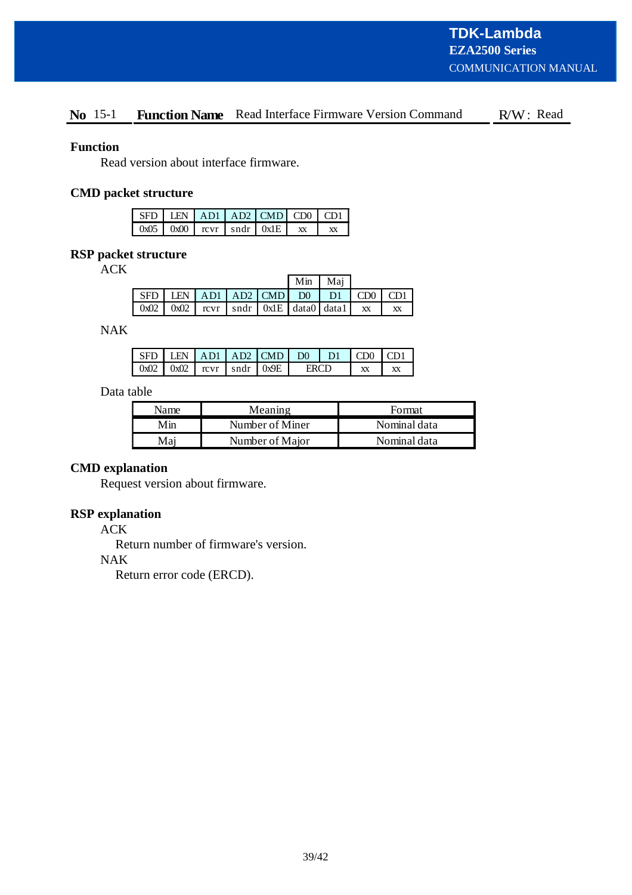# **No** 15-1 **Function Name** Read Interface Firmware Version Command R/W: Read

## **Function**

Read version about interface firmware.

# **CMD packet structure**

|  |  | $SFD$ LEN $AD1$ AD1 CMD CD0 CD1             |  |
|--|--|---------------------------------------------|--|
|  |  | $0x05$   $0x00$   rcvr   sndr   $0x1E$   xx |  |

## **RSP packet structure**

ACK

|                                                                                                           |  |  | Min Maj |  |           |
|-----------------------------------------------------------------------------------------------------------|--|--|---------|--|-----------|
| $\vert$ SFD $\vert$ LEN $\vert$ AD1 $\vert$ AD2 $\vert$ CMD $\vert$ D0 $\vert$ D1 $\vert$ CD0 $\vert$ CD1 |  |  |         |  |           |
| $\left[0x02\right]0x02$ $\left[0x07\right]$ sndr $\left[0x1E\right]$ data0 data1 xx                       |  |  |         |  | <b>XX</b> |

NAK

| SED. |                                    |  | $\vert$ LEN $\vert$ AD1 $\vert$ AD2 $\vert$ CMD $\vert$ D0 $\vert$ D1 |  |  | $\Gamma$ CDO $\Gamma$ CD1 |  |
|------|------------------------------------|--|-----------------------------------------------------------------------|--|--|---------------------------|--|
|      | $0x02$ $0x02$ $revr$ $sndr$ $0x9E$ |  |                                                                       |  |  |                           |  |

# Data table

| Name | Meaning         | Format       |  |  |
|------|-----------------|--------------|--|--|
| Min  | Number of Miner | Nominal data |  |  |
| Mai  | Number of Major | Nominal data |  |  |

# **CMD explanation**

Request version about firmware.

## **RSP explanation**

ACK

Return number of firmware's version.

#### NAK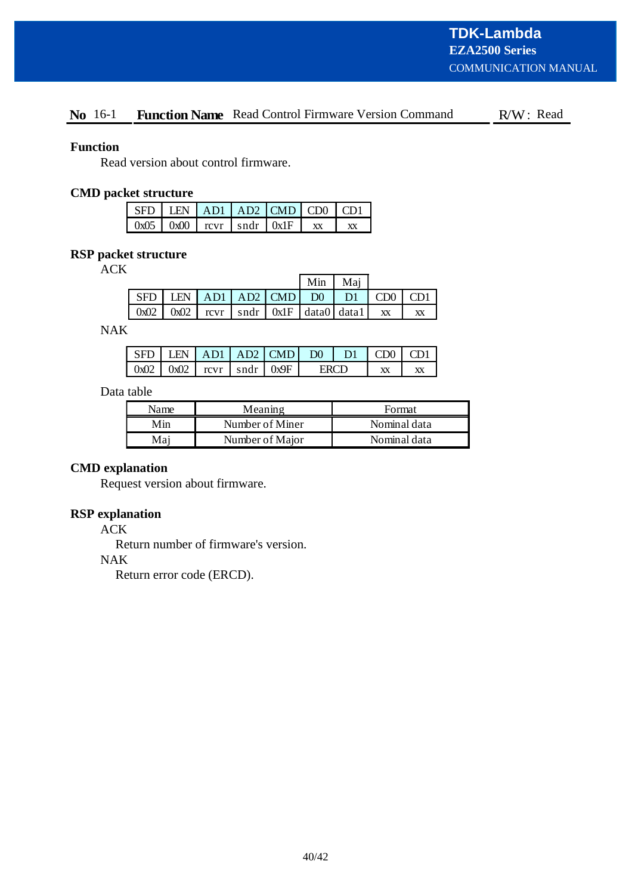# No 16-1 Function Name Read Control Firmware Version Command R/W: Read

## **Function**

Read version about control firmware.

## **CMD packet structure**

| $\vert$ SFD $\vert$ LEN $\vert$ AD1 $\vert$ AD2 $\vert$ CMD $\vert$ CD0 $\vert$ CD1 |  |  |    |
|-------------------------------------------------------------------------------------|--|--|----|
| $\vert$ 0x05 $\vert$ 0x00 $\vert$ rcvr $\vert$ sndr $\vert$ 0x1F $\vert$            |  |  | XX |

# **RSP packet structure**

ACK

|  |  |  |                                                                   | Min   Mai |  |
|--|--|--|-------------------------------------------------------------------|-----------|--|
|  |  |  | $SFD$ LEN $AD1$ $AD2$ $CMD$ $D0$ $D1$ $CDO$                       |           |  |
|  |  |  | $0x02$   $0x02$   rcvr   sndr   $0x1F$   data $0$   data $1$   xx |           |  |

NAK

|        |      |                      | LEN $AD1   AD2   CMD$ | DO <sub>1</sub> |  | CD0 |  |
|--------|------|----------------------|-----------------------|-----------------|--|-----|--|
| $0x02$ | 0x02 | $rcvr$   sndr   0x9F |                       |                 |  |     |  |

# Data table

| Name | Meaning         | Format       |
|------|-----------------|--------------|
| Min  | Number of Miner | Nominal data |
| Mai  | Number of Major | Nominal data |

#### **CMD explanation**

Request version about firmware.

# **RSP explanation**

ACK

Return number of firmware's version.

#### NAK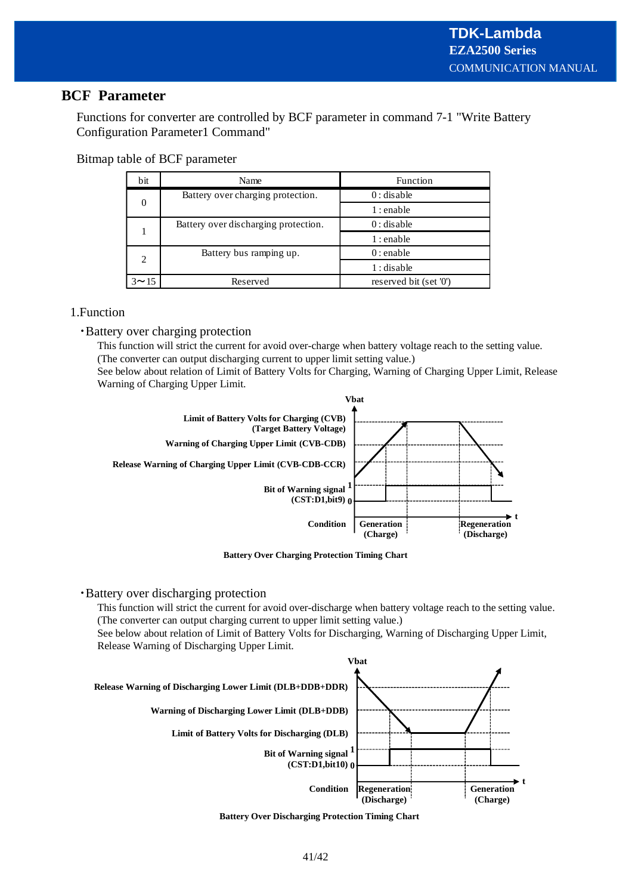# **BCF Parameter**

Functions for converter are controlled by BCF parameter in command 7-1 "Write Battery Configuration Parameter1 Command"

Bitmap table of BCF parameter

| bit      | Name                                 | Function               |  |  |
|----------|--------------------------------------|------------------------|--|--|
|          | Battery over charging protection.    | $0:$ disable           |  |  |
| $\theta$ |                                      | $1:$ enable            |  |  |
|          | Battery over discharging protection. | $0:$ disable           |  |  |
|          |                                      | $1:$ enable            |  |  |
| 2        | Battery bus ramping up.              | $0:$ enable            |  |  |
|          |                                      | $1:$ disable           |  |  |
| 3~15     | Reserved                             | reserved bit (set '0') |  |  |

# 1.Function

/Battery over charging protection

This function will strict the current for avoid over-charge when battery voltage reach to the setting value. (The converter can output discharging current to upper limit setting value.)

See below about relation of Limit of Battery Volts for Charging, Warning of Charging Upper Limit, Release Warning of Charging Upper Limit.



**Battery Over Charging Protection Timing Chart**

## /Battery over discharging protection

This function will strict the current for avoid over-discharge when battery voltage reach to the setting value. (The converter can output charging current to upper limit setting value.)

See below about relation of Limit of Battery Volts for Discharging, Warning of Discharging Upper Limit, Release Warning of Discharging Upper Limit.



**Battery Over Discharging Protection Timing Chart**